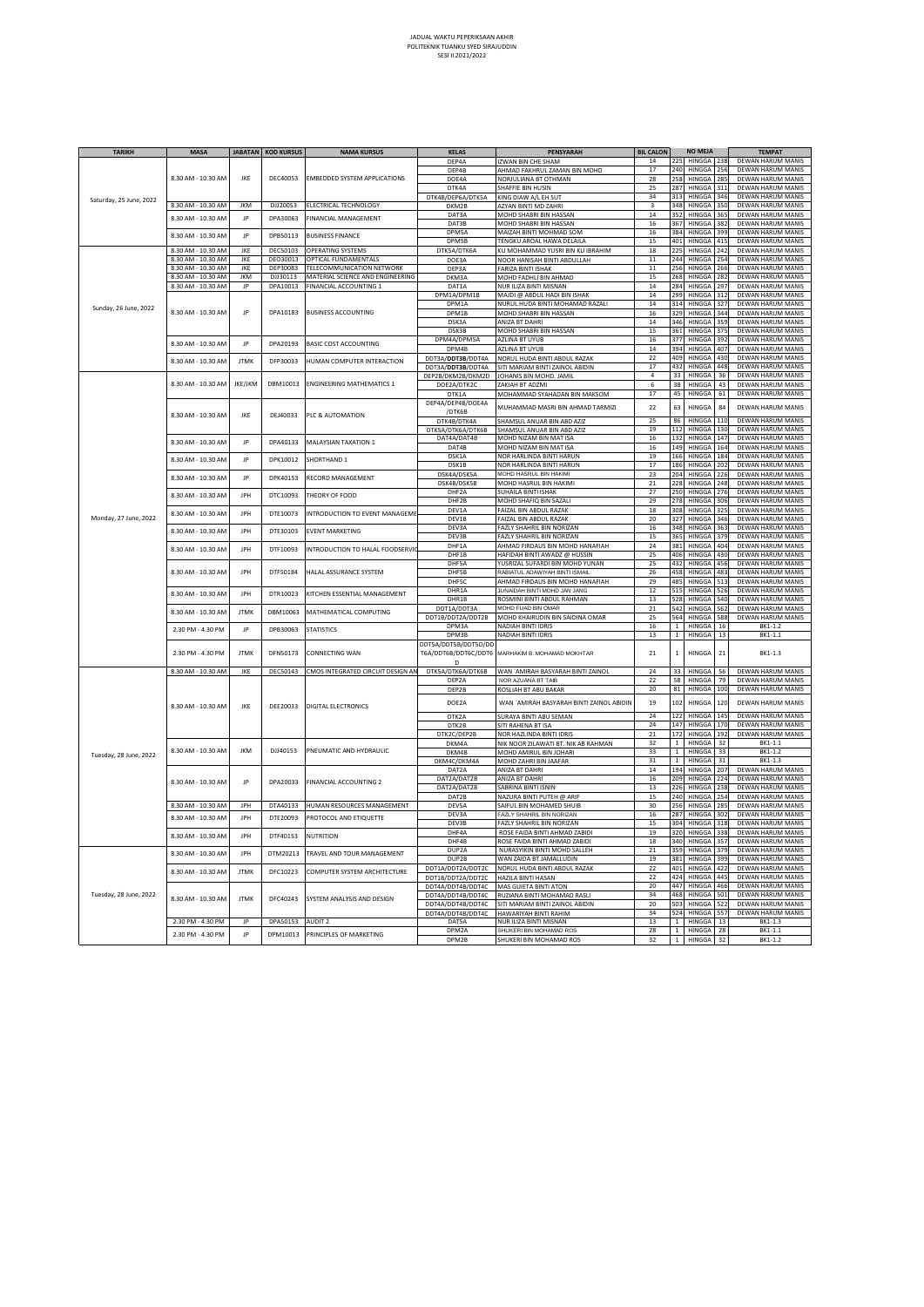## JADUAL WAKTU PEPERIKSAAN AKHIR POLITEKNIK TUANKU SYED SIRAJUDDIN SESI II 2021/2022

| <b>TARIKH</b>           | <b>MASA</b>        |             | <b>JABATAN KOD KURSUS</b> | <b>NAMA KURSUS</b>                                     | <b>KELAS</b>              | <b>PENSYARAH</b>                                                | <b>BIL CALON</b> |                   | <b>NO MEJA</b>          |            | <b>TEMPAT</b>                                 |
|-------------------------|--------------------|-------------|---------------------------|--------------------------------------------------------|---------------------------|-----------------------------------------------------------------|------------------|-------------------|-------------------------|------------|-----------------------------------------------|
|                         |                    |             |                           |                                                        | DEP4A                     | IZWAN BIN CHE SHAM                                              | $14\,$           | 225               | HINGGA 238              |            | DEWAN HARUM MANIS                             |
|                         |                    | JKE         |                           |                                                        | DEP4B                     | AHMAD FAKHRUL ZAMAN BIN MOHD                                    | 17               | 240               | HINGGA                  | 256        | DEWAN HARUM MANIS                             |
|                         | 8.30 AM - 10.30 AM |             | DEC40053                  | <b>EMBEDDED SYSTEM APPLICATIONS</b>                    | DOE4A                     | NORJULIANA BT OTHMAN                                            | 28               | 258               | HINGGA                  | 285        | DEWAN HARUM MANIS                             |
|                         |                    |             |                           |                                                        | DTK4A                     | SHAFFIE BIN HUSIN                                               | 25               | 287               | HINGGA                  | 311        | DEWAN HARUM MANIS                             |
| Saturday, 25 June, 2022 |                    |             |                           |                                                        | DTK4B/DEP6A/DTK5A         | KING DIAW A/L EH SUT                                            | 34               | 313               | HINGGA                  | 346        | DEWAN HARUM MANIS                             |
|                         | 8.30 AM - 10.30 AM | <b>JKM</b>  | DJJ20053                  | ELECTRICAL TECHNOLOGY                                  | DKM2B                     | <b>A7YAN BINTI MD ZAHRI</b>                                     | 3                | 348               | <b>HINGGA</b>           | 350        | DEWAN HARUM MANIS                             |
|                         | 8.30 AM - 10.30 AM | JP          | DPA30063                  | <b>FINANCIAL MANAGEMENT</b>                            | DAT3A                     | MOHD SHABRI BIN HASSAN                                          | $14\,$           | 352               | HINGGA                  | 365        | DEWAN HARUM MANIS                             |
|                         |                    |             |                           |                                                        | DAT3B                     | MOHD SHABRI BIN HASSAN                                          | 16               | 367               | <b>HINGGA</b>           | 382        | DEWAN HARUM MANIS                             |
|                         | 8.30 AM - 10.30 AM | JP          | DPB50113                  | <b>BUSINESS FINANCE</b>                                | DPM5A                     | MAIZAH BINTI MOHMAD SOM                                         | 16               | 384               | <b>HINGGA</b>           | 399        | DEWAN HARUM MANIS                             |
|                         | 8.30 AM - 10.30 AM | JKE         | DEC50103                  | <b>OPERATING SYSTEMS</b>                               | DPM5B                     | TENGKU AROAL HAWA DELAILA                                       | 15<br>18         | 401<br>225        | HINGGA<br>HINGGA        | 415<br>242 | DEWAN HARUM MANIS<br>DEWAN HARUM MANIS        |
|                         | 8.30 AM - 10.30 AM | JKE         | DEO30013                  | OPTICAL FUNDAMENTALS                                   | DTK5A/DTK6A               | KU MOHAMMAD YUSRI BIN KU IBRAHIM                                | 11               | 244               | HINGGA                  | 254        | DEWAN HARUM MANIS                             |
|                         | 8.30 AM - 10.30 AM | JKE         | DEP30083                  | TELECOMMUNICATION NETWORK                              | DOE3A<br>DEP3A            | NOOR HANISAH BINTI ABDULLAH<br>FARIZA BINTI ISHAK               | 11               | 256               | HINGGA                  | 266        | DEWAN HARUM MANIS                             |
|                         | 8.30 AM - 10.30 AM | <b>JKM</b>  | DJJ30113                  | MATERIAL SCIENCE AND ENGINEERING                       | DKM3A                     | MOHD FADHLI BIN AHMAD                                           | 15               | 268               | HINGGA 282              |            | DEWAN HARUM MANIS                             |
|                         | 8.30 AM - 10.30 AM | JP          | DPA10013                  | <b>FINANCIAL ACCOUNTING 1</b>                          | DAT1A                     | NUR ILIZA BINTI MISNAN                                          | 14               | 284               | HINGGA                  | 297        | DEWAN HARUM MANIS                             |
|                         |                    |             |                           |                                                        | DPM1A/DPM1B               | MAJDI @ ABDUL HADI BIN ISHAK                                    | 14               | 299               | HINGGA                  | 312        | DEWAN HARUM MANIS                             |
| Sunday, 26 June, 2022   |                    |             |                           |                                                        | DPM1A                     | NURUL HUDA BINTI MOHAMAD RAZALI                                 | 14               | 314               | HINGGA                  | 327        | <b>DEWAN HARUM MANIS</b>                      |
|                         | 8.30 AM - 10.30 AM | JP          | DPA10183                  | <b>BUSINESS ACCOUNTING</b>                             | DPM1B                     | MOHD SHABRI BIN HASSAN                                          | 16               | 329               | HINGGA                  | 344        | DEWAN HARUM MANIS                             |
|                         |                    |             |                           |                                                        | DSK3A                     | ANIZA BT DAHRI                                                  | 14               | 346               | HINGGA                  | 359        | DEWAN HARUM MANIS                             |
|                         |                    |             |                           |                                                        | DSK3B<br>DPM4A/DPM5A      | MOHD SHABRI BIN HASSAN                                          | 15               | 361               | HINGGA<br><b>HINGGA</b> | 375        | DEWAN HARUM MANIS<br>DEWAN HARUM MANIS        |
|                         | 8.30 AM - 10.30 AM | JP          | DPA20193                  | BASIC COST ACCOUNTING                                  | DPM4B                     | <b>AZLINA BT UYUB</b><br>AZLINA BT UYUB                         | 16<br>14         | 377<br>394        | HINGGA                  | 392<br>407 | DEWAN HARUM MANIS                             |
|                         |                    |             |                           |                                                        | DDT3A/DDT3B/DDT4A         | NORUL HUDA BINTI ABDUL RAZAK                                    | 22               | 409               | <b>HINGGA</b>           | 430        | DEWAN HARUM MANIS                             |
|                         | 8.30 AM - 10.30 AM | <b>JTMK</b> | DFP30033                  | <b>HUMAN COMPUTER INTERACTION</b>                      | DDT3A/DDT3B/DDT4A         | SITI MARIAM BINTI ZAINOL ABIDIN                                 | 17               | 432               | HINGGA                  | 448        | DEWAN HARUM MANIS                             |
|                         |                    |             |                           |                                                        | DEP2B/DKM2B/DKM2D         | JOHANIS BIN MOHD. JAMIL                                         | $\Delta$         | 33                | HINGGA                  | 36         | DEWAN HARUM MANIS                             |
|                         | 8.30 AM - 10.30 AM | JKE/JKM     | DBM10013                  | <b>FNGINFFRING MATHEMATICS 1</b>                       | DOE2A/DTK2C               | ZAKIAH BT ADZMI                                                 | 6                | 38                | HINGGA                  | 43         | DEWAN HARUM MANIS                             |
|                         |                    |             |                           |                                                        | DTK1A                     | MOHAMMAD SYAHADAN BIN MAKSOM                                    | 17               | 45                | HINGGA                  | 61         | DEWAN HARUM MANIS                             |
|                         |                    |             |                           |                                                        | DEP4A/DEP4B/DOE4A         | MUHAMMAD MASRI BIN AHMAD TARMIZI                                | 22               | 63                | <b>HINGGA</b>           | 84         | DEWAN HARUM MANIS                             |
|                         | 8.30 AM - 10.30 AM | JKE         | DEJ40033                  | PLC & AUTOMATION                                       | /DTK6B                    |                                                                 |                  |                   |                         |            |                                               |
|                         |                    |             |                           |                                                        | DTK4B/DTK4A               | SHAMSUL ANUAR BIN ABD AZIZ                                      | 25               | 86                | HINGGA                  | 110        | DEWAN HARUM MANIS                             |
|                         |                    |             |                           |                                                        | DTK5A/DTK6A/DTK6B         | SHAMSUL ANUAR BIN ABD AZIZ                                      | 19               | 112               | HINGGA                  | 130        | DEWAN HARUM MANIS                             |
|                         | 8.30 AM - 10.30 AM | JP          | DPA40133                  | MALAYSIAN TAXATION 1                                   | DAT4A/DAT4B<br>DAT4B      | MOHD NIZAM BIN MAT ISA<br>MOHD NIZAM BIN MAT ISA                | 16<br>16         | 132<br>149        | HINGGA 147<br>HINGGA    | 164        | DEWAN HARUM MANIS<br><b>DEWAN HARUM MANIS</b> |
|                         |                    |             |                           |                                                        | DSK1A                     | NOR HARLINDA BINTI HARUN                                        | 19               | 166               | HINGGA 184              |            | DEWAN HARUM MANIS                             |
|                         | 8.30 AM - 10.30 AM | JP          | DPK10012                  | SHORTHAND 1                                            | DSK1B                     | NOR HARLINDA BINTI HARUN                                        | 17               | 186               | HINGGA 202              |            | DEWAN HARUM MANIS                             |
|                         |                    |             |                           |                                                        | DSK4A/DSK5A               | MOHD HASRUL BIN HAKIMI                                          | 23               | 204               | HINGGA                  | 226        | DEWAN HARUM MANIS                             |
|                         | 8.30 AM - 10.30 AM | JP          | DPK40153                  | RECORD MANAGEMENT                                      | DSK4B/DSK5B               | MOHD HASRUL BIN HAKIMI                                          | 21               | 228               | HINGGA                  | 248        | DEWAN HARUM MANIS                             |
|                         | 8.30 AM - 10.30 AM | IPH         | DTC10093                  | THEORY OF FOOD                                         | DHF <sub>2</sub> A        | SUHAILA BINTI ISHAK                                             | 27               | 250               | HINGGA 276              |            | DEWAN HARUM MANIS                             |
|                         |                    |             |                           |                                                        | DHF2B                     | MOHD SHAFIQ BIN SAZALI                                          | 29               | 278               | HINGGA                  | 306        | DEWAN HARUM MANIS                             |
|                         | 8.30 AM - 10.30 AM | JPH         | DTE10073                  | NTRODUCTION TO EVENT MANAGEME                          | DEV1A                     | FAIZAL BIN ABDUL RAZAK                                          | 18               | 308               | HINGGA                  | 325        | DEWAN HARUM MANIS                             |
| Monday, 27 June, 2022   |                    |             |                           |                                                        | DEV1B                     | FAIZAL BIN ABDUL RAZAK                                          | 20               | 327               | HINGGA                  | 346        | DEWAN HARUM MANIS                             |
|                         | 8.30 AM - 10.30 AM | IPH         | DTE30103                  | <b>EVENT MARKETING</b>                                 | DEV3A                     | FAZLY SHAHRIL BIN NORIZAN                                       | 16               | 348               | HINGGA                  | 363        | DEWAN HARUM MANIS                             |
|                         |                    |             |                           |                                                        | DFV3B                     | <b>FAZI Y SHAHRII BIN NORIZAN</b>                               | 15               | 365               | <b>HINGGA</b>           | 379        | DEWAN HARUM MANIS                             |
|                         | 8.30 AM - 10.30 AM | IPH         | DTF10093                  | INTRODUCTION TO HALAL FOODSERVI                        | DHF1A<br>DHF1B            | AHMAD FIRDAUS BIN MOHD HANAFIAH<br>HAFIDAH BINTI AWADZ @ HUSSIN | 24<br>25         | 381<br>406        | HINGGA<br>HINGGA        | 404<br>430 | DEWAN HARUM MANIS<br>DEWAN HARUM MANIS        |
|                         |                    |             |                           |                                                        | DHF5A                     | YUSRIZAL SUFARDI BIN MOHD YUNAN                                 | 25               | 432               | HINGGA 456              |            | DEWAN HARUM MANIS                             |
|                         | 8.30 AM - 10.30 AM | IPH         | DTF50184                  | HALAL ASSURANCE SYSTEM                                 | DHF5B                     | RABIATUL ADAWIYAH BINTI ISMAIL                                  | 26               | 458               | HINGGA                  | 483        | DEWAN HARUM MANIS                             |
|                         |                    |             |                           | KITCHEN ESSENTIAL MANAGEMENT<br>MATHEMATICAL COMPUTING | DHF5C                     | AHMAD FIRDAUS BIN MOHD HANAFIAH                                 | 29               | 485               | HINGGA                  | 513        | DEWAN HARUM MANIS                             |
|                         | 8.30 AM - 10.30 AM |             | DTR10023                  |                                                        | DHR1A                     | JUNAIDAH BINTI MOHD JAN JANG                                    | 12               | 515               | HINGGA                  | 526        | DEWAN HARUM MANIS                             |
|                         |                    | JPH         |                           |                                                        | DHR1B                     | ROSMINI BINTI ABDUL RAHMAN                                      | 13               | 528               | HINGGA                  | 540        | DEWAN HARUM MANIS                             |
|                         | 8.30 AM - 10.30 AM | <b>ITMK</b> | DBM10063                  |                                                        | DDT1A/DDT3A               | MOHD FUAD BIN OMAR                                              | 21               | 542               | HINGGA                  | 56:        | DEWAN HARUM MANIS                             |
|                         |                    |             |                           |                                                        | DDT1B/DDT2A/DDT2B         | MOHD KHAIRUDIN BIN SAIDINA OMAR                                 | 25               | 564               | HINGGA                  | 588        | DEWAN HARUM MANIS                             |
|                         | 2.30 PM - 4.30 PM  | JP          | DPB30063                  | <b>STATISTICS</b>                                      | DPM3A                     | NADIAH BINTI IDRIS                                              | 16               |                   | 1 HINGGA                | 16         | BK1-1.2                                       |
|                         |                    |             |                           |                                                        | DPM3B                     | NADIAH BINTI IDRIS                                              | 13               | $\mathbf 1$       | HINGGA                  | 13         | BK1-1.1                                       |
|                         | 2.30 PM - 4.30 PM  | <b>ITMK</b> | DFN50173                  | CONNECTING WAN                                         | DDT5A/DDT5B/DDT5D/DD      |                                                                 | 21               | $\mathbf{1}$      | <b>HINGGA</b>           | 21         | BK1-1.3                                       |
|                         |                    |             |                           |                                                        | T6A/DDT6B/DDT6C/DDT6<br>D | MARHAKIM B. MOHAMAD MOKHTAR                                     |                  |                   |                         |            |                                               |
|                         | 8.30 AM - 10.30 AM | IKF         | DEC50143                  | CMOS INTEGRATED CIRCUIT DESIGN AN                      | DTK5A/DTK6A/DTK6B         | WAN `AMIRAH BASYARAH BINTI ZAINOL                               | $^{24}$          | 33                | <b>HINGGA</b>           | 56         | DEWAN HARUM MANIS                             |
|                         |                    |             |                           | <b>DIGITAL ELECTRONICS</b>                             | DEP2A                     | NOR AZUANA BT TAIB                                              | 22               | 58                | HINGGA                  | 79         | DEWAN HARUM MANIS                             |
|                         |                    | JKE         |                           |                                                        | DEP2B                     | ROSLIAH BT ABU BAKAR                                            | 20               | 81                | HINGGA                  | 100        | DEWAN HARUM MANIS                             |
|                         |                    |             |                           |                                                        | DOE2A                     | WAN `AMIRAH BASYARAH BINTI ZAINOL ABIDIN                        | 19               | 102               | <b>HINGGA</b>           | 120        | DEWAN HARUM MANIS                             |
|                         | 8.30 AM - 10.30 AM |             | DEE20033                  |                                                        |                           |                                                                 |                  |                   |                         |            |                                               |
|                         |                    |             |                           |                                                        | DTK2A                     | <b>SURAYA BINTI ABU SEMAN</b>                                   | 24               | 122               | <b>HINGGA</b>           | 14         | DEWAN HARUM MANIS                             |
|                         |                    |             |                           |                                                        | DTK2B                     | SITI RAHENA BT ISA                                              | 24               | 147               | HINGGA 170              |            | DEWAN HARUM MANIS                             |
|                         |                    |             |                           |                                                        | DTK2C/DEP2B               | NOR HAZLINDA BINTI IDRIS                                        | 21<br>32         | 172               | HINGGA 192<br>HINGGA    | 32         | DEWAN HARUM MANIS<br>BK1-1.1                  |
|                         | 8.30 AM - 10.30 AM | <b>JKM</b>  | DJJ40153                  | PNEUMATIC AND HYDRAULIC                                | DKM4A<br>DKM4B            | NIK NOOR ZILAWATI BT. NIK AB RAHMAN                             | 33               | 1<br>$\mathbf{1}$ | HINGGA                  | 33         | BK1-1.2                                       |
| Tuesday, 28 June, 2022  |                    |             |                           |                                                        | DKM4C/DKM4A               | MOHD AMIRUL BIN JOHARI<br>MOHD ZAHRI BIN JAAFAR                 | 31               | $\,1\,$           | HINGGA                  | 31         | BK1-1.3                                       |
|                         |                    |             |                           |                                                        | DAT2A                     | ANIZA BT DAHRI                                                  | 14               | 194               | <b>HINGGA</b>           | 207        | DEWAN HARUM MANIS                             |
|                         |                    | JP          | DPA20033                  |                                                        | DAT2A/DAT2B               | ANIZA BT DAHRI                                                  | 16               | 209               | HINGGA                  | 224        | DEWAN HARUM MANIS                             |
|                         | 8.30 AM - 10.30 AM |             |                           | FINANCIAL ACCOUNTING 2                                 | DAT2A/DAT2B               | SABRINA BINTI ISNIN                                             | 13               | 226               | HINGGA                  | 238        | DEWAN HARUM MANIS                             |
|                         |                    |             |                           |                                                        | DAT2B                     | NAZURA BINTI PUTEH @ ARIF                                       | 15               | 240               | <b>HINGGA</b>           | 254        | DEWAN HARUM MANIS                             |
|                         | 8.30 AM - 10.30 AM | IPH         | DTA40133                  | HUMAN RESOURCES MANAGEMENT                             | DFV5A                     | SAIFUL BIN MOHAMED SHUIB                                        | 30               | 256               | <b>HINGGA</b>           | 285        | DEWAN HARUM MANIS                             |
|                         | 8.30 AM - 10.30 AM | IPH         | DTE20093                  | PROTOCOL AND ETIQUETTE                                 | DEV3A                     | FAZLY SHAHRIL BIN NORIZAN                                       | 16               |                   | 287 HINGGA              | 302        | DEWAN HARUM MANIS                             |
|                         |                    |             |                           |                                                        | DEV3B                     | FAZLY SHAHRIL BIN NORIZAN                                       | 15               | 304               | HINGGA                  | 318        | DEWAN HARUM MANIS                             |
|                         | 8.30 AM - 10.30 AM | IPH         | DTF40153                  | NUTRITION                                              | DHF4A<br>DHF4B            | ROSE FAIDA BINTI AHMAD ZABIDI<br>ROSE FAIDA BINTI AHMAD ZABIDI  | 19<br>18         | 320<br>340        | HINGGA<br>HINGGA        | 338<br>357 | DEWAN HARUM MANIS<br>DEWAN HARUM MANIS        |
|                         |                    |             |                           |                                                        | DUP2A                     | NURASYIKIN BINTI MOHD SALLEH                                    | 21               | 359               | HINGGA                  | 379        | DEWAN HARUM MANIS                             |
|                         | 8.30 AM - 10.30 AM | JPH         | DTM20213                  | TRAVEL AND TOUR MANAGEMENT                             | DUP2B                     | WAN ZAIDA BT JAMALLUDIN                                         | 19               | 381               | HINGGA                  | 399        | DEWAN HARUM MANIS                             |
|                         |                    |             |                           |                                                        | DDT1A/DDT2A/DDT2C         | NORUL HUDA BINTI ABDUL RAZAK                                    | 22               | 401               | HINGGA                  | 422        | DEWAN HARUM MANIS                             |
|                         | 8.30 AM - 10.30 AM | <b>JTMK</b> | DFC10223                  | COMPUTER SYSTEM ARCHITECTURE                           | DDT1B/DDT2A/DDT2C         | <b>HAZILA BINTI HASAN</b>                                       | 22               | 424               | HINGGA                  | 445        | DEWAN HARUM MANIS                             |
|                         |                    |             |                           |                                                        | DDT4A/DDT4B/DDT4C         | MAS GUIETA BINTI ATON                                           | 20               | 447               | HINGGA                  | 466        | DEWAN HARUM MANIS                             |
| Tuesday, 28 June, 2022  | 8.30 AM - 10.30 AM | <b>JTMK</b> | DFC40243                  | SYSTEM ANALYSIS AND DESIGN                             | DDT4A/DDT4B/DDT4C         | RUZIANA BINTI MOHAMAD RASLI                                     | 34               | 468               | <b>HINGGA</b>           | 501        | DEWAN HARUM MANIS                             |
|                         |                    |             |                           |                                                        | DDT4A/DDT4B/DDT4C         | SITI MARIAM BINTI ZAINOL ABIDIN                                 | 20               | 503               | HINGGA                  | 522        | DEWAN HARUM MANIS                             |
|                         |                    |             |                           |                                                        | DDT4A/DDT4B/DDT4C         | <b>HAWARIYAH BINTI RAHIM</b>                                    | 34               | 524               | <b>HINGGA</b>           | 557        | DEWAN HARUM MANIS                             |
|                         | 2.30 PM - 4.30 PM  | IP          | DPA50153                  | AUDIT <sub>2</sub>                                     | DAT5A                     | NUR ILIZA BINTI MISNAN                                          | 13               | $1\,$             | HINGGA                  | 13         | BK1-1.3                                       |
|                         | 2.30 PM - 4.30 PM  | JP          | DPM10013                  | PRINCIPLES OF MARKETING                                | DPM2A                     | SHUKERI BIN MOHAMAD ROS                                         | 28               | $\mathbf{1}$      | HINGGA                  | 28         | BK1-1.1                                       |
|                         |                    |             |                           |                                                        | DPM2B                     | SHUKERI BIN MOHAMAD ROS                                         | 32               | $\mathbf{1}$      | HINGGA                  | 32         | BK1-1.2                                       |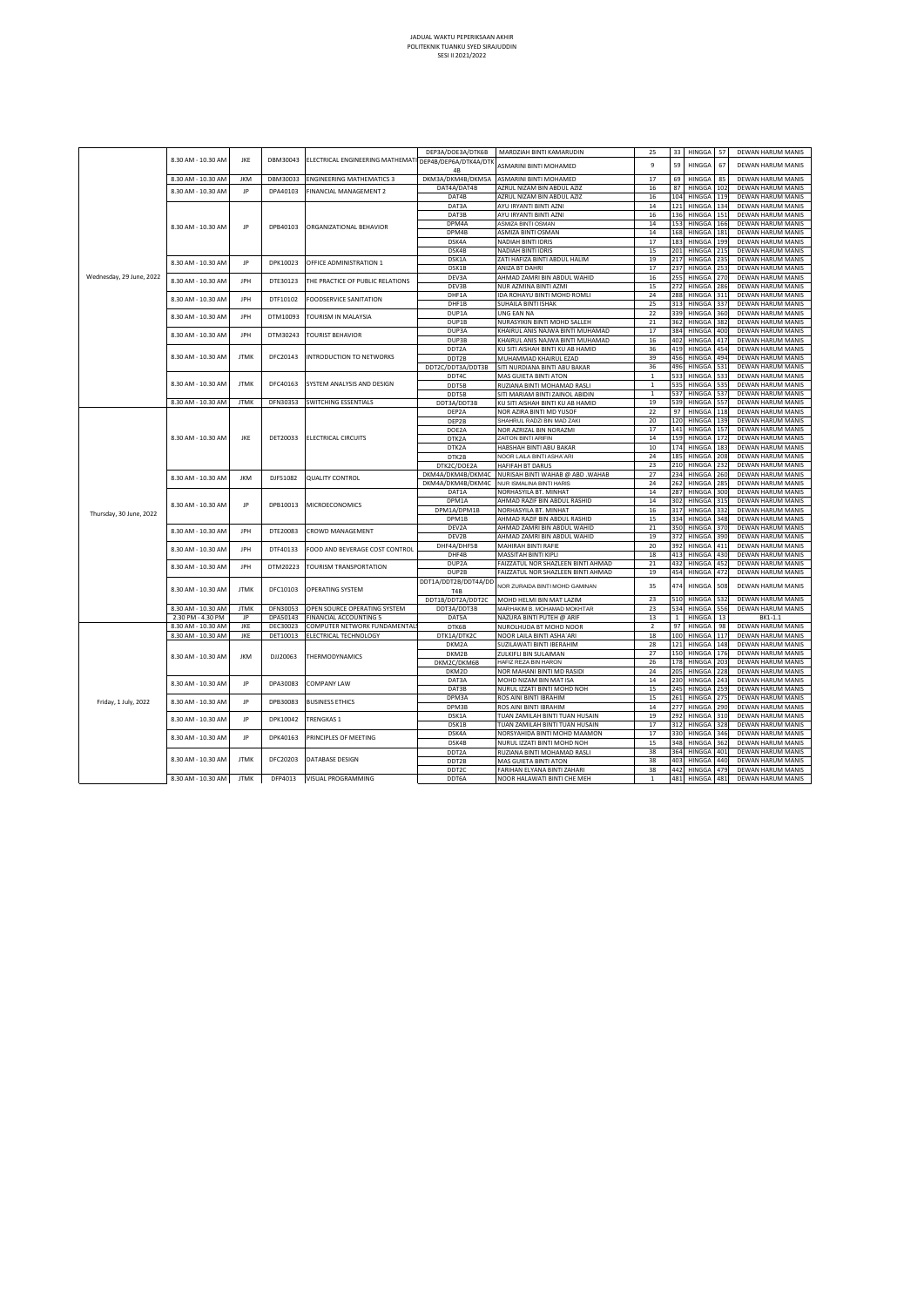|                          |                    |             |          |                                                        | DEP3A/DOE3A/DTK6B | MARDZIAH BINTI KAMARUDIN           | 25           | 33  | HINGGA 57     |     | DEWAN HARUM MANI!       |
|--------------------------|--------------------|-------------|----------|--------------------------------------------------------|-------------------|------------------------------------|--------------|-----|---------------|-----|-------------------------|
|                          | 8.30 AM - 10.30 AM | JKE         | DBM30043 | ELECTRICAL ENGINEERING MATHEMATI DEP4B/DEP6A/DTK4A/DTK | 4B                | ASMARINI BINTI MOHAMED             | 9            | 59  | HINGGA        | 67  | DEWAN HARUM MANI!       |
|                          | 8.30 AM - 10.30 AM | <b>JKM</b>  | DBM30033 | <b>ENGINEERING MATHEMATICS 3</b>                       | DKM3A/DKM4B/DKM5A | ASMARINI BINTI MOHAMED             | 17           | 69  | HINGGA        | 85  | DEWAN HARUM MANI!       |
|                          | 8.30 AM - 10.30 AM | JP          | DPA40103 | FINANCIAL MANAGEMENT 2                                 | DAT4A/DAT4B       | AZRUL NIZAM BIN ABDUL AZIZ         | 16           | 87  | HINGGA 102    |     | DEWAN HARUM MANI!       |
|                          |                    |             |          |                                                        | DAT4B             | AZRUL NIZAM BIN ABDUL AZIZ         | 16           | 104 | HINGGA 119    |     | DEWAN HARUM MANI!       |
|                          |                    |             |          |                                                        | DAT3A             | AYU IRYANTI BINTI AZNI             | 14           | 121 | HINGGA 134    |     | DEWAN HARUM MANI!       |
|                          |                    |             |          |                                                        | DAT3B             | AYU IRYANTI BINTI AZNI             | 16           | 136 | HINGGA 151    |     | DEWAN HARUM MANI!       |
|                          | 8.30 AM - 10.30 AM | JP          | DPB40103 | ORGANIZATIONAL BEHAVIOR                                | DPM4A             | ASMIZA BINTI OSMAN                 | 14           | 153 | HINGGA        | 166 | DEWAN HARUM MANI!       |
|                          |                    |             |          |                                                        | DPM4B             | ASMIZA BINTI OSMAN                 | 14           | 168 | HINGGA 181    |     | DEWAN HARUM MANI!       |
|                          |                    |             |          |                                                        | DSK4A             | NADIAH BINTI IDRIS                 | 17           | 183 | HINGGA 199    |     | DEWAN HARUM MANI!       |
|                          |                    |             |          |                                                        | DSK4B             | NADIAH BINTI IDRIS                 | 15           | 201 | HINGGA 215    |     | DEWAN HARUM MANI!       |
|                          | 8.30 AM - 10.30 AM | JP          | DPK10023 | OFFICE ADMINISTRATION 1                                | DSK1A             | ZATI HAFIZA BINTI ABDUL HALIM      | 19           | 217 | HINGGA 235    |     | DEWAN HARUM MANI!       |
|                          |                    |             |          |                                                        | DSK1B             | ANIZA BT DAHRI                     | 17           | 237 | HINGGA 253    |     | DEWAN HARUM MANI!       |
| Wednesday, 29 June, 2022 | 8.30 AM - 10.30 AM | <b>JPH</b>  | DTE30123 | THE PRACTICE OF PUBLIC RELATIONS                       | DEV3A             | AHMAD ZAMRI BIN ABDUL WAHID        | 16           | 255 | HINGGA 270    |     | DEWAN HARUM MANI!       |
|                          |                    |             |          |                                                        | DEV3B             | NUR AZMINA BINTI AZMI              | 15           | 272 | HINGGA 286    |     | DEWAN HARUM MANI!       |
|                          | 8.30 AM - 10.30 AM | JPH         | DTF10102 | FOODSERVICE SANITATION                                 | DHF1A             | IDA ROHAYU BINTI MOHD ROMLI        | 24           | 288 | HINGGA 311    |     | DEWAN HARUM MANI!       |
|                          |                    |             |          |                                                        | DHF1B             | SUHAILA BINTI ISHAK                | 25           | 313 | HINGGA 337    |     | DEWAN HARUM MANI!       |
|                          |                    |             |          |                                                        | DUP1A             | UNG EAN NA                         | 22           | 339 | HINGGA 360    |     | DEWAN HARUM MANI!       |
|                          | 8.30 AM - 10.30 AM | JPH         | DTM10093 | TOURISM IN MALAYSIA                                    | DUP1B             | NURASYIKIN BINTI MOHD SALLEH       | 21           | 362 | HINGGA 382    |     | DEWAN HARUM MANI!       |
|                          | 8.30 AM - 10.30 AM | JPH         | DTM30243 | <b>TOURIST BEHAVIOR</b>                                | DUP3A             | KHAIRUL ANIS NAJWA BINTI MUHAMAD   | 17           | 384 | HINGGA 400    |     | DEWAN HARUM MANI!       |
|                          |                    |             |          |                                                        | DUP3B             | KHAIRUL ANIS NAJWA BINTI MUHAMAD   | 16           | 402 | HINGGA 417    |     | DEWAN HARUM MANI!       |
|                          |                    |             |          | <b>INTRODUCTION TO NETWORKS</b>                        | DDT2A             | KU SITI AISHAH BINTI KU AB HAMID   | 36           | 419 | HINGGA 454    |     | DEWAN HARUM MANI!       |
|                          | 8.30 AM - 10.30 AM | <b>JTMK</b> | DFC20143 |                                                        | DDT2B             | MUHAMMAD KHAIRUL EZAD              | 39           | 456 | HINGGA 494    |     | DEWAN HARUM MANI!       |
|                          |                    |             |          |                                                        | DDT2C/DDT3A/DDT3B | SITI NURDIANA BINTI ABU BAKAR      | 36           | 496 | HINGGA 531    |     | DEWAN HARUM MANI!       |
|                          |                    |             |          | SYSTEM ANALYSIS AND DESIGN                             | DDT4C             | MAS GUIETA BINTI ATON              | $\,$ 1       | 533 | HINGGA 533    |     | DEWAN HARUM MANI!       |
|                          | 8.30 AM - 10.30 AM | <b>JTMK</b> | DFC40163 |                                                        | <b>DDT5B</b>      | RUZIANA BINTI MOHAMAD RASLI        | $\mathbf{1}$ | 535 | HINGGA 535    |     | DEWAN HARUM MANI!       |
|                          |                    |             |          |                                                        | <b>DDT5B</b>      | SITI MARIAM BINTI ZAINOL ABIDIN    | $\mathbf{1}$ | 537 | HINGGA 537    |     | DEWAN HARUM MANI!       |
|                          | 8.30 AM - 10.30 AM | <b>JTMK</b> | DFN30353 | SWITCHING ESSENTIALS                                   | DDT3A/DDT3B       | KU SITI AISHAH BINTI KU AB HAMID   | 19           | 539 | HINGGA 557    |     | DEWAN HARUM MANI!       |
|                          |                    |             |          |                                                        | DEP2A             | NOR AZIRA BINTI MD YUSOF           | 22           | 97  | HINGGA 118    |     | DEWAN HARUM MANI!       |
|                          |                    |             |          |                                                        | DEP2B             | SHAHRUL RADZI BIN MAD ZAKI         | 20           | 120 | HINGGA 139    |     | DEWAN HARUM MANI!       |
|                          |                    |             |          |                                                        | DOE2A             | NOR AZRIZAL BIN NORAZMI            | 17           | 141 | HINGGA 157    |     | DEWAN HARUM MANI!       |
|                          | 8.30 AM - 10.30 AM | JKE         | DET20033 | <b>ELECTRICAL CIRCUITS</b>                             | DTK2A             | ZAITON BINTI ARIFIN                | 14           | 159 | HINGGA 172    |     | DEWAN HARUM MANI!       |
|                          |                    |             |          |                                                        | DTK2A             | HABSHAH BINTI ABU BAKAR            | 10           | 174 | HINGGA        | 183 | DEWAN HARUM MANI!       |
|                          |                    |             |          |                                                        | DTK2B             | NOOR LAILA BINTI ASHA' ARI         | 24           | 185 | HINGGA        | 208 | DEWAN HARUM MANI!       |
|                          |                    |             |          |                                                        | DTK2C/DOE2A       | HAFIFAH BT DARUS                   | 23           | 210 | HINGGA 232    |     | DEWAN HARUM MANI!       |
|                          | 8.30 AM - 10.30 AM | <b>JKM</b>  | DJF51082 | QUALITY CONTROL                                        | DKM4A/DKM4B/DKM4C | NURISAH BINTI WAHAB @ ABD .WAHAB   | 27           | 234 | HINGGA 260    |     | DEWAN HARUM MANI!       |
|                          |                    |             |          |                                                        | DKM4A/DKM4B/DKM4C | NUR ISMALINA BINTI HARIS           | 24           | 262 | HINGGA 285    |     | DEWAN HARUM MANI!       |
|                          |                    |             |          |                                                        | DAT1A             | NORHASYILA BT. MINHAT              | 14           | 287 | HINGGA 300    |     | DEWAN HARUM MANI!       |
|                          | 8.30 AM - 10.30 AM | JP          | DPB10013 | <b>MICROECONOMICS</b>                                  | DPM1A             | AHMAD RAZIF BIN ABDUL RASHID       | 14           | 302 | HINGGA 315    |     | DEWAN HARUM MANI!       |
| Thursday, 30 June, 2022  |                    |             |          |                                                        | DPM1A/DPM1B       | NORHASYILA BT. MINHAT              | 16           | 317 | HINGGA 332    |     | DEWAN HARUM MANI!       |
|                          |                    |             |          |                                                        | DPM1B             | AHMAD RAZIF BIN ABDUL RASHID       | 15           | 334 | HINGGA 348    |     | DEWAN HARUM MANI!       |
|                          | 8.30 AM - 10.30 AM | JPH         | DTE20083 |                                                        | DEV2A             | AHMAD ZAMRI BIN ABDUL WAHID        | 21           | 350 | HINGGA        | 370 | DEWAN HARUM MANI!       |
|                          |                    |             |          | CROWD MANAGEMENT                                       | DEV2B             | AHMAD ZAMRI BIN ABDUL WAHID        | 19           | 372 | HINGGA 390    |     | DEWAN HARUM MANI!       |
|                          | 8.30 AM - 10.30 AM | JPH         | DTF40133 | FOOD AND BEVERAGE COST CONTROL                         | DHF4A/DHF5B       | MAHIRAH BINTI RAFIE                | 20           | 392 | HINGGA 411    |     | DEWAN HARUM MANI!       |
|                          |                    |             |          |                                                        | DHF4B             | MASSITAH BINTI KIPLI               | 18           | 413 | HINGGA 430    |     | DEWAN HARUM MANI!       |
|                          | 8.30 AM - 10.30 AM | JPH         |          | TOURISM TRANSPORTATION                                 | DUP2A             | FAIZZATUL NOR SHAZLEEN BINTI AHMAD | 21           | 432 | HINGGA        | 452 | DEWAN HARUM MANI!       |
|                          |                    |             | DTM20223 |                                                        | DUP2B             | FAIZZATUL NOR SHAZLEEN BINTI AHMAD | 19           | 454 | <b>HINGGA</b> | 472 | <b>DEWAN HARUM MANI</b> |

DDT1A/DDT2B/DDT4A/DD T4B

8.30 AM - 10.30 AM JKE DECISOLES COMPOTENTIE DISORTED DIROG NOOR LAILA BINTI ASHA`ARI 18 100 HINGGA 117 DEWAN H

8.30 AM - 10.30 AM JTMK DFP4013 VISUAL PROGRAMMING

8.30 AM - 10.30 AM JTMK DFC20203 DATABASE DESIGN

JP DPK40163 PRINCIPLES OF MEETING

JP DPA30083 COMPANY LAW

8.30 AM - 10.30 AM JTMK DFC10103 OPERATING SYSTEM

8.30 AM - 10.30 AM JKM DJJ20063 THERMODYNAMICS

8.30 AM - 10.30 AM JP DPB30083 BUSINESS ETHICS 8.30 AM - 10.30 AM JP DPK10042 TRENGKAS 1

8.30 AM - 10.30 AM

Friday, 1 July, 2022

8.30 AM - 10.30 AM

Wednesday, 29

8.30 AM - 10.30 AM | JTMK | DFN30053 | OPEN SOURCE OPERATING SYSTEM | DDT3A/DDT3B | MARHAKIM B. MOHAMAD MOKHTAR | 23 | 534 | HINGGA | 556 | DEWAN HARUM MANIS 2.30 PM - 4.30 PM | JP | DPA50143 |FINANCIAL ACCOUNTING 5 | DAT5A | NAZURA BINTI PUTEH @ ARIF | 13 | 1 | HINGGA | 13 | BK1-1.1 8.30 AM - 10.30 AM JKE DEC30023 COMPUTER NETWORK FUNDAMENTALS DTK6B NUROLHUDA BT MOHD NOOR 2 97 HINGGA 98 DEWAN HARUM MANIS

DKM2B ZULKIFLI BIN SULAIMAN

DOT2B FACE FARIHAN ELYANA BINTI ATON<br>DDT2C FARIHAN ELYANA BINTI ZAHAR<br>DDT56 FARIHAN ELYANA BINTI CHE M

NOR ZURAIDA BINTI MOHD GAMINAN 35 474 HINGGA 508 DEWAN HARUM MANIS DRT DELMI BIN MAT LAZIM **23 510 HINGGA 532 DEWAN HARUM MANIS** 

DDT2A RUZIANA BINTI MOHAMAD RASLI 38 364 HINGGA 401 DEWAN HARUM MANIS

DEWAN HARUM MANIS<br>DEWAN HARUM MANIS

DKM2A SUZILAWATI BINTI IBERAHIM 28 121 HINGGA 148 DEWAN HARUM MANIS

DKM2D NOR MAHANI BINTI MD RASIDI 24 205 HINGGA 228 DEWAN HARUM MANIS DAT3A | MOHD NIZAM BIN MAT ISA 14 | 230 HINGGA 243 DEWAN HARUM MANIS DAT3B NURUL IZZATI BINTI MOHD NOH 15 245 HINGGA 259 DEWAN HARUM MANIS DPM3A ROS AINI BINTI IBRAHIM 15 261 HINGGA 275 DEWAN HARUM MANIS<br>19 DPM3B ROS AINI BINTI IBRAHIM 14 277 HINGGA 290 DEWAN HARUM MANIS<br>19 DSYAN TUAN ZAMILAH BINTI TUAN HUSAIN 19 292 HINGGA 310 DEWAN HARUM MANIS DPM3B ROS AINI BINTI IBRAHIM 14 277 HINGGA 290 DEWAN HARUM MANIS MANA TUAN ZAMILAH BINTI TUAN HUSAIN 19 292 HINGGA 310 DEWAN TUAN ZAMILAH BINTI TUAN HARUM 17 312 HINGGA 328 DEWAN DSK1B TUAN ZAMILAH BINTI TUAN HUSAIN 17 312 HINGGA 328 DEWAN HARUM MANIS DSK4A NORSYAHIDA BINTI MOHD MAAMON 17 330 HINGGA 346 DEWAN HARUM MANIS<br>DSK4B NURUL IZZATI BINTI MOHD NOH 15 348 HINGGA 362 DEWAN HARUM MANIS

0 KM2C/DKM6B HAFIZ REZA BIN HARON 26 26 178 HING<br>DKM2D NOR MAHANI BINTI MD RASIDI 24 205 HING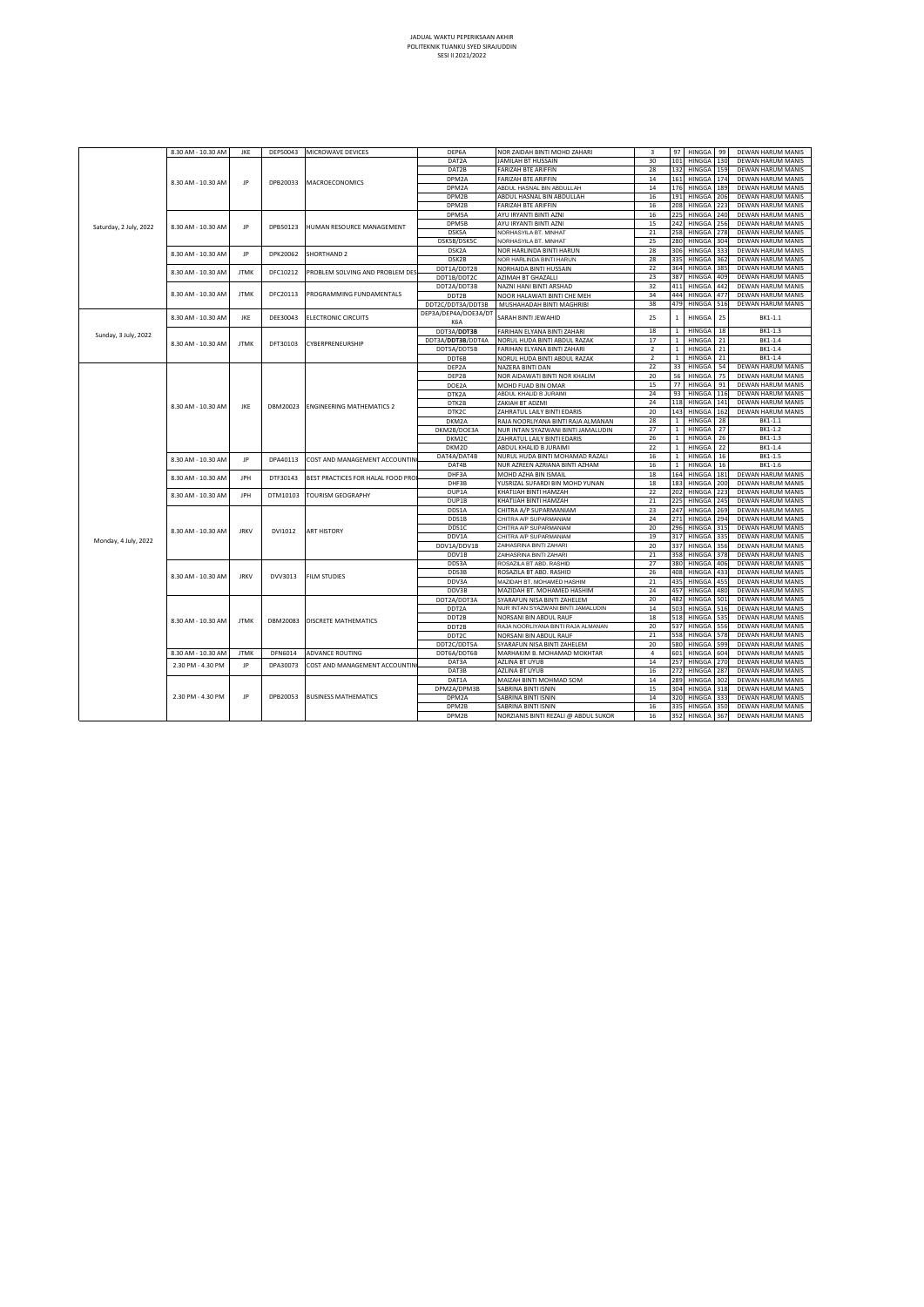| 130<br>132<br>DAT2B<br>FARIZAH BTE ARIFFIN<br>28<br>HINGGA<br>159<br>DEWAN HARUM MANIS<br>DPM2A<br>FARIZAH BTE ARIFFIN<br>HINGGA<br>14<br>161<br>174<br>DEWAN HARUM MANIS<br>JP<br>8.30 AM - 10.30 AM<br>DPB20033<br>MACROECONOMICS<br>ABDUL HASNAL BIN ABDULLAH<br>DPM2A<br>14<br>176<br>HINGGA<br>DEWAN HARUM MANIS<br>189<br>191<br>HINGGA<br>DPM2B<br>ABDUL HASNAL BIN ABDULLAH<br>16<br>206<br>DEWAN HARUM MANIS<br>208<br>HINGGA<br>DPM2B<br>FARIZAH BTE ARIFFIN<br>16<br>223<br>DEWAN HARUM MANIS<br>225<br>HINGGA<br>DPM5A<br>AYU IRYANTI BINTI AZNI<br>16<br>240<br>DEWAN HARUM MANIS<br>AYU IRYANTI BINTI AZNI<br>242<br>HINGGA<br>DPM5B<br>15<br>256<br>DEWAN HARUM MANIS<br>Saturday, 2 July, 2022<br>8.30 AM - 10.30 AM<br>JP<br>DPB50123<br>HUMAN RESOURCE MANAGEMENT<br>DSK5A<br>NORHASYILA BT. MINHAT<br>21<br>258<br>HINGGA<br>278<br>DEWAN HARUM MANIS<br>DSK5B/DSK5C<br>25<br>HINGGA<br>NORHASYILA BT. MINHAT<br>280<br>304<br>DEWAN HARUM MANIS<br>306<br>DSK2A<br>28<br>HINGGA<br>NOR HARLINDA BINTI HARUN<br>333<br>DEWAN HARUM MANIS<br>8.30 AM - 10.30 AM<br>JP<br>DPK20062<br>SHORTHAND 2<br>DSK2B<br>NOR HARLINDA BINTI HARUN<br>28<br>335<br>HINGGA<br>362<br>DEWAN HARUM MANIS<br>22<br>HINGGA<br>DDT1A/DDT2B<br>364<br>385<br>DEWAN HARUM MANIS<br>NORHAIDA BINTI HUSSAIN<br><b>JTMK</b><br>8.30 AM - 10.30 AM<br>DFC10212<br>PROBLEM SOLVING AND PROBLEM DES<br>HINGGA<br>23<br>387<br>DEWAN HARUM MANIS<br>DDT1B/DDT2C<br>AZIMAH BT GHAZALLI<br>409<br>32<br>411<br>HINGGA<br>DEWAN HARUM MANIS<br>442<br>DDT2A/DDT3B<br>NAZNI HANI BINTI ARSHAD<br>8.30 AM - 10.30 AM<br><b>JTMK</b><br>DFC20113<br>PROGRAMMING FUNDAMENTALS<br>34<br>444<br>HINGGA<br>DEWAN HARUM MANIS<br>477<br>DDT2B<br>NOOR HALAWATI BINTI CHE MEH<br>DDT2C/DDT3A/DDT3B<br>MUSHAHADAH BINTI MAGHRIBI<br>38<br>479<br>HINGGA<br>516<br>DEWAN HARUM MANIS<br>DEP3A/DEP4A/DOE3A/DT<br>JKE<br>25<br>HINGGA<br>25<br>8.30 AM - 10.30 AM<br>DEE30043<br>ELECTRONIC CIRCUITS<br>SARAH BINTI JEWAHID<br>$\mathbf 1$<br>BK1-1.1<br>K6A<br>18<br>$\mathbf{1}$<br>HINGGA<br>18<br>BK1-1.3<br>DDT3A/DDT3B<br>FARIHAN ELYANA BINTI ZAHARI<br>Sunday, 3 July, 2022<br>17<br>HINGGA<br>21<br>BK1-1.4<br>$\mathbf{1}$<br>DDT3A/DDT3B/DDT4A<br>NORUL HUDA BINTI ABDUL RAZAK<br>DFT30103<br>CYBERPRENEURSHIP<br>8.30 AM - 10.30 AM<br><b>JTMK</b><br>$\overline{2}$<br>HINGGA<br>BK1-1.4<br>$\,1\,$<br>21<br>DDT5A/DDT5B<br>FARIHAN ELYANA BINTI ZAHARI<br>$\overline{2}$<br>$\mathbf{1}$<br>HINGGA<br>21<br>BK1-1.4<br>DDT6B<br>NORUL HUDA BINTI ABDUL RAZAK<br>33<br>22<br>HINGGA<br>DEWAN HARUM MANIS<br>54<br>DEP2A<br>NAZERA BINTI DAN<br>20<br>56<br>HINGGA<br>75<br>DEWAN HARUM MANIS<br>DEP2B<br>NOR AIDAWATI BINTI NOR KHALIM<br>15<br>77<br>HINGGA<br>91<br>DEWAN HARUM MANIS<br>DOE2A<br>MOHD FUAD BIN OMAR<br>ABDUL KHALID B JURAIMI<br>24<br>93<br>HINGGA<br>DEWAN HARUM MANIS<br>116<br>DTK2A<br>24<br>118<br>HINGGA<br>DEWAN HARUM MANIS<br>141<br>DTK2B<br>ZAKIAH BT ADZMI<br>8.30 AM - 10.30 AM<br>JKE<br>DBM20023<br><b>ENGINEERING MATHEMATICS 2</b><br>143<br>20<br>HINGGA<br>162<br>DEWAN HARUM MANIS<br>DTK2C<br>ZAHRATUL LAILY BINTI EDARIS<br>DKM2A<br>28<br>$\mathbf{1}$<br>HINGGA<br>28<br>RAJA NOORLIYANA BINTI RAJA ALMANAN<br>BK1-1.1<br>27<br>$\mathbf{1}$<br>HINGGA<br>27<br>BK1-1.2<br>DKM2B/DOE3A<br>NUR INTAN SYAZWANI BINTI JAMALUDIN<br>DKM2C<br>ZAHRATUL LAILY BINTI EDARIS<br>26<br>$\mathbf{1}$<br>HINGGA<br>26<br>BK1-1.3<br>22<br>HINGGA<br>22<br>BK1-1.4<br>DKM2D<br>ABDUL KHALID B JURAIMI<br>$\mathbf{1}$<br>DAT4A/DAT4B<br>NURUL HUDA BINTI MOHAMAD RAZALI<br>16<br>$\mathbf{1}$<br>HINGGA<br>16<br>BK1-1.5<br>JP<br>8.30 AM - 10.30 AM<br>DPA40113<br>COST AND MANAGEMENT ACCOUNTIN<br>$\,$ 1 $\,$<br>HINGGA<br>DAT4B<br>NUR AZREEN AZRIANA BINTI AZHAM<br>16<br>16<br>BK1-1.6<br>18<br>164<br>DHF3A<br>MOHD AZHA BIN ISMAIL<br>HINGGA<br>DEWAN HARUM MANIS<br>181<br><b>JPH</b><br>DTF30143<br>BEST PRACTICES FOR HALAL FOOD PRO<br>8.30 AM - 10.30 AM<br>HINGGA<br>DHF3B<br>YUSRIZAL SUFARDI BIN MOHD YUNAN<br>18<br>183<br>200<br>DEWAN HARUM MANIS<br>202<br>HINGGA<br>DUP1A<br>KHATIJAH BINTI HAMZAH<br>22<br>223<br>DEWAN HARUM MANIS<br>8.30 AM - 10.30 AM<br>JPH<br>DTM10103<br>TOURISM GEOGRAPHY<br>DUP1B<br>21<br>225<br>HINGGA<br>KHATIJAH BINTI HAMZAH<br>245<br>DEWAN HARUM MANIS<br>HINGGA<br>DDS1A<br>CHITRA A/P SUPARMANIAM<br>23<br>247<br>269<br>DEWAN HARUM MANIS<br>DDS1B<br>CHITRA A/P SUPARMANIAM<br>24<br>271<br><b>HINGGA</b><br>294<br>DEWAN HARUM MANIS<br>20<br>296<br>HINGGA<br>DDS1C<br>315<br>DEWAN HARUM MANIS<br>CHITRA A/P SUPARMANIAM<br>8.30 AM - 10.30 AM<br><b>JRKV</b><br>DVI1012<br><b>ART HISTORY</b><br>19<br>317<br>HINGGA<br>DDV1A<br>CHITRA A/P SUPARMANIAM<br>335<br>DEWAN HARUM MANIS<br>Monday, 4 July, 2022<br>DDV1A/DDV1B<br>ZAIHASRINA BINTI ZAHARI<br>20<br>337<br>HINGGA<br>DEWAN HARUM MANIS<br>356<br>358<br>DDV1B<br>21<br>HINGGA<br>378<br>DEWAN HARUM MANIS<br>ZAIHASRINA BINTI ZAHARI<br>27<br>HINGGA<br>DDS3A<br>ROSAZILA BT ABD. RASHID<br>380<br>406<br>DEWAN HARUM MANIS<br>DDS3B<br>ROSAZILA BT ABD. RASHID<br>26<br>408<br>HINGGA<br>433<br>DEWAN HARUM MANIS<br>8.30 AM - 10.30 AM<br><b>JRKV</b><br>DVV3013<br><b>FILM STUDIES</b><br>435<br>21<br>DDV3A<br>MAZIDAH BT. MOHAMED HASHIM<br>HINGGA<br>455<br>DEWAN HARUM MANIS<br>457<br>HINGGA<br>DEWAN HARUM MANIS<br>DDV3B<br>MAZIDAH BT. MOHAMED HASHIM<br>24<br>480<br>20<br>482<br>HINGGA<br>501<br>DEWAN HARUM MANIS<br>DDT2A/DDT3A<br>SYARAFUN NISA BINTI ZAHELEM<br>14<br>503<br>HINGGA<br>516<br>DEWAN HARUM MANIS<br>NUR INTAN SYAZWANI BINTI JAMALUDIN<br>DDT2A<br>18<br>518<br>HINGGA<br>DEWAN HARUM MANIS<br>535<br>DDT2B<br>NORSANI BIN ABDUL RAUF<br>8.30 AM - 10.30 AM<br><b>JTMK</b><br>DBM20083<br><b>DISCRETE MATHEMATICS</b><br>RAJA NOORLIYANA BINTI RAJA ALMANAN<br>20<br>537<br>HINGGA<br>DEWAN HARUM MANIS<br>DDT2B<br>556<br>558<br>21<br>HINGGA<br>578<br>DEWAN HARUM MANIS<br>DDT2C<br>NORSANI BIN ABDUL RAUF<br>20<br>580<br>HINGGA<br>599<br>DEWAN HARUM MANIS<br>DDT2C/DDT5A<br>SYARAFUN NISA BINTI ZAHELEM<br>8.30 AM - 10.30 AM<br><b>JTMK</b><br>DFN6014<br>ADVANCE ROUTING<br>$\sqrt{4}$<br>601<br>HINGGA<br>604<br>DEWAN HARUM MANIS<br>DDT6A/DDT6B<br>MARHAKIM B. MOHAMAD MOKHTAR<br>257<br>AZLINA BT UYUB<br>14<br>HINGGA<br>270<br>DEWAN HARUM MANIS<br>DAT3A<br>2.30 PM - 4.30 PM<br>JP<br>DPA30073<br>COST AND MANAGEMENT ACCOUNTIN<br>DAT3B<br>AZLINA BT UYUB<br>16<br>272<br>HINGGA<br>287<br>DEWAN HARUM MANIS<br>289<br>DAT1A<br>MAIZAH BINTI MOHMAD SOM<br>14<br>HINGGA<br>302<br>DEWAN HARUM MANIS<br>15<br>304<br>DPM2A/DPM3B<br>SABRINA BINTI ISNIN<br>HINGGA<br>318<br>DEWAN HARUM MANIS<br>2.30 PM - 4.30 PM<br>JP<br>DPB20053<br><b>BUSINESS MATHEMATICS</b><br>DPM2A<br>SABRINA BINTI ISNIN<br>14<br>320<br>HINGGA<br>333<br>DEWAN HARUM MANIS<br>DPM2B<br>SABRINA BINTI ISNIN<br>16<br>335<br>HINGGA<br>350<br>DEWAN HARUM MANIS<br>DPM2B<br>16<br>352<br>HINGGA<br>NORZIANIS BINTI REZALI @ ABDUL SUKOR<br>367<br>DEWAN HARUM MANIS |  | 8.30 AM - 10.30 AM | JKE | DEP50043 | MICROWAVE DEVICES | DEP6A | NOR ZAIDAH BINTI MOHD ZAHARI | 3  | 97<br>HINGGA<br>99 | DEWAN HARUM MANIS |
|---------------------------------------------------------------------------------------------------------------------------------------------------------------------------------------------------------------------------------------------------------------------------------------------------------------------------------------------------------------------------------------------------------------------------------------------------------------------------------------------------------------------------------------------------------------------------------------------------------------------------------------------------------------------------------------------------------------------------------------------------------------------------------------------------------------------------------------------------------------------------------------------------------------------------------------------------------------------------------------------------------------------------------------------------------------------------------------------------------------------------------------------------------------------------------------------------------------------------------------------------------------------------------------------------------------------------------------------------------------------------------------------------------------------------------------------------------------------------------------------------------------------------------------------------------------------------------------------------------------------------------------------------------------------------------------------------------------------------------------------------------------------------------------------------------------------------------------------------------------------------------------------------------------------------------------------------------------------------------------------------------------------------------------------------------------------------------------------------------------------------------------------------------------------------------------------------------------------------------------------------------------------------------------------------------------------------------------------------------------------------------------------------------------------------------------------------------------------------------------------------------------------------------------------------------------------------------------------------------------------------------------------------------------------------------------------------------------------------------------------------------------------------------------------------------------------------------------------------------------------------------------------------------------------------------------------------------------------------------------------------------------------------------------------------------------------------------------------------------------------------------------------------------------------------------------------------------------------------------------------------------------------------------------------------------------------------------------------------------------------------------------------------------------------------------------------------------------------------------------------------------------------------------------------------------------------------------------------------------------------------------------------------------------------------------------------------------------------------------------------------------------------------------------------------------------------------------------------------------------------------------------------------------------------------------------------------------------------------------------------------------------------------------------------------------------------------------------------------------------------------------------------------------------------------------------------------------------------------------------------------------------------------------------------------------------------------------------------------------------------------------------------------------------------------------------------------------------------------------------------------------------------------------------------------------------------------------------------------------------------------------------------------------------------------------------------------------------------------------------------------------------------------------------------------------------------------------------------------------------------------------------------------------------------------------------------------------------------------------------------------------------------------------------------------------------------------------------------------------------------------------------------------------------------------------------------------------------------------------------------------------------------------------------------------------------------------------------------------------------------------------------------------------------------------------------------------------------------------------------------------------------------------------------------------------------------------------------------------------------------------------------------------------------------------------------------------------------------------------------------------------------------------------------------------------------------------------------------------------------------------------------------------------------------------------------------------------------------------------------------------------------------------------------------------------------------------------------------------------------------------------------------------------------------------------------------------------------------------------------------------------------------------------------------------------------------------------------------------------------------------------------------------------------------------------------------------------------------------------------------------------------------------------------------------------------------------------------------------------------------------------------------------------------------------------------------------------------------------------------------------------------------------------------------------------------------------------------------------------------------------------------------------------------------------------------------------------------------------------------------------------------------------------------------|--|--------------------|-----|----------|-------------------|-------|------------------------------|----|--------------------|-------------------|
|                                                                                                                                                                                                                                                                                                                                                                                                                                                                                                                                                                                                                                                                                                                                                                                                                                                                                                                                                                                                                                                                                                                                                                                                                                                                                                                                                                                                                                                                                                                                                                                                                                                                                                                                                                                                                                                                                                                                                                                                                                                                                                                                                                                                                                                                                                                                                                                                                                                                                                                                                                                                                                                                                                                                                                                                                                                                                                                                                                                                                                                                                                                                                                                                                                                                                                                                                                                                                                                                                                                                                                                                                                                                                                                                                                                                                                                                                                                                                                                                                                                                                                                                                                                                                                                                                                                                                                                                                                                                                                                                                                                                                                                                                                                                                                                                                                                                                                                                                                                                                                                                                                                                                                                                                                                                                                                                                                                                                                                                                                                                                                                                                                                                                                                                                                                                                                                                                                                                                                                                                                                                                                                                                                                                                                                                                                                                                                                                                                                                                                                                                                                                                                                                                                                                                                                                                                                                                                                                                                                                                                             |  |                    |     |          |                   | DAT2A | JAMILAH BT HUSSAIN           | 30 | 101<br>HINGGA      | DEWAN HARUM MANIS |
|                                                                                                                                                                                                                                                                                                                                                                                                                                                                                                                                                                                                                                                                                                                                                                                                                                                                                                                                                                                                                                                                                                                                                                                                                                                                                                                                                                                                                                                                                                                                                                                                                                                                                                                                                                                                                                                                                                                                                                                                                                                                                                                                                                                                                                                                                                                                                                                                                                                                                                                                                                                                                                                                                                                                                                                                                                                                                                                                                                                                                                                                                                                                                                                                                                                                                                                                                                                                                                                                                                                                                                                                                                                                                                                                                                                                                                                                                                                                                                                                                                                                                                                                                                                                                                                                                                                                                                                                                                                                                                                                                                                                                                                                                                                                                                                                                                                                                                                                                                                                                                                                                                                                                                                                                                                                                                                                                                                                                                                                                                                                                                                                                                                                                                                                                                                                                                                                                                                                                                                                                                                                                                                                                                                                                                                                                                                                                                                                                                                                                                                                                                                                                                                                                                                                                                                                                                                                                                                                                                                                                                             |  |                    |     |          |                   |       |                              |    |                    |                   |
|                                                                                                                                                                                                                                                                                                                                                                                                                                                                                                                                                                                                                                                                                                                                                                                                                                                                                                                                                                                                                                                                                                                                                                                                                                                                                                                                                                                                                                                                                                                                                                                                                                                                                                                                                                                                                                                                                                                                                                                                                                                                                                                                                                                                                                                                                                                                                                                                                                                                                                                                                                                                                                                                                                                                                                                                                                                                                                                                                                                                                                                                                                                                                                                                                                                                                                                                                                                                                                                                                                                                                                                                                                                                                                                                                                                                                                                                                                                                                                                                                                                                                                                                                                                                                                                                                                                                                                                                                                                                                                                                                                                                                                                                                                                                                                                                                                                                                                                                                                                                                                                                                                                                                                                                                                                                                                                                                                                                                                                                                                                                                                                                                                                                                                                                                                                                                                                                                                                                                                                                                                                                                                                                                                                                                                                                                                                                                                                                                                                                                                                                                                                                                                                                                                                                                                                                                                                                                                                                                                                                                                             |  |                    |     |          |                   |       |                              |    |                    |                   |
|                                                                                                                                                                                                                                                                                                                                                                                                                                                                                                                                                                                                                                                                                                                                                                                                                                                                                                                                                                                                                                                                                                                                                                                                                                                                                                                                                                                                                                                                                                                                                                                                                                                                                                                                                                                                                                                                                                                                                                                                                                                                                                                                                                                                                                                                                                                                                                                                                                                                                                                                                                                                                                                                                                                                                                                                                                                                                                                                                                                                                                                                                                                                                                                                                                                                                                                                                                                                                                                                                                                                                                                                                                                                                                                                                                                                                                                                                                                                                                                                                                                                                                                                                                                                                                                                                                                                                                                                                                                                                                                                                                                                                                                                                                                                                                                                                                                                                                                                                                                                                                                                                                                                                                                                                                                                                                                                                                                                                                                                                                                                                                                                                                                                                                                                                                                                                                                                                                                                                                                                                                                                                                                                                                                                                                                                                                                                                                                                                                                                                                                                                                                                                                                                                                                                                                                                                                                                                                                                                                                                                                             |  |                    |     |          |                   |       |                              |    |                    |                   |
|                                                                                                                                                                                                                                                                                                                                                                                                                                                                                                                                                                                                                                                                                                                                                                                                                                                                                                                                                                                                                                                                                                                                                                                                                                                                                                                                                                                                                                                                                                                                                                                                                                                                                                                                                                                                                                                                                                                                                                                                                                                                                                                                                                                                                                                                                                                                                                                                                                                                                                                                                                                                                                                                                                                                                                                                                                                                                                                                                                                                                                                                                                                                                                                                                                                                                                                                                                                                                                                                                                                                                                                                                                                                                                                                                                                                                                                                                                                                                                                                                                                                                                                                                                                                                                                                                                                                                                                                                                                                                                                                                                                                                                                                                                                                                                                                                                                                                                                                                                                                                                                                                                                                                                                                                                                                                                                                                                                                                                                                                                                                                                                                                                                                                                                                                                                                                                                                                                                                                                                                                                                                                                                                                                                                                                                                                                                                                                                                                                                                                                                                                                                                                                                                                                                                                                                                                                                                                                                                                                                                                                             |  |                    |     |          |                   |       |                              |    |                    |                   |
|                                                                                                                                                                                                                                                                                                                                                                                                                                                                                                                                                                                                                                                                                                                                                                                                                                                                                                                                                                                                                                                                                                                                                                                                                                                                                                                                                                                                                                                                                                                                                                                                                                                                                                                                                                                                                                                                                                                                                                                                                                                                                                                                                                                                                                                                                                                                                                                                                                                                                                                                                                                                                                                                                                                                                                                                                                                                                                                                                                                                                                                                                                                                                                                                                                                                                                                                                                                                                                                                                                                                                                                                                                                                                                                                                                                                                                                                                                                                                                                                                                                                                                                                                                                                                                                                                                                                                                                                                                                                                                                                                                                                                                                                                                                                                                                                                                                                                                                                                                                                                                                                                                                                                                                                                                                                                                                                                                                                                                                                                                                                                                                                                                                                                                                                                                                                                                                                                                                                                                                                                                                                                                                                                                                                                                                                                                                                                                                                                                                                                                                                                                                                                                                                                                                                                                                                                                                                                                                                                                                                                                             |  |                    |     |          |                   |       |                              |    |                    |                   |
|                                                                                                                                                                                                                                                                                                                                                                                                                                                                                                                                                                                                                                                                                                                                                                                                                                                                                                                                                                                                                                                                                                                                                                                                                                                                                                                                                                                                                                                                                                                                                                                                                                                                                                                                                                                                                                                                                                                                                                                                                                                                                                                                                                                                                                                                                                                                                                                                                                                                                                                                                                                                                                                                                                                                                                                                                                                                                                                                                                                                                                                                                                                                                                                                                                                                                                                                                                                                                                                                                                                                                                                                                                                                                                                                                                                                                                                                                                                                                                                                                                                                                                                                                                                                                                                                                                                                                                                                                                                                                                                                                                                                                                                                                                                                                                                                                                                                                                                                                                                                                                                                                                                                                                                                                                                                                                                                                                                                                                                                                                                                                                                                                                                                                                                                                                                                                                                                                                                                                                                                                                                                                                                                                                                                                                                                                                                                                                                                                                                                                                                                                                                                                                                                                                                                                                                                                                                                                                                                                                                                                                             |  |                    |     |          |                   |       |                              |    |                    |                   |
|                                                                                                                                                                                                                                                                                                                                                                                                                                                                                                                                                                                                                                                                                                                                                                                                                                                                                                                                                                                                                                                                                                                                                                                                                                                                                                                                                                                                                                                                                                                                                                                                                                                                                                                                                                                                                                                                                                                                                                                                                                                                                                                                                                                                                                                                                                                                                                                                                                                                                                                                                                                                                                                                                                                                                                                                                                                                                                                                                                                                                                                                                                                                                                                                                                                                                                                                                                                                                                                                                                                                                                                                                                                                                                                                                                                                                                                                                                                                                                                                                                                                                                                                                                                                                                                                                                                                                                                                                                                                                                                                                                                                                                                                                                                                                                                                                                                                                                                                                                                                                                                                                                                                                                                                                                                                                                                                                                                                                                                                                                                                                                                                                                                                                                                                                                                                                                                                                                                                                                                                                                                                                                                                                                                                                                                                                                                                                                                                                                                                                                                                                                                                                                                                                                                                                                                                                                                                                                                                                                                                                                             |  |                    |     |          |                   |       |                              |    |                    |                   |
|                                                                                                                                                                                                                                                                                                                                                                                                                                                                                                                                                                                                                                                                                                                                                                                                                                                                                                                                                                                                                                                                                                                                                                                                                                                                                                                                                                                                                                                                                                                                                                                                                                                                                                                                                                                                                                                                                                                                                                                                                                                                                                                                                                                                                                                                                                                                                                                                                                                                                                                                                                                                                                                                                                                                                                                                                                                                                                                                                                                                                                                                                                                                                                                                                                                                                                                                                                                                                                                                                                                                                                                                                                                                                                                                                                                                                                                                                                                                                                                                                                                                                                                                                                                                                                                                                                                                                                                                                                                                                                                                                                                                                                                                                                                                                                                                                                                                                                                                                                                                                                                                                                                                                                                                                                                                                                                                                                                                                                                                                                                                                                                                                                                                                                                                                                                                                                                                                                                                                                                                                                                                                                                                                                                                                                                                                                                                                                                                                                                                                                                                                                                                                                                                                                                                                                                                                                                                                                                                                                                                                                             |  |                    |     |          |                   |       |                              |    |                    |                   |
|                                                                                                                                                                                                                                                                                                                                                                                                                                                                                                                                                                                                                                                                                                                                                                                                                                                                                                                                                                                                                                                                                                                                                                                                                                                                                                                                                                                                                                                                                                                                                                                                                                                                                                                                                                                                                                                                                                                                                                                                                                                                                                                                                                                                                                                                                                                                                                                                                                                                                                                                                                                                                                                                                                                                                                                                                                                                                                                                                                                                                                                                                                                                                                                                                                                                                                                                                                                                                                                                                                                                                                                                                                                                                                                                                                                                                                                                                                                                                                                                                                                                                                                                                                                                                                                                                                                                                                                                                                                                                                                                                                                                                                                                                                                                                                                                                                                                                                                                                                                                                                                                                                                                                                                                                                                                                                                                                                                                                                                                                                                                                                                                                                                                                                                                                                                                                                                                                                                                                                                                                                                                                                                                                                                                                                                                                                                                                                                                                                                                                                                                                                                                                                                                                                                                                                                                                                                                                                                                                                                                                                             |  |                    |     |          |                   |       |                              |    |                    |                   |
|                                                                                                                                                                                                                                                                                                                                                                                                                                                                                                                                                                                                                                                                                                                                                                                                                                                                                                                                                                                                                                                                                                                                                                                                                                                                                                                                                                                                                                                                                                                                                                                                                                                                                                                                                                                                                                                                                                                                                                                                                                                                                                                                                                                                                                                                                                                                                                                                                                                                                                                                                                                                                                                                                                                                                                                                                                                                                                                                                                                                                                                                                                                                                                                                                                                                                                                                                                                                                                                                                                                                                                                                                                                                                                                                                                                                                                                                                                                                                                                                                                                                                                                                                                                                                                                                                                                                                                                                                                                                                                                                                                                                                                                                                                                                                                                                                                                                                                                                                                                                                                                                                                                                                                                                                                                                                                                                                                                                                                                                                                                                                                                                                                                                                                                                                                                                                                                                                                                                                                                                                                                                                                                                                                                                                                                                                                                                                                                                                                                                                                                                                                                                                                                                                                                                                                                                                                                                                                                                                                                                                                             |  |                    |     |          |                   |       |                              |    |                    |                   |
|                                                                                                                                                                                                                                                                                                                                                                                                                                                                                                                                                                                                                                                                                                                                                                                                                                                                                                                                                                                                                                                                                                                                                                                                                                                                                                                                                                                                                                                                                                                                                                                                                                                                                                                                                                                                                                                                                                                                                                                                                                                                                                                                                                                                                                                                                                                                                                                                                                                                                                                                                                                                                                                                                                                                                                                                                                                                                                                                                                                                                                                                                                                                                                                                                                                                                                                                                                                                                                                                                                                                                                                                                                                                                                                                                                                                                                                                                                                                                                                                                                                                                                                                                                                                                                                                                                                                                                                                                                                                                                                                                                                                                                                                                                                                                                                                                                                                                                                                                                                                                                                                                                                                                                                                                                                                                                                                                                                                                                                                                                                                                                                                                                                                                                                                                                                                                                                                                                                                                                                                                                                                                                                                                                                                                                                                                                                                                                                                                                                                                                                                                                                                                                                                                                                                                                                                                                                                                                                                                                                                                                             |  |                    |     |          |                   |       |                              |    |                    |                   |
|                                                                                                                                                                                                                                                                                                                                                                                                                                                                                                                                                                                                                                                                                                                                                                                                                                                                                                                                                                                                                                                                                                                                                                                                                                                                                                                                                                                                                                                                                                                                                                                                                                                                                                                                                                                                                                                                                                                                                                                                                                                                                                                                                                                                                                                                                                                                                                                                                                                                                                                                                                                                                                                                                                                                                                                                                                                                                                                                                                                                                                                                                                                                                                                                                                                                                                                                                                                                                                                                                                                                                                                                                                                                                                                                                                                                                                                                                                                                                                                                                                                                                                                                                                                                                                                                                                                                                                                                                                                                                                                                                                                                                                                                                                                                                                                                                                                                                                                                                                                                                                                                                                                                                                                                                                                                                                                                                                                                                                                                                                                                                                                                                                                                                                                                                                                                                                                                                                                                                                                                                                                                                                                                                                                                                                                                                                                                                                                                                                                                                                                                                                                                                                                                                                                                                                                                                                                                                                                                                                                                                                             |  |                    |     |          |                   |       |                              |    |                    |                   |
|                                                                                                                                                                                                                                                                                                                                                                                                                                                                                                                                                                                                                                                                                                                                                                                                                                                                                                                                                                                                                                                                                                                                                                                                                                                                                                                                                                                                                                                                                                                                                                                                                                                                                                                                                                                                                                                                                                                                                                                                                                                                                                                                                                                                                                                                                                                                                                                                                                                                                                                                                                                                                                                                                                                                                                                                                                                                                                                                                                                                                                                                                                                                                                                                                                                                                                                                                                                                                                                                                                                                                                                                                                                                                                                                                                                                                                                                                                                                                                                                                                                                                                                                                                                                                                                                                                                                                                                                                                                                                                                                                                                                                                                                                                                                                                                                                                                                                                                                                                                                                                                                                                                                                                                                                                                                                                                                                                                                                                                                                                                                                                                                                                                                                                                                                                                                                                                                                                                                                                                                                                                                                                                                                                                                                                                                                                                                                                                                                                                                                                                                                                                                                                                                                                                                                                                                                                                                                                                                                                                                                                             |  |                    |     |          |                   |       |                              |    |                    |                   |
|                                                                                                                                                                                                                                                                                                                                                                                                                                                                                                                                                                                                                                                                                                                                                                                                                                                                                                                                                                                                                                                                                                                                                                                                                                                                                                                                                                                                                                                                                                                                                                                                                                                                                                                                                                                                                                                                                                                                                                                                                                                                                                                                                                                                                                                                                                                                                                                                                                                                                                                                                                                                                                                                                                                                                                                                                                                                                                                                                                                                                                                                                                                                                                                                                                                                                                                                                                                                                                                                                                                                                                                                                                                                                                                                                                                                                                                                                                                                                                                                                                                                                                                                                                                                                                                                                                                                                                                                                                                                                                                                                                                                                                                                                                                                                                                                                                                                                                                                                                                                                                                                                                                                                                                                                                                                                                                                                                                                                                                                                                                                                                                                                                                                                                                                                                                                                                                                                                                                                                                                                                                                                                                                                                                                                                                                                                                                                                                                                                                                                                                                                                                                                                                                                                                                                                                                                                                                                                                                                                                                                                             |  |                    |     |          |                   |       |                              |    |                    |                   |
|                                                                                                                                                                                                                                                                                                                                                                                                                                                                                                                                                                                                                                                                                                                                                                                                                                                                                                                                                                                                                                                                                                                                                                                                                                                                                                                                                                                                                                                                                                                                                                                                                                                                                                                                                                                                                                                                                                                                                                                                                                                                                                                                                                                                                                                                                                                                                                                                                                                                                                                                                                                                                                                                                                                                                                                                                                                                                                                                                                                                                                                                                                                                                                                                                                                                                                                                                                                                                                                                                                                                                                                                                                                                                                                                                                                                                                                                                                                                                                                                                                                                                                                                                                                                                                                                                                                                                                                                                                                                                                                                                                                                                                                                                                                                                                                                                                                                                                                                                                                                                                                                                                                                                                                                                                                                                                                                                                                                                                                                                                                                                                                                                                                                                                                                                                                                                                                                                                                                                                                                                                                                                                                                                                                                                                                                                                                                                                                                                                                                                                                                                                                                                                                                                                                                                                                                                                                                                                                                                                                                                                             |  |                    |     |          |                   |       |                              |    |                    |                   |
|                                                                                                                                                                                                                                                                                                                                                                                                                                                                                                                                                                                                                                                                                                                                                                                                                                                                                                                                                                                                                                                                                                                                                                                                                                                                                                                                                                                                                                                                                                                                                                                                                                                                                                                                                                                                                                                                                                                                                                                                                                                                                                                                                                                                                                                                                                                                                                                                                                                                                                                                                                                                                                                                                                                                                                                                                                                                                                                                                                                                                                                                                                                                                                                                                                                                                                                                                                                                                                                                                                                                                                                                                                                                                                                                                                                                                                                                                                                                                                                                                                                                                                                                                                                                                                                                                                                                                                                                                                                                                                                                                                                                                                                                                                                                                                                                                                                                                                                                                                                                                                                                                                                                                                                                                                                                                                                                                                                                                                                                                                                                                                                                                                                                                                                                                                                                                                                                                                                                                                                                                                                                                                                                                                                                                                                                                                                                                                                                                                                                                                                                                                                                                                                                                                                                                                                                                                                                                                                                                                                                                                             |  |                    |     |          |                   |       |                              |    |                    |                   |
|                                                                                                                                                                                                                                                                                                                                                                                                                                                                                                                                                                                                                                                                                                                                                                                                                                                                                                                                                                                                                                                                                                                                                                                                                                                                                                                                                                                                                                                                                                                                                                                                                                                                                                                                                                                                                                                                                                                                                                                                                                                                                                                                                                                                                                                                                                                                                                                                                                                                                                                                                                                                                                                                                                                                                                                                                                                                                                                                                                                                                                                                                                                                                                                                                                                                                                                                                                                                                                                                                                                                                                                                                                                                                                                                                                                                                                                                                                                                                                                                                                                                                                                                                                                                                                                                                                                                                                                                                                                                                                                                                                                                                                                                                                                                                                                                                                                                                                                                                                                                                                                                                                                                                                                                                                                                                                                                                                                                                                                                                                                                                                                                                                                                                                                                                                                                                                                                                                                                                                                                                                                                                                                                                                                                                                                                                                                                                                                                                                                                                                                                                                                                                                                                                                                                                                                                                                                                                                                                                                                                                                             |  |                    |     |          |                   |       |                              |    |                    |                   |
|                                                                                                                                                                                                                                                                                                                                                                                                                                                                                                                                                                                                                                                                                                                                                                                                                                                                                                                                                                                                                                                                                                                                                                                                                                                                                                                                                                                                                                                                                                                                                                                                                                                                                                                                                                                                                                                                                                                                                                                                                                                                                                                                                                                                                                                                                                                                                                                                                                                                                                                                                                                                                                                                                                                                                                                                                                                                                                                                                                                                                                                                                                                                                                                                                                                                                                                                                                                                                                                                                                                                                                                                                                                                                                                                                                                                                                                                                                                                                                                                                                                                                                                                                                                                                                                                                                                                                                                                                                                                                                                                                                                                                                                                                                                                                                                                                                                                                                                                                                                                                                                                                                                                                                                                                                                                                                                                                                                                                                                                                                                                                                                                                                                                                                                                                                                                                                                                                                                                                                                                                                                                                                                                                                                                                                                                                                                                                                                                                                                                                                                                                                                                                                                                                                                                                                                                                                                                                                                                                                                                                                             |  |                    |     |          |                   |       |                              |    |                    |                   |
|                                                                                                                                                                                                                                                                                                                                                                                                                                                                                                                                                                                                                                                                                                                                                                                                                                                                                                                                                                                                                                                                                                                                                                                                                                                                                                                                                                                                                                                                                                                                                                                                                                                                                                                                                                                                                                                                                                                                                                                                                                                                                                                                                                                                                                                                                                                                                                                                                                                                                                                                                                                                                                                                                                                                                                                                                                                                                                                                                                                                                                                                                                                                                                                                                                                                                                                                                                                                                                                                                                                                                                                                                                                                                                                                                                                                                                                                                                                                                                                                                                                                                                                                                                                                                                                                                                                                                                                                                                                                                                                                                                                                                                                                                                                                                                                                                                                                                                                                                                                                                                                                                                                                                                                                                                                                                                                                                                                                                                                                                                                                                                                                                                                                                                                                                                                                                                                                                                                                                                                                                                                                                                                                                                                                                                                                                                                                                                                                                                                                                                                                                                                                                                                                                                                                                                                                                                                                                                                                                                                                                                             |  |                    |     |          |                   |       |                              |    |                    |                   |
|                                                                                                                                                                                                                                                                                                                                                                                                                                                                                                                                                                                                                                                                                                                                                                                                                                                                                                                                                                                                                                                                                                                                                                                                                                                                                                                                                                                                                                                                                                                                                                                                                                                                                                                                                                                                                                                                                                                                                                                                                                                                                                                                                                                                                                                                                                                                                                                                                                                                                                                                                                                                                                                                                                                                                                                                                                                                                                                                                                                                                                                                                                                                                                                                                                                                                                                                                                                                                                                                                                                                                                                                                                                                                                                                                                                                                                                                                                                                                                                                                                                                                                                                                                                                                                                                                                                                                                                                                                                                                                                                                                                                                                                                                                                                                                                                                                                                                                                                                                                                                                                                                                                                                                                                                                                                                                                                                                                                                                                                                                                                                                                                                                                                                                                                                                                                                                                                                                                                                                                                                                                                                                                                                                                                                                                                                                                                                                                                                                                                                                                                                                                                                                                                                                                                                                                                                                                                                                                                                                                                                                             |  |                    |     |          |                   |       |                              |    |                    |                   |
|                                                                                                                                                                                                                                                                                                                                                                                                                                                                                                                                                                                                                                                                                                                                                                                                                                                                                                                                                                                                                                                                                                                                                                                                                                                                                                                                                                                                                                                                                                                                                                                                                                                                                                                                                                                                                                                                                                                                                                                                                                                                                                                                                                                                                                                                                                                                                                                                                                                                                                                                                                                                                                                                                                                                                                                                                                                                                                                                                                                                                                                                                                                                                                                                                                                                                                                                                                                                                                                                                                                                                                                                                                                                                                                                                                                                                                                                                                                                                                                                                                                                                                                                                                                                                                                                                                                                                                                                                                                                                                                                                                                                                                                                                                                                                                                                                                                                                                                                                                                                                                                                                                                                                                                                                                                                                                                                                                                                                                                                                                                                                                                                                                                                                                                                                                                                                                                                                                                                                                                                                                                                                                                                                                                                                                                                                                                                                                                                                                                                                                                                                                                                                                                                                                                                                                                                                                                                                                                                                                                                                                             |  |                    |     |          |                   |       |                              |    |                    |                   |
|                                                                                                                                                                                                                                                                                                                                                                                                                                                                                                                                                                                                                                                                                                                                                                                                                                                                                                                                                                                                                                                                                                                                                                                                                                                                                                                                                                                                                                                                                                                                                                                                                                                                                                                                                                                                                                                                                                                                                                                                                                                                                                                                                                                                                                                                                                                                                                                                                                                                                                                                                                                                                                                                                                                                                                                                                                                                                                                                                                                                                                                                                                                                                                                                                                                                                                                                                                                                                                                                                                                                                                                                                                                                                                                                                                                                                                                                                                                                                                                                                                                                                                                                                                                                                                                                                                                                                                                                                                                                                                                                                                                                                                                                                                                                                                                                                                                                                                                                                                                                                                                                                                                                                                                                                                                                                                                                                                                                                                                                                                                                                                                                                                                                                                                                                                                                                                                                                                                                                                                                                                                                                                                                                                                                                                                                                                                                                                                                                                                                                                                                                                                                                                                                                                                                                                                                                                                                                                                                                                                                                                             |  |                    |     |          |                   |       |                              |    |                    |                   |
|                                                                                                                                                                                                                                                                                                                                                                                                                                                                                                                                                                                                                                                                                                                                                                                                                                                                                                                                                                                                                                                                                                                                                                                                                                                                                                                                                                                                                                                                                                                                                                                                                                                                                                                                                                                                                                                                                                                                                                                                                                                                                                                                                                                                                                                                                                                                                                                                                                                                                                                                                                                                                                                                                                                                                                                                                                                                                                                                                                                                                                                                                                                                                                                                                                                                                                                                                                                                                                                                                                                                                                                                                                                                                                                                                                                                                                                                                                                                                                                                                                                                                                                                                                                                                                                                                                                                                                                                                                                                                                                                                                                                                                                                                                                                                                                                                                                                                                                                                                                                                                                                                                                                                                                                                                                                                                                                                                                                                                                                                                                                                                                                                                                                                                                                                                                                                                                                                                                                                                                                                                                                                                                                                                                                                                                                                                                                                                                                                                                                                                                                                                                                                                                                                                                                                                                                                                                                                                                                                                                                                                             |  |                    |     |          |                   |       |                              |    |                    |                   |
|                                                                                                                                                                                                                                                                                                                                                                                                                                                                                                                                                                                                                                                                                                                                                                                                                                                                                                                                                                                                                                                                                                                                                                                                                                                                                                                                                                                                                                                                                                                                                                                                                                                                                                                                                                                                                                                                                                                                                                                                                                                                                                                                                                                                                                                                                                                                                                                                                                                                                                                                                                                                                                                                                                                                                                                                                                                                                                                                                                                                                                                                                                                                                                                                                                                                                                                                                                                                                                                                                                                                                                                                                                                                                                                                                                                                                                                                                                                                                                                                                                                                                                                                                                                                                                                                                                                                                                                                                                                                                                                                                                                                                                                                                                                                                                                                                                                                                                                                                                                                                                                                                                                                                                                                                                                                                                                                                                                                                                                                                                                                                                                                                                                                                                                                                                                                                                                                                                                                                                                                                                                                                                                                                                                                                                                                                                                                                                                                                                                                                                                                                                                                                                                                                                                                                                                                                                                                                                                                                                                                                                             |  |                    |     |          |                   |       |                              |    |                    |                   |
|                                                                                                                                                                                                                                                                                                                                                                                                                                                                                                                                                                                                                                                                                                                                                                                                                                                                                                                                                                                                                                                                                                                                                                                                                                                                                                                                                                                                                                                                                                                                                                                                                                                                                                                                                                                                                                                                                                                                                                                                                                                                                                                                                                                                                                                                                                                                                                                                                                                                                                                                                                                                                                                                                                                                                                                                                                                                                                                                                                                                                                                                                                                                                                                                                                                                                                                                                                                                                                                                                                                                                                                                                                                                                                                                                                                                                                                                                                                                                                                                                                                                                                                                                                                                                                                                                                                                                                                                                                                                                                                                                                                                                                                                                                                                                                                                                                                                                                                                                                                                                                                                                                                                                                                                                                                                                                                                                                                                                                                                                                                                                                                                                                                                                                                                                                                                                                                                                                                                                                                                                                                                                                                                                                                                                                                                                                                                                                                                                                                                                                                                                                                                                                                                                                                                                                                                                                                                                                                                                                                                                                             |  |                    |     |          |                   |       |                              |    |                    |                   |
|                                                                                                                                                                                                                                                                                                                                                                                                                                                                                                                                                                                                                                                                                                                                                                                                                                                                                                                                                                                                                                                                                                                                                                                                                                                                                                                                                                                                                                                                                                                                                                                                                                                                                                                                                                                                                                                                                                                                                                                                                                                                                                                                                                                                                                                                                                                                                                                                                                                                                                                                                                                                                                                                                                                                                                                                                                                                                                                                                                                                                                                                                                                                                                                                                                                                                                                                                                                                                                                                                                                                                                                                                                                                                                                                                                                                                                                                                                                                                                                                                                                                                                                                                                                                                                                                                                                                                                                                                                                                                                                                                                                                                                                                                                                                                                                                                                                                                                                                                                                                                                                                                                                                                                                                                                                                                                                                                                                                                                                                                                                                                                                                                                                                                                                                                                                                                                                                                                                                                                                                                                                                                                                                                                                                                                                                                                                                                                                                                                                                                                                                                                                                                                                                                                                                                                                                                                                                                                                                                                                                                                             |  |                    |     |          |                   |       |                              |    |                    |                   |
|                                                                                                                                                                                                                                                                                                                                                                                                                                                                                                                                                                                                                                                                                                                                                                                                                                                                                                                                                                                                                                                                                                                                                                                                                                                                                                                                                                                                                                                                                                                                                                                                                                                                                                                                                                                                                                                                                                                                                                                                                                                                                                                                                                                                                                                                                                                                                                                                                                                                                                                                                                                                                                                                                                                                                                                                                                                                                                                                                                                                                                                                                                                                                                                                                                                                                                                                                                                                                                                                                                                                                                                                                                                                                                                                                                                                                                                                                                                                                                                                                                                                                                                                                                                                                                                                                                                                                                                                                                                                                                                                                                                                                                                                                                                                                                                                                                                                                                                                                                                                                                                                                                                                                                                                                                                                                                                                                                                                                                                                                                                                                                                                                                                                                                                                                                                                                                                                                                                                                                                                                                                                                                                                                                                                                                                                                                                                                                                                                                                                                                                                                                                                                                                                                                                                                                                                                                                                                                                                                                                                                                             |  |                    |     |          |                   |       |                              |    |                    |                   |
|                                                                                                                                                                                                                                                                                                                                                                                                                                                                                                                                                                                                                                                                                                                                                                                                                                                                                                                                                                                                                                                                                                                                                                                                                                                                                                                                                                                                                                                                                                                                                                                                                                                                                                                                                                                                                                                                                                                                                                                                                                                                                                                                                                                                                                                                                                                                                                                                                                                                                                                                                                                                                                                                                                                                                                                                                                                                                                                                                                                                                                                                                                                                                                                                                                                                                                                                                                                                                                                                                                                                                                                                                                                                                                                                                                                                                                                                                                                                                                                                                                                                                                                                                                                                                                                                                                                                                                                                                                                                                                                                                                                                                                                                                                                                                                                                                                                                                                                                                                                                                                                                                                                                                                                                                                                                                                                                                                                                                                                                                                                                                                                                                                                                                                                                                                                                                                                                                                                                                                                                                                                                                                                                                                                                                                                                                                                                                                                                                                                                                                                                                                                                                                                                                                                                                                                                                                                                                                                                                                                                                                             |  |                    |     |          |                   |       |                              |    |                    |                   |
|                                                                                                                                                                                                                                                                                                                                                                                                                                                                                                                                                                                                                                                                                                                                                                                                                                                                                                                                                                                                                                                                                                                                                                                                                                                                                                                                                                                                                                                                                                                                                                                                                                                                                                                                                                                                                                                                                                                                                                                                                                                                                                                                                                                                                                                                                                                                                                                                                                                                                                                                                                                                                                                                                                                                                                                                                                                                                                                                                                                                                                                                                                                                                                                                                                                                                                                                                                                                                                                                                                                                                                                                                                                                                                                                                                                                                                                                                                                                                                                                                                                                                                                                                                                                                                                                                                                                                                                                                                                                                                                                                                                                                                                                                                                                                                                                                                                                                                                                                                                                                                                                                                                                                                                                                                                                                                                                                                                                                                                                                                                                                                                                                                                                                                                                                                                                                                                                                                                                                                                                                                                                                                                                                                                                                                                                                                                                                                                                                                                                                                                                                                                                                                                                                                                                                                                                                                                                                                                                                                                                                                             |  |                    |     |          |                   |       |                              |    |                    |                   |
|                                                                                                                                                                                                                                                                                                                                                                                                                                                                                                                                                                                                                                                                                                                                                                                                                                                                                                                                                                                                                                                                                                                                                                                                                                                                                                                                                                                                                                                                                                                                                                                                                                                                                                                                                                                                                                                                                                                                                                                                                                                                                                                                                                                                                                                                                                                                                                                                                                                                                                                                                                                                                                                                                                                                                                                                                                                                                                                                                                                                                                                                                                                                                                                                                                                                                                                                                                                                                                                                                                                                                                                                                                                                                                                                                                                                                                                                                                                                                                                                                                                                                                                                                                                                                                                                                                                                                                                                                                                                                                                                                                                                                                                                                                                                                                                                                                                                                                                                                                                                                                                                                                                                                                                                                                                                                                                                                                                                                                                                                                                                                                                                                                                                                                                                                                                                                                                                                                                                                                                                                                                                                                                                                                                                                                                                                                                                                                                                                                                                                                                                                                                                                                                                                                                                                                                                                                                                                                                                                                                                                                             |  |                    |     |          |                   |       |                              |    |                    |                   |
|                                                                                                                                                                                                                                                                                                                                                                                                                                                                                                                                                                                                                                                                                                                                                                                                                                                                                                                                                                                                                                                                                                                                                                                                                                                                                                                                                                                                                                                                                                                                                                                                                                                                                                                                                                                                                                                                                                                                                                                                                                                                                                                                                                                                                                                                                                                                                                                                                                                                                                                                                                                                                                                                                                                                                                                                                                                                                                                                                                                                                                                                                                                                                                                                                                                                                                                                                                                                                                                                                                                                                                                                                                                                                                                                                                                                                                                                                                                                                                                                                                                                                                                                                                                                                                                                                                                                                                                                                                                                                                                                                                                                                                                                                                                                                                                                                                                                                                                                                                                                                                                                                                                                                                                                                                                                                                                                                                                                                                                                                                                                                                                                                                                                                                                                                                                                                                                                                                                                                                                                                                                                                                                                                                                                                                                                                                                                                                                                                                                                                                                                                                                                                                                                                                                                                                                                                                                                                                                                                                                                                                             |  |                    |     |          |                   |       |                              |    |                    |                   |
|                                                                                                                                                                                                                                                                                                                                                                                                                                                                                                                                                                                                                                                                                                                                                                                                                                                                                                                                                                                                                                                                                                                                                                                                                                                                                                                                                                                                                                                                                                                                                                                                                                                                                                                                                                                                                                                                                                                                                                                                                                                                                                                                                                                                                                                                                                                                                                                                                                                                                                                                                                                                                                                                                                                                                                                                                                                                                                                                                                                                                                                                                                                                                                                                                                                                                                                                                                                                                                                                                                                                                                                                                                                                                                                                                                                                                                                                                                                                                                                                                                                                                                                                                                                                                                                                                                                                                                                                                                                                                                                                                                                                                                                                                                                                                                                                                                                                                                                                                                                                                                                                                                                                                                                                                                                                                                                                                                                                                                                                                                                                                                                                                                                                                                                                                                                                                                                                                                                                                                                                                                                                                                                                                                                                                                                                                                                                                                                                                                                                                                                                                                                                                                                                                                                                                                                                                                                                                                                                                                                                                                             |  |                    |     |          |                   |       |                              |    |                    |                   |
|                                                                                                                                                                                                                                                                                                                                                                                                                                                                                                                                                                                                                                                                                                                                                                                                                                                                                                                                                                                                                                                                                                                                                                                                                                                                                                                                                                                                                                                                                                                                                                                                                                                                                                                                                                                                                                                                                                                                                                                                                                                                                                                                                                                                                                                                                                                                                                                                                                                                                                                                                                                                                                                                                                                                                                                                                                                                                                                                                                                                                                                                                                                                                                                                                                                                                                                                                                                                                                                                                                                                                                                                                                                                                                                                                                                                                                                                                                                                                                                                                                                                                                                                                                                                                                                                                                                                                                                                                                                                                                                                                                                                                                                                                                                                                                                                                                                                                                                                                                                                                                                                                                                                                                                                                                                                                                                                                                                                                                                                                                                                                                                                                                                                                                                                                                                                                                                                                                                                                                                                                                                                                                                                                                                                                                                                                                                                                                                                                                                                                                                                                                                                                                                                                                                                                                                                                                                                                                                                                                                                                                             |  |                    |     |          |                   |       |                              |    |                    |                   |
|                                                                                                                                                                                                                                                                                                                                                                                                                                                                                                                                                                                                                                                                                                                                                                                                                                                                                                                                                                                                                                                                                                                                                                                                                                                                                                                                                                                                                                                                                                                                                                                                                                                                                                                                                                                                                                                                                                                                                                                                                                                                                                                                                                                                                                                                                                                                                                                                                                                                                                                                                                                                                                                                                                                                                                                                                                                                                                                                                                                                                                                                                                                                                                                                                                                                                                                                                                                                                                                                                                                                                                                                                                                                                                                                                                                                                                                                                                                                                                                                                                                                                                                                                                                                                                                                                                                                                                                                                                                                                                                                                                                                                                                                                                                                                                                                                                                                                                                                                                                                                                                                                                                                                                                                                                                                                                                                                                                                                                                                                                                                                                                                                                                                                                                                                                                                                                                                                                                                                                                                                                                                                                                                                                                                                                                                                                                                                                                                                                                                                                                                                                                                                                                                                                                                                                                                                                                                                                                                                                                                                                             |  |                    |     |          |                   |       |                              |    |                    |                   |
|                                                                                                                                                                                                                                                                                                                                                                                                                                                                                                                                                                                                                                                                                                                                                                                                                                                                                                                                                                                                                                                                                                                                                                                                                                                                                                                                                                                                                                                                                                                                                                                                                                                                                                                                                                                                                                                                                                                                                                                                                                                                                                                                                                                                                                                                                                                                                                                                                                                                                                                                                                                                                                                                                                                                                                                                                                                                                                                                                                                                                                                                                                                                                                                                                                                                                                                                                                                                                                                                                                                                                                                                                                                                                                                                                                                                                                                                                                                                                                                                                                                                                                                                                                                                                                                                                                                                                                                                                                                                                                                                                                                                                                                                                                                                                                                                                                                                                                                                                                                                                                                                                                                                                                                                                                                                                                                                                                                                                                                                                                                                                                                                                                                                                                                                                                                                                                                                                                                                                                                                                                                                                                                                                                                                                                                                                                                                                                                                                                                                                                                                                                                                                                                                                                                                                                                                                                                                                                                                                                                                                                             |  |                    |     |          |                   |       |                              |    |                    |                   |
|                                                                                                                                                                                                                                                                                                                                                                                                                                                                                                                                                                                                                                                                                                                                                                                                                                                                                                                                                                                                                                                                                                                                                                                                                                                                                                                                                                                                                                                                                                                                                                                                                                                                                                                                                                                                                                                                                                                                                                                                                                                                                                                                                                                                                                                                                                                                                                                                                                                                                                                                                                                                                                                                                                                                                                                                                                                                                                                                                                                                                                                                                                                                                                                                                                                                                                                                                                                                                                                                                                                                                                                                                                                                                                                                                                                                                                                                                                                                                                                                                                                                                                                                                                                                                                                                                                                                                                                                                                                                                                                                                                                                                                                                                                                                                                                                                                                                                                                                                                                                                                                                                                                                                                                                                                                                                                                                                                                                                                                                                                                                                                                                                                                                                                                                                                                                                                                                                                                                                                                                                                                                                                                                                                                                                                                                                                                                                                                                                                                                                                                                                                                                                                                                                                                                                                                                                                                                                                                                                                                                                                             |  |                    |     |          |                   |       |                              |    |                    |                   |
|                                                                                                                                                                                                                                                                                                                                                                                                                                                                                                                                                                                                                                                                                                                                                                                                                                                                                                                                                                                                                                                                                                                                                                                                                                                                                                                                                                                                                                                                                                                                                                                                                                                                                                                                                                                                                                                                                                                                                                                                                                                                                                                                                                                                                                                                                                                                                                                                                                                                                                                                                                                                                                                                                                                                                                                                                                                                                                                                                                                                                                                                                                                                                                                                                                                                                                                                                                                                                                                                                                                                                                                                                                                                                                                                                                                                                                                                                                                                                                                                                                                                                                                                                                                                                                                                                                                                                                                                                                                                                                                                                                                                                                                                                                                                                                                                                                                                                                                                                                                                                                                                                                                                                                                                                                                                                                                                                                                                                                                                                                                                                                                                                                                                                                                                                                                                                                                                                                                                                                                                                                                                                                                                                                                                                                                                                                                                                                                                                                                                                                                                                                                                                                                                                                                                                                                                                                                                                                                                                                                                                                             |  |                    |     |          |                   |       |                              |    |                    |                   |
|                                                                                                                                                                                                                                                                                                                                                                                                                                                                                                                                                                                                                                                                                                                                                                                                                                                                                                                                                                                                                                                                                                                                                                                                                                                                                                                                                                                                                                                                                                                                                                                                                                                                                                                                                                                                                                                                                                                                                                                                                                                                                                                                                                                                                                                                                                                                                                                                                                                                                                                                                                                                                                                                                                                                                                                                                                                                                                                                                                                                                                                                                                                                                                                                                                                                                                                                                                                                                                                                                                                                                                                                                                                                                                                                                                                                                                                                                                                                                                                                                                                                                                                                                                                                                                                                                                                                                                                                                                                                                                                                                                                                                                                                                                                                                                                                                                                                                                                                                                                                                                                                                                                                                                                                                                                                                                                                                                                                                                                                                                                                                                                                                                                                                                                                                                                                                                                                                                                                                                                                                                                                                                                                                                                                                                                                                                                                                                                                                                                                                                                                                                                                                                                                                                                                                                                                                                                                                                                                                                                                                                             |  |                    |     |          |                   |       |                              |    |                    |                   |
|                                                                                                                                                                                                                                                                                                                                                                                                                                                                                                                                                                                                                                                                                                                                                                                                                                                                                                                                                                                                                                                                                                                                                                                                                                                                                                                                                                                                                                                                                                                                                                                                                                                                                                                                                                                                                                                                                                                                                                                                                                                                                                                                                                                                                                                                                                                                                                                                                                                                                                                                                                                                                                                                                                                                                                                                                                                                                                                                                                                                                                                                                                                                                                                                                                                                                                                                                                                                                                                                                                                                                                                                                                                                                                                                                                                                                                                                                                                                                                                                                                                                                                                                                                                                                                                                                                                                                                                                                                                                                                                                                                                                                                                                                                                                                                                                                                                                                                                                                                                                                                                                                                                                                                                                                                                                                                                                                                                                                                                                                                                                                                                                                                                                                                                                                                                                                                                                                                                                                                                                                                                                                                                                                                                                                                                                                                                                                                                                                                                                                                                                                                                                                                                                                                                                                                                                                                                                                                                                                                                                                                             |  |                    |     |          |                   |       |                              |    |                    |                   |
|                                                                                                                                                                                                                                                                                                                                                                                                                                                                                                                                                                                                                                                                                                                                                                                                                                                                                                                                                                                                                                                                                                                                                                                                                                                                                                                                                                                                                                                                                                                                                                                                                                                                                                                                                                                                                                                                                                                                                                                                                                                                                                                                                                                                                                                                                                                                                                                                                                                                                                                                                                                                                                                                                                                                                                                                                                                                                                                                                                                                                                                                                                                                                                                                                                                                                                                                                                                                                                                                                                                                                                                                                                                                                                                                                                                                                                                                                                                                                                                                                                                                                                                                                                                                                                                                                                                                                                                                                                                                                                                                                                                                                                                                                                                                                                                                                                                                                                                                                                                                                                                                                                                                                                                                                                                                                                                                                                                                                                                                                                                                                                                                                                                                                                                                                                                                                                                                                                                                                                                                                                                                                                                                                                                                                                                                                                                                                                                                                                                                                                                                                                                                                                                                                                                                                                                                                                                                                                                                                                                                                                             |  |                    |     |          |                   |       |                              |    |                    |                   |
|                                                                                                                                                                                                                                                                                                                                                                                                                                                                                                                                                                                                                                                                                                                                                                                                                                                                                                                                                                                                                                                                                                                                                                                                                                                                                                                                                                                                                                                                                                                                                                                                                                                                                                                                                                                                                                                                                                                                                                                                                                                                                                                                                                                                                                                                                                                                                                                                                                                                                                                                                                                                                                                                                                                                                                                                                                                                                                                                                                                                                                                                                                                                                                                                                                                                                                                                                                                                                                                                                                                                                                                                                                                                                                                                                                                                                                                                                                                                                                                                                                                                                                                                                                                                                                                                                                                                                                                                                                                                                                                                                                                                                                                                                                                                                                                                                                                                                                                                                                                                                                                                                                                                                                                                                                                                                                                                                                                                                                                                                                                                                                                                                                                                                                                                                                                                                                                                                                                                                                                                                                                                                                                                                                                                                                                                                                                                                                                                                                                                                                                                                                                                                                                                                                                                                                                                                                                                                                                                                                                                                                             |  |                    |     |          |                   |       |                              |    |                    |                   |
|                                                                                                                                                                                                                                                                                                                                                                                                                                                                                                                                                                                                                                                                                                                                                                                                                                                                                                                                                                                                                                                                                                                                                                                                                                                                                                                                                                                                                                                                                                                                                                                                                                                                                                                                                                                                                                                                                                                                                                                                                                                                                                                                                                                                                                                                                                                                                                                                                                                                                                                                                                                                                                                                                                                                                                                                                                                                                                                                                                                                                                                                                                                                                                                                                                                                                                                                                                                                                                                                                                                                                                                                                                                                                                                                                                                                                                                                                                                                                                                                                                                                                                                                                                                                                                                                                                                                                                                                                                                                                                                                                                                                                                                                                                                                                                                                                                                                                                                                                                                                                                                                                                                                                                                                                                                                                                                                                                                                                                                                                                                                                                                                                                                                                                                                                                                                                                                                                                                                                                                                                                                                                                                                                                                                                                                                                                                                                                                                                                                                                                                                                                                                                                                                                                                                                                                                                                                                                                                                                                                                                                             |  |                    |     |          |                   |       |                              |    |                    |                   |
|                                                                                                                                                                                                                                                                                                                                                                                                                                                                                                                                                                                                                                                                                                                                                                                                                                                                                                                                                                                                                                                                                                                                                                                                                                                                                                                                                                                                                                                                                                                                                                                                                                                                                                                                                                                                                                                                                                                                                                                                                                                                                                                                                                                                                                                                                                                                                                                                                                                                                                                                                                                                                                                                                                                                                                                                                                                                                                                                                                                                                                                                                                                                                                                                                                                                                                                                                                                                                                                                                                                                                                                                                                                                                                                                                                                                                                                                                                                                                                                                                                                                                                                                                                                                                                                                                                                                                                                                                                                                                                                                                                                                                                                                                                                                                                                                                                                                                                                                                                                                                                                                                                                                                                                                                                                                                                                                                                                                                                                                                                                                                                                                                                                                                                                                                                                                                                                                                                                                                                                                                                                                                                                                                                                                                                                                                                                                                                                                                                                                                                                                                                                                                                                                                                                                                                                                                                                                                                                                                                                                                                             |  |                    |     |          |                   |       |                              |    |                    |                   |
|                                                                                                                                                                                                                                                                                                                                                                                                                                                                                                                                                                                                                                                                                                                                                                                                                                                                                                                                                                                                                                                                                                                                                                                                                                                                                                                                                                                                                                                                                                                                                                                                                                                                                                                                                                                                                                                                                                                                                                                                                                                                                                                                                                                                                                                                                                                                                                                                                                                                                                                                                                                                                                                                                                                                                                                                                                                                                                                                                                                                                                                                                                                                                                                                                                                                                                                                                                                                                                                                                                                                                                                                                                                                                                                                                                                                                                                                                                                                                                                                                                                                                                                                                                                                                                                                                                                                                                                                                                                                                                                                                                                                                                                                                                                                                                                                                                                                                                                                                                                                                                                                                                                                                                                                                                                                                                                                                                                                                                                                                                                                                                                                                                                                                                                                                                                                                                                                                                                                                                                                                                                                                                                                                                                                                                                                                                                                                                                                                                                                                                                                                                                                                                                                                                                                                                                                                                                                                                                                                                                                                                             |  |                    |     |          |                   |       |                              |    |                    |                   |
|                                                                                                                                                                                                                                                                                                                                                                                                                                                                                                                                                                                                                                                                                                                                                                                                                                                                                                                                                                                                                                                                                                                                                                                                                                                                                                                                                                                                                                                                                                                                                                                                                                                                                                                                                                                                                                                                                                                                                                                                                                                                                                                                                                                                                                                                                                                                                                                                                                                                                                                                                                                                                                                                                                                                                                                                                                                                                                                                                                                                                                                                                                                                                                                                                                                                                                                                                                                                                                                                                                                                                                                                                                                                                                                                                                                                                                                                                                                                                                                                                                                                                                                                                                                                                                                                                                                                                                                                                                                                                                                                                                                                                                                                                                                                                                                                                                                                                                                                                                                                                                                                                                                                                                                                                                                                                                                                                                                                                                                                                                                                                                                                                                                                                                                                                                                                                                                                                                                                                                                                                                                                                                                                                                                                                                                                                                                                                                                                                                                                                                                                                                                                                                                                                                                                                                                                                                                                                                                                                                                                                                             |  |                    |     |          |                   |       |                              |    |                    |                   |
|                                                                                                                                                                                                                                                                                                                                                                                                                                                                                                                                                                                                                                                                                                                                                                                                                                                                                                                                                                                                                                                                                                                                                                                                                                                                                                                                                                                                                                                                                                                                                                                                                                                                                                                                                                                                                                                                                                                                                                                                                                                                                                                                                                                                                                                                                                                                                                                                                                                                                                                                                                                                                                                                                                                                                                                                                                                                                                                                                                                                                                                                                                                                                                                                                                                                                                                                                                                                                                                                                                                                                                                                                                                                                                                                                                                                                                                                                                                                                                                                                                                                                                                                                                                                                                                                                                                                                                                                                                                                                                                                                                                                                                                                                                                                                                                                                                                                                                                                                                                                                                                                                                                                                                                                                                                                                                                                                                                                                                                                                                                                                                                                                                                                                                                                                                                                                                                                                                                                                                                                                                                                                                                                                                                                                                                                                                                                                                                                                                                                                                                                                                                                                                                                                                                                                                                                                                                                                                                                                                                                                                             |  |                    |     |          |                   |       |                              |    |                    |                   |
|                                                                                                                                                                                                                                                                                                                                                                                                                                                                                                                                                                                                                                                                                                                                                                                                                                                                                                                                                                                                                                                                                                                                                                                                                                                                                                                                                                                                                                                                                                                                                                                                                                                                                                                                                                                                                                                                                                                                                                                                                                                                                                                                                                                                                                                                                                                                                                                                                                                                                                                                                                                                                                                                                                                                                                                                                                                                                                                                                                                                                                                                                                                                                                                                                                                                                                                                                                                                                                                                                                                                                                                                                                                                                                                                                                                                                                                                                                                                                                                                                                                                                                                                                                                                                                                                                                                                                                                                                                                                                                                                                                                                                                                                                                                                                                                                                                                                                                                                                                                                                                                                                                                                                                                                                                                                                                                                                                                                                                                                                                                                                                                                                                                                                                                                                                                                                                                                                                                                                                                                                                                                                                                                                                                                                                                                                                                                                                                                                                                                                                                                                                                                                                                                                                                                                                                                                                                                                                                                                                                                                                             |  |                    |     |          |                   |       |                              |    |                    |                   |
|                                                                                                                                                                                                                                                                                                                                                                                                                                                                                                                                                                                                                                                                                                                                                                                                                                                                                                                                                                                                                                                                                                                                                                                                                                                                                                                                                                                                                                                                                                                                                                                                                                                                                                                                                                                                                                                                                                                                                                                                                                                                                                                                                                                                                                                                                                                                                                                                                                                                                                                                                                                                                                                                                                                                                                                                                                                                                                                                                                                                                                                                                                                                                                                                                                                                                                                                                                                                                                                                                                                                                                                                                                                                                                                                                                                                                                                                                                                                                                                                                                                                                                                                                                                                                                                                                                                                                                                                                                                                                                                                                                                                                                                                                                                                                                                                                                                                                                                                                                                                                                                                                                                                                                                                                                                                                                                                                                                                                                                                                                                                                                                                                                                                                                                                                                                                                                                                                                                                                                                                                                                                                                                                                                                                                                                                                                                                                                                                                                                                                                                                                                                                                                                                                                                                                                                                                                                                                                                                                                                                                                             |  |                    |     |          |                   |       |                              |    |                    |                   |
|                                                                                                                                                                                                                                                                                                                                                                                                                                                                                                                                                                                                                                                                                                                                                                                                                                                                                                                                                                                                                                                                                                                                                                                                                                                                                                                                                                                                                                                                                                                                                                                                                                                                                                                                                                                                                                                                                                                                                                                                                                                                                                                                                                                                                                                                                                                                                                                                                                                                                                                                                                                                                                                                                                                                                                                                                                                                                                                                                                                                                                                                                                                                                                                                                                                                                                                                                                                                                                                                                                                                                                                                                                                                                                                                                                                                                                                                                                                                                                                                                                                                                                                                                                                                                                                                                                                                                                                                                                                                                                                                                                                                                                                                                                                                                                                                                                                                                                                                                                                                                                                                                                                                                                                                                                                                                                                                                                                                                                                                                                                                                                                                                                                                                                                                                                                                                                                                                                                                                                                                                                                                                                                                                                                                                                                                                                                                                                                                                                                                                                                                                                                                                                                                                                                                                                                                                                                                                                                                                                                                                                             |  |                    |     |          |                   |       |                              |    |                    |                   |
|                                                                                                                                                                                                                                                                                                                                                                                                                                                                                                                                                                                                                                                                                                                                                                                                                                                                                                                                                                                                                                                                                                                                                                                                                                                                                                                                                                                                                                                                                                                                                                                                                                                                                                                                                                                                                                                                                                                                                                                                                                                                                                                                                                                                                                                                                                                                                                                                                                                                                                                                                                                                                                                                                                                                                                                                                                                                                                                                                                                                                                                                                                                                                                                                                                                                                                                                                                                                                                                                                                                                                                                                                                                                                                                                                                                                                                                                                                                                                                                                                                                                                                                                                                                                                                                                                                                                                                                                                                                                                                                                                                                                                                                                                                                                                                                                                                                                                                                                                                                                                                                                                                                                                                                                                                                                                                                                                                                                                                                                                                                                                                                                                                                                                                                                                                                                                                                                                                                                                                                                                                                                                                                                                                                                                                                                                                                                                                                                                                                                                                                                                                                                                                                                                                                                                                                                                                                                                                                                                                                                                                             |  |                    |     |          |                   |       |                              |    |                    |                   |
|                                                                                                                                                                                                                                                                                                                                                                                                                                                                                                                                                                                                                                                                                                                                                                                                                                                                                                                                                                                                                                                                                                                                                                                                                                                                                                                                                                                                                                                                                                                                                                                                                                                                                                                                                                                                                                                                                                                                                                                                                                                                                                                                                                                                                                                                                                                                                                                                                                                                                                                                                                                                                                                                                                                                                                                                                                                                                                                                                                                                                                                                                                                                                                                                                                                                                                                                                                                                                                                                                                                                                                                                                                                                                                                                                                                                                                                                                                                                                                                                                                                                                                                                                                                                                                                                                                                                                                                                                                                                                                                                                                                                                                                                                                                                                                                                                                                                                                                                                                                                                                                                                                                                                                                                                                                                                                                                                                                                                                                                                                                                                                                                                                                                                                                                                                                                                                                                                                                                                                                                                                                                                                                                                                                                                                                                                                                                                                                                                                                                                                                                                                                                                                                                                                                                                                                                                                                                                                                                                                                                                                             |  |                    |     |          |                   |       |                              |    |                    |                   |
|                                                                                                                                                                                                                                                                                                                                                                                                                                                                                                                                                                                                                                                                                                                                                                                                                                                                                                                                                                                                                                                                                                                                                                                                                                                                                                                                                                                                                                                                                                                                                                                                                                                                                                                                                                                                                                                                                                                                                                                                                                                                                                                                                                                                                                                                                                                                                                                                                                                                                                                                                                                                                                                                                                                                                                                                                                                                                                                                                                                                                                                                                                                                                                                                                                                                                                                                                                                                                                                                                                                                                                                                                                                                                                                                                                                                                                                                                                                                                                                                                                                                                                                                                                                                                                                                                                                                                                                                                                                                                                                                                                                                                                                                                                                                                                                                                                                                                                                                                                                                                                                                                                                                                                                                                                                                                                                                                                                                                                                                                                                                                                                                                                                                                                                                                                                                                                                                                                                                                                                                                                                                                                                                                                                                                                                                                                                                                                                                                                                                                                                                                                                                                                                                                                                                                                                                                                                                                                                                                                                                                                             |  |                    |     |          |                   |       |                              |    |                    |                   |
|                                                                                                                                                                                                                                                                                                                                                                                                                                                                                                                                                                                                                                                                                                                                                                                                                                                                                                                                                                                                                                                                                                                                                                                                                                                                                                                                                                                                                                                                                                                                                                                                                                                                                                                                                                                                                                                                                                                                                                                                                                                                                                                                                                                                                                                                                                                                                                                                                                                                                                                                                                                                                                                                                                                                                                                                                                                                                                                                                                                                                                                                                                                                                                                                                                                                                                                                                                                                                                                                                                                                                                                                                                                                                                                                                                                                                                                                                                                                                                                                                                                                                                                                                                                                                                                                                                                                                                                                                                                                                                                                                                                                                                                                                                                                                                                                                                                                                                                                                                                                                                                                                                                                                                                                                                                                                                                                                                                                                                                                                                                                                                                                                                                                                                                                                                                                                                                                                                                                                                                                                                                                                                                                                                                                                                                                                                                                                                                                                                                                                                                                                                                                                                                                                                                                                                                                                                                                                                                                                                                                                                             |  |                    |     |          |                   |       |                              |    |                    |                   |
|                                                                                                                                                                                                                                                                                                                                                                                                                                                                                                                                                                                                                                                                                                                                                                                                                                                                                                                                                                                                                                                                                                                                                                                                                                                                                                                                                                                                                                                                                                                                                                                                                                                                                                                                                                                                                                                                                                                                                                                                                                                                                                                                                                                                                                                                                                                                                                                                                                                                                                                                                                                                                                                                                                                                                                                                                                                                                                                                                                                                                                                                                                                                                                                                                                                                                                                                                                                                                                                                                                                                                                                                                                                                                                                                                                                                                                                                                                                                                                                                                                                                                                                                                                                                                                                                                                                                                                                                                                                                                                                                                                                                                                                                                                                                                                                                                                                                                                                                                                                                                                                                                                                                                                                                                                                                                                                                                                                                                                                                                                                                                                                                                                                                                                                                                                                                                                                                                                                                                                                                                                                                                                                                                                                                                                                                                                                                                                                                                                                                                                                                                                                                                                                                                                                                                                                                                                                                                                                                                                                                                                             |  |                    |     |          |                   |       |                              |    |                    |                   |
|                                                                                                                                                                                                                                                                                                                                                                                                                                                                                                                                                                                                                                                                                                                                                                                                                                                                                                                                                                                                                                                                                                                                                                                                                                                                                                                                                                                                                                                                                                                                                                                                                                                                                                                                                                                                                                                                                                                                                                                                                                                                                                                                                                                                                                                                                                                                                                                                                                                                                                                                                                                                                                                                                                                                                                                                                                                                                                                                                                                                                                                                                                                                                                                                                                                                                                                                                                                                                                                                                                                                                                                                                                                                                                                                                                                                                                                                                                                                                                                                                                                                                                                                                                                                                                                                                                                                                                                                                                                                                                                                                                                                                                                                                                                                                                                                                                                                                                                                                                                                                                                                                                                                                                                                                                                                                                                                                                                                                                                                                                                                                                                                                                                                                                                                                                                                                                                                                                                                                                                                                                                                                                                                                                                                                                                                                                                                                                                                                                                                                                                                                                                                                                                                                                                                                                                                                                                                                                                                                                                                                                             |  |                    |     |          |                   |       |                              |    |                    |                   |
|                                                                                                                                                                                                                                                                                                                                                                                                                                                                                                                                                                                                                                                                                                                                                                                                                                                                                                                                                                                                                                                                                                                                                                                                                                                                                                                                                                                                                                                                                                                                                                                                                                                                                                                                                                                                                                                                                                                                                                                                                                                                                                                                                                                                                                                                                                                                                                                                                                                                                                                                                                                                                                                                                                                                                                                                                                                                                                                                                                                                                                                                                                                                                                                                                                                                                                                                                                                                                                                                                                                                                                                                                                                                                                                                                                                                                                                                                                                                                                                                                                                                                                                                                                                                                                                                                                                                                                                                                                                                                                                                                                                                                                                                                                                                                                                                                                                                                                                                                                                                                                                                                                                                                                                                                                                                                                                                                                                                                                                                                                                                                                                                                                                                                                                                                                                                                                                                                                                                                                                                                                                                                                                                                                                                                                                                                                                                                                                                                                                                                                                                                                                                                                                                                                                                                                                                                                                                                                                                                                                                                                             |  |                    |     |          |                   |       |                              |    |                    |                   |
|                                                                                                                                                                                                                                                                                                                                                                                                                                                                                                                                                                                                                                                                                                                                                                                                                                                                                                                                                                                                                                                                                                                                                                                                                                                                                                                                                                                                                                                                                                                                                                                                                                                                                                                                                                                                                                                                                                                                                                                                                                                                                                                                                                                                                                                                                                                                                                                                                                                                                                                                                                                                                                                                                                                                                                                                                                                                                                                                                                                                                                                                                                                                                                                                                                                                                                                                                                                                                                                                                                                                                                                                                                                                                                                                                                                                                                                                                                                                                                                                                                                                                                                                                                                                                                                                                                                                                                                                                                                                                                                                                                                                                                                                                                                                                                                                                                                                                                                                                                                                                                                                                                                                                                                                                                                                                                                                                                                                                                                                                                                                                                                                                                                                                                                                                                                                                                                                                                                                                                                                                                                                                                                                                                                                                                                                                                                                                                                                                                                                                                                                                                                                                                                                                                                                                                                                                                                                                                                                                                                                                                             |  |                    |     |          |                   |       |                              |    |                    |                   |
|                                                                                                                                                                                                                                                                                                                                                                                                                                                                                                                                                                                                                                                                                                                                                                                                                                                                                                                                                                                                                                                                                                                                                                                                                                                                                                                                                                                                                                                                                                                                                                                                                                                                                                                                                                                                                                                                                                                                                                                                                                                                                                                                                                                                                                                                                                                                                                                                                                                                                                                                                                                                                                                                                                                                                                                                                                                                                                                                                                                                                                                                                                                                                                                                                                                                                                                                                                                                                                                                                                                                                                                                                                                                                                                                                                                                                                                                                                                                                                                                                                                                                                                                                                                                                                                                                                                                                                                                                                                                                                                                                                                                                                                                                                                                                                                                                                                                                                                                                                                                                                                                                                                                                                                                                                                                                                                                                                                                                                                                                                                                                                                                                                                                                                                                                                                                                                                                                                                                                                                                                                                                                                                                                                                                                                                                                                                                                                                                                                                                                                                                                                                                                                                                                                                                                                                                                                                                                                                                                                                                                                             |  |                    |     |          |                   |       |                              |    |                    |                   |
|                                                                                                                                                                                                                                                                                                                                                                                                                                                                                                                                                                                                                                                                                                                                                                                                                                                                                                                                                                                                                                                                                                                                                                                                                                                                                                                                                                                                                                                                                                                                                                                                                                                                                                                                                                                                                                                                                                                                                                                                                                                                                                                                                                                                                                                                                                                                                                                                                                                                                                                                                                                                                                                                                                                                                                                                                                                                                                                                                                                                                                                                                                                                                                                                                                                                                                                                                                                                                                                                                                                                                                                                                                                                                                                                                                                                                                                                                                                                                                                                                                                                                                                                                                                                                                                                                                                                                                                                                                                                                                                                                                                                                                                                                                                                                                                                                                                                                                                                                                                                                                                                                                                                                                                                                                                                                                                                                                                                                                                                                                                                                                                                                                                                                                                                                                                                                                                                                                                                                                                                                                                                                                                                                                                                                                                                                                                                                                                                                                                                                                                                                                                                                                                                                                                                                                                                                                                                                                                                                                                                                                             |  |                    |     |          |                   |       |                              |    |                    |                   |
|                                                                                                                                                                                                                                                                                                                                                                                                                                                                                                                                                                                                                                                                                                                                                                                                                                                                                                                                                                                                                                                                                                                                                                                                                                                                                                                                                                                                                                                                                                                                                                                                                                                                                                                                                                                                                                                                                                                                                                                                                                                                                                                                                                                                                                                                                                                                                                                                                                                                                                                                                                                                                                                                                                                                                                                                                                                                                                                                                                                                                                                                                                                                                                                                                                                                                                                                                                                                                                                                                                                                                                                                                                                                                                                                                                                                                                                                                                                                                                                                                                                                                                                                                                                                                                                                                                                                                                                                                                                                                                                                                                                                                                                                                                                                                                                                                                                                                                                                                                                                                                                                                                                                                                                                                                                                                                                                                                                                                                                                                                                                                                                                                                                                                                                                                                                                                                                                                                                                                                                                                                                                                                                                                                                                                                                                                                                                                                                                                                                                                                                                                                                                                                                                                                                                                                                                                                                                                                                                                                                                                                             |  |                    |     |          |                   |       |                              |    |                    |                   |
|                                                                                                                                                                                                                                                                                                                                                                                                                                                                                                                                                                                                                                                                                                                                                                                                                                                                                                                                                                                                                                                                                                                                                                                                                                                                                                                                                                                                                                                                                                                                                                                                                                                                                                                                                                                                                                                                                                                                                                                                                                                                                                                                                                                                                                                                                                                                                                                                                                                                                                                                                                                                                                                                                                                                                                                                                                                                                                                                                                                                                                                                                                                                                                                                                                                                                                                                                                                                                                                                                                                                                                                                                                                                                                                                                                                                                                                                                                                                                                                                                                                                                                                                                                                                                                                                                                                                                                                                                                                                                                                                                                                                                                                                                                                                                                                                                                                                                                                                                                                                                                                                                                                                                                                                                                                                                                                                                                                                                                                                                                                                                                                                                                                                                                                                                                                                                                                                                                                                                                                                                                                                                                                                                                                                                                                                                                                                                                                                                                                                                                                                                                                                                                                                                                                                                                                                                                                                                                                                                                                                                                             |  |                    |     |          |                   |       |                              |    |                    |                   |
|                                                                                                                                                                                                                                                                                                                                                                                                                                                                                                                                                                                                                                                                                                                                                                                                                                                                                                                                                                                                                                                                                                                                                                                                                                                                                                                                                                                                                                                                                                                                                                                                                                                                                                                                                                                                                                                                                                                                                                                                                                                                                                                                                                                                                                                                                                                                                                                                                                                                                                                                                                                                                                                                                                                                                                                                                                                                                                                                                                                                                                                                                                                                                                                                                                                                                                                                                                                                                                                                                                                                                                                                                                                                                                                                                                                                                                                                                                                                                                                                                                                                                                                                                                                                                                                                                                                                                                                                                                                                                                                                                                                                                                                                                                                                                                                                                                                                                                                                                                                                                                                                                                                                                                                                                                                                                                                                                                                                                                                                                                                                                                                                                                                                                                                                                                                                                                                                                                                                                                                                                                                                                                                                                                                                                                                                                                                                                                                                                                                                                                                                                                                                                                                                                                                                                                                                                                                                                                                                                                                                                                             |  |                    |     |          |                   |       |                              |    |                    |                   |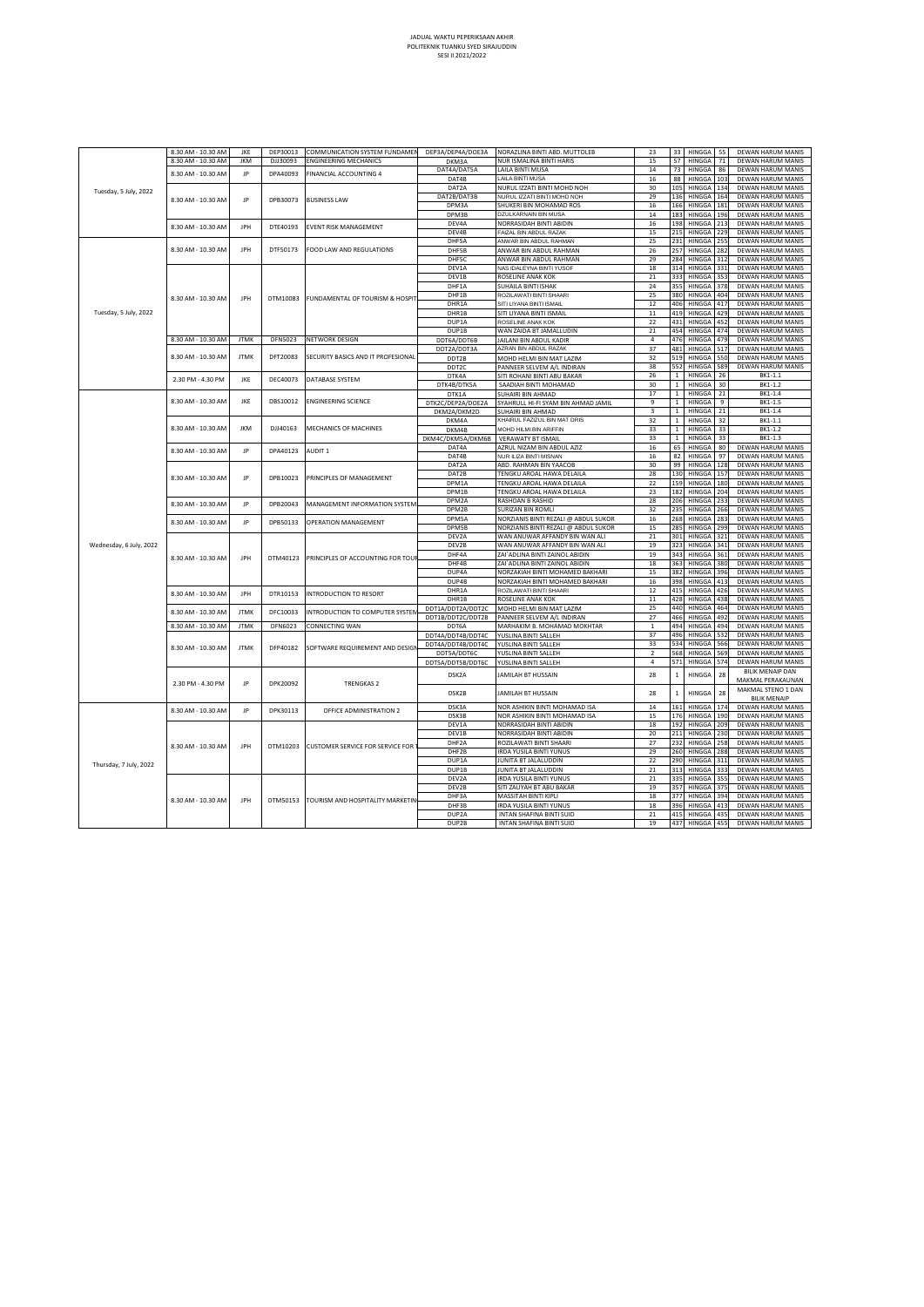| 57<br><b>DEWAN HARUM MANIS</b><br>8.30 AM - 10.30 AM<br><b>IKM</b><br>DJJ30093<br><b>ENGINEERING MECHANICS</b><br>NUR ISMALINA BINTI HARIS<br>15<br>HINGGA<br>71<br>DKM3A<br>DAT4A/DAT5A<br>LAILA BINTI MUSA<br>14<br>73<br>HINGGA<br>86<br>DEWAN HARUM MANIS<br>8.30 AM - 10.30 AM<br>JP<br>DPA40093<br>FINANCIAL ACCOUNTING 4<br>DAT4B<br>HINGGA<br>DEWAN HARUM MANIS<br>LAILA BINTI MUSA<br>16<br>88<br>103<br>NURUL IZZATI BINTI MOHD NOH<br>DEWAN HARUM MANIS<br>DAT2A<br>30<br>105<br>HINGGA<br>134<br>Tuesday, 5 July, 2022<br>DAT2B/DAT3B<br>NURUL IZZATI BINTI MOHD NOH<br>29<br>136<br>HINGGA 164<br>DEWAN HARUM MANIS<br>IP<br>8.30 AM - 10.30 AM<br>DPB30073<br><b>BUSINESS LAW</b><br>SHUKERI BIN MOHAMAD ROS<br>HINGGA<br>DEWAN HARUM MANIS<br>DPM3A<br>16<br>166<br>181<br>DPM3B<br>DEWAN HARUM MANIS<br>DZULKARNAIN BIN MUSA<br>14<br>183<br>HINGGA<br>196<br>NORRASIDAH BINTI ABIDIN<br>DEWAN HARUM MANIS<br>DFV4A<br>16<br>198<br>HINGGA<br>213<br>8.30 AM - 10.30 AM<br>IPH<br>DTE40193<br>EVENT RISK MANAGEMENT<br>DEV4B<br>FAIZAL BIN ABDUL RAZAK<br>HINGGA<br>DEWAN HARUM MANIS<br>15<br>215<br>22c<br>DHF5A<br>ANWAR BIN ABDUL RAHMAN<br>25<br>231<br>HINGGA<br>255<br>DEWAN HARUM MANIS<br>8.30 AM - 10.30 AM<br>IPH<br>DTF50173<br>FOOD LAW AND REGULATIONS<br>DEWAN HARUM MANIS<br>DHF5B<br>ANWAR BIN ABDUL RAHMAN<br>26<br>257<br>HINGGA<br>282<br>DHF5C<br>DEWAN HARUM MANIS<br>ANWAR BIN ABDUL RAHMAN<br>29<br>284<br>HINGGA<br>312<br>DEV1A<br>NAS IDALEYNA BINTI YUSOF<br>18<br>314<br>HINGGA<br>331<br>DEWAN HARUM MANIS<br>ROSELINE ANAK KOK<br>21<br>333<br>HINGGA<br>DEWAN HARUM MANIS<br>DEV1B<br>353<br>SUHAILA BINTI ISHAK<br>24<br>355<br>HINGGA<br>DEWAN HARUM MANIS<br>DHF1A<br>378<br>DHF1B<br>ROZILAWATI BINTI SHAARI<br>25<br>380<br>HINGGA<br>404<br>DEWAN HARUM MANIS<br>8.30 AM - 10.30 AM<br>IPH<br>DTM10083<br>FUNDAMENTAL OF TOURISM & HOSPIT<br>DHR1A<br>SITI LIYANA BINTI ISMAIL<br>12<br>406<br>HINGGA<br><b>DEWAN HARUM MANIS</b><br>417<br>Tuesday, 5 July, 2022<br>DHR1B<br>SITI LIYANA BINTI ISMAIL<br>11<br>419<br>HINGGA<br>42c<br>DEWAN HARUM MANIS<br>431 HINGGA<br>DEWAN HARUM MANIS<br>DUP1A<br>ROSELINE ANAK KOK<br>22<br>452<br>454<br>HINGGA<br>DEWAN HARUM MANIS<br>DUP1B<br>WAN ZAIDA BT JAMALLUDIN<br>21<br>474<br>8.30 AM - 10.30 AM<br><b>JTMK</b><br>DFN5023<br>NETWORK DESIGN<br>DDT6A/DDT6B<br>4<br>476<br>HINGGA 479<br>DEWAN HARUM MANIS<br>JAILANI BIN ABDUL KADIR<br>37<br>481<br>HINGGA<br>DEWAN HARUM MANIS<br>DDT2A/DDT3A<br>AZRAN BIN ABDUL RAZAK<br>517<br>8.30 AM - 10.30 AM<br><b>JTMK</b><br>DFT20083<br>SECURITY BASICS AND IT PROFESIONAL<br>HINGGA<br>32<br>519<br>DEWAN HARUM MANIS<br>DDT2B<br>MOHD HELMI BIN MAT LAZIM<br>550<br>38<br>552<br>HINGGA<br>DEWAN HARUM MANIS<br>589<br>DDT2C<br>PANNEER SELVEM A/L INDIRAN<br>DTK4A<br>SITI ROHANI BINTI ABU BAKAR<br>26<br>$\overline{1}$<br>HINGGA<br>26<br>BK1-1.1<br>2.30 PM - 4.30 PM<br>JKE<br>DEC40073<br>DATABASE SYSTEM<br>30<br>$\mathbf 1$<br>HINGGA<br>30<br>BK1-1.2<br>DTK4B/DTK5A<br>SAADIAH BINTI MOHAMAD<br>17<br>$\mathbf 1$<br>HINGGA<br>BK1-1.4<br>DTK1A<br>SUHAIRI BIN AHMAD<br>21<br>IKF<br>DBS10012<br>ENGINEERING SCIENCE<br>8.30 AM - 10.30 AM<br>DTK2C/DEP2A/DOE2A<br>SYAHRULL HI-FI SYAM BIN AHMAD JAMIL<br>9<br>$\mathbf{1}$<br>HINGGA<br>9<br>BK1-1.5<br>$1\,$<br>$\overline{3}$<br>HINGGA<br>21<br>BK1-1.4<br>DKM2A/DKM2D<br>SUHAIRI BIN AHMAD<br>KHAIRUL FAZIZUL BIN MAT DRIS<br>32<br>$\,1\,$<br>HINGGA<br>32<br>BK1-1.1<br>DKM4A<br>MECHANICS OF MACHINES<br>8.30 AM - 10.30 AM<br><b>JKM</b><br>DJJ40163<br>MOHD HILMI BIN ARIFFIN<br>33<br>$1\,$<br>HINGGA<br>33<br>BK1-1.2<br>DKM4B<br>33<br>$\,1\,$<br>HINGGA<br>BK1-1.3<br>DKM4C/DKM5A/DKM6B<br><b>VERAWATY BT ISMAIL</b><br>33<br>DEWAN HARUM MANIS<br>DAT4A<br>AZRUL NIZAM BIN ABDUL AZIZ<br>16<br>65<br>HINGGA<br>80<br>8.30 AM - 10.30 AM<br>JP<br>DPA40123<br>AUDIT <sub>1</sub><br>NUR ILIZA BINTI MISNAN<br>DEWAN HARUM MANIS<br>DAT4B<br>16<br>82<br>HINGGA<br>97<br>DAT2A<br>ABD. RAHMAN BIN YAACOB<br>30<br>99<br>HINGGA<br>DEWAN HARUM MANIS<br>128<br>DAT2B<br>TENGKU AROAL HAWA DELAILA<br>28<br>130<br>HINGGA 157<br>DEWAN HARUM MANIS<br>IP<br>DPB10023<br>PRINCIPI ES OF MANAGEMENT<br>8.30 AM - 10.30 AM<br>DPM1A<br>TENGKU AROAL HAWA DELAILA<br>22<br>159<br>HINGGA<br>180<br>DEWAN HARUM MANIS<br>DPM1B<br>HINGGA 204<br><b>DEWAN HARUM MANIS</b><br>TENGKU AROAL HAWA DELAILA<br>182<br>23<br>DPM2A<br>RASHDAN B RASHID<br>HINGGA<br>DEWAN HARUM MANIS<br>28<br>206<br>233<br>8.30 AM - 10.30 AM<br>JP<br>DPB20043<br><b>MANAGEMENT INFORMATION SYSTEM</b><br>DPM2B<br><b>SURIZAN BIN ROMLI</b><br>235<br>HINGGA<br>DEWAN HARUM MANIS<br>32<br>266<br>DPM5A<br>NORZIANIS BINTI REZALI @ ABDUL SUKOR<br>16<br>268<br>HINGGA<br>283<br>DEWAN HARUM MANIS<br>8.30 AM - 10.30 AM<br>JP<br>DPB50133<br>OPERATION MANAGEMENT<br>NORZIANIS BINTI REZALI @ ABDUL SUKOR<br>DPM5B<br>15<br>285<br>HINGGA<br>29c<br>DEWAN HARUM MANIS<br>WAN ANUWAR AFFANDY BIN WAN ALI<br>301<br>HINGGA<br>DEWAN HARUM MANIS<br>DEV2A<br>21<br>321<br>Wednesday, 6 July, 2022<br>DEV2B<br>WAN ANUWAR AFFANDY BIN WAN ALI<br>19<br>323<br>HINGGA<br>341<br>DEWAN HARUM MANIS<br>ZAI`ADLINA BINTI ZAINOL ABIDIN<br>343<br>HINGGA<br>DEWAN HARUM MANIS<br>DHF4A<br>19<br>361<br>8.30 AM - 10.30 AM<br>JPH<br>DTM40123<br>PRINCIPLES OF ACCOUNTING FOR TOU<br>DEWAN HARUM MANIS<br>DHF4B<br>ZAI`ADLINA BINTI ZAINOL ABIDIN<br>18<br>363<br>HINGGA<br>380<br>DUP4A<br>NORZAKIAH BINTI MOHAMED BAKHARI<br>382<br>HINGGA<br>DEWAN HARUM MANIS<br>15<br>396<br>DUP4B<br>NORZAKIAH BINTI MOHAMED BAKHARI<br>398<br>HINGGA<br>DEWAN HARUM MANIS<br>16<br>413<br>DHR1A<br>ROZILAWATI BINTI SHAARI<br>12<br>415<br>HINGGA<br>426<br>DEWAN HARUM MANIS<br>8.30 AM - 10.30 AM<br>JPH<br>DTR10153<br><b>INTRODUCTION TO RESORT</b><br>DHR1B<br>ROSELINE ANAK KOK<br>11<br>428<br>HINGGA<br>438<br>DEWAN HARUM MANIS<br>440<br>HINGGA<br>DEWAN HARUM MANIS<br>DDT1A/DDT2A/DDT2C<br>MOHD HELMI BIN MAT LAZIM<br>25<br>464<br><b>ITMK</b><br>DEC10033<br>INTRODUCTION TO COMPUTER SYSTEM<br>8.30 AM - 10.30 AM<br>DDT1B/DDT2C/DDT2B<br>PANNEER SELVEM A/L INDIRAN<br>27<br>466<br>HINGGA 492<br>DEWAN HARUM MANIS<br><b>JTMK</b><br>DFN6023<br>494<br>8.30 AM - 10.30 AM<br>CONNECTING WAN<br>MARHAKIM B. MOHAMAD MOKHTAR<br>$\,$ 1<br>HINGGA<br>494<br>DEWAN HARUM MANIS<br>DDT6A<br>37<br>HINGGA<br>DDT4A/DDT4B/DDT4C<br>496<br>532<br>DEWAN HARUM MANIS<br>YUSLINA BINTI SALLEH<br>33<br>534<br>HINGGA<br>DEWAN HARUM MANIS<br>566<br>DDT4A/DDT4B/DDT4C<br>YUSLINA BINTI SALLEH<br>DFP40182<br>SOFTWARE REQUIREMENT AND DESIG<br>8.30 AM - 10.30 AM<br><b>JTMK</b><br>$\overline{2}$<br>568<br>HINGGA<br>569<br>DEWAN HARUM MANIS<br>DDT5A/DDT6C<br>YUSLINA BINTI SALLEH<br>571<br>DDT5A/DDT5B/DDT6C<br>YUSLINA BINTI SALLEH<br>4<br>HINGGA<br>574<br>DEWAN HARUM MANIS<br>BILIK MENAIP DAN<br>DSK2A<br>JAMILAH BT HUSSAIN<br>28<br>$\,$ 1 $\,$<br>HINGGA<br>28<br>MAKMAL PERAKAUNAN<br>DPK20092<br>2.30 PM - 4.30 PM<br>IP<br><b>TRENGKAS2</b><br>MAKMAL STENO 1 DAN<br>28<br>28<br>DSK2B<br>JAMILAH BT HUSSAIN<br>$\mathbf{1}$<br><b>HINGGA</b><br><b>BILIK MENAIP</b><br>NOR ASHIKIN BINTI MOHAMAD ISA<br>DSK3A<br>14<br>161 HINGGA 174<br>DEWAN HARUM MANIS<br>8.30 AM - 10.30 AM<br>IP<br>DPK30113<br>OFFICE ADMINISTRATION 2<br>DSK3B<br>NOR ASHIKIN BINTI MOHAMAD ISA<br>176<br>HINGGA<br>DEWAN HARUM MANIS<br>15<br>190<br>DEV1A<br>NORRASIDAH BINTI ABIDIN<br>18<br>192<br>HINGGA<br>DEWAN HARUM MANIS<br>209<br>DEV1B<br>NORRASIDAH BINTI ABIDIN<br>20<br>211<br>HINGGA<br>DEWAN HARUM MANIS<br>230<br>DHF2A<br>ROZILAWATI BINTI SHAARI<br>27<br>232<br>HINGGA<br>258<br>DEWAN HARUM MANIS<br>IPH<br>DTM10203<br>CUSTOMER SERVICE FOR SERVICE FOR<br>8.30 AM - 10.30 AM<br>DHF2B<br><b>IRDA YUSILA BINTI YUNUS</b><br>29<br>260<br>HINGGA 288<br>DEWAN HARUM MANIS<br>DUP1A<br>JUNITA BT JALALUDDIN<br>22<br>290<br>HINGGA 311<br>DEWAN HARUM MANIS<br>Thursday, 7 July, 2022<br>JUNITA BT JALALUDDIN<br>DUP1B<br>21<br>313<br>HINGGA 333<br>DEWAN HARUM MANIS<br>DEV2A<br><b>IRDA YUSILA BINTI YUNUS</b><br><b>HINGGA</b><br>DEWAN HARUM MANIS<br>21<br>335<br>355<br>DFV2B<br>SITI ZAUYAH BT ABU BAKAR<br>HINGGA<br>DEWAN HARUM MANIS<br>19<br>357<br>375<br>DHF3A<br>MASSITAH BINTI KIPLI<br>18<br>377<br>HINGGA<br>394<br>DEWAN HARUM MANIS<br>8.30 AM - 10.30 AM<br>JPH<br>DTM50153<br>TOURISM AND HOSPITALITY MARKETIN<br>DHF3B<br><b>RDA YUSILA BINTI YUNUS</b><br>18<br>396<br>HINGGA<br>DEWAN HARUM MANIS<br>413<br>INTAN SHAFINA BINTI SUID<br>DEWAN HARUM MANIS<br>DUP2A<br>21<br>415<br>HINGGA<br>435<br>DUP2B<br>INTAN SHAFINA BINTI SUID<br>19<br>437<br>HINGGA 455<br>DEWAN HARUM MANIS |  | 8.30 AM - 10.30 AM | JKE | DEP30013 | COMMUNICATION SYSTEM FUNDAME | DEP3A/DEP4A/DOE3A | NORAZLINA BINTI ABD. MUTTOLEB | 23 | 33 | HINGGA | 55 | DEWAN HARUM MANIS |
|----------------------------------------------------------------------------------------------------------------------------------------------------------------------------------------------------------------------------------------------------------------------------------------------------------------------------------------------------------------------------------------------------------------------------------------------------------------------------------------------------------------------------------------------------------------------------------------------------------------------------------------------------------------------------------------------------------------------------------------------------------------------------------------------------------------------------------------------------------------------------------------------------------------------------------------------------------------------------------------------------------------------------------------------------------------------------------------------------------------------------------------------------------------------------------------------------------------------------------------------------------------------------------------------------------------------------------------------------------------------------------------------------------------------------------------------------------------------------------------------------------------------------------------------------------------------------------------------------------------------------------------------------------------------------------------------------------------------------------------------------------------------------------------------------------------------------------------------------------------------------------------------------------------------------------------------------------------------------------------------------------------------------------------------------------------------------------------------------------------------------------------------------------------------------------------------------------------------------------------------------------------------------------------------------------------------------------------------------------------------------------------------------------------------------------------------------------------------------------------------------------------------------------------------------------------------------------------------------------------------------------------------------------------------------------------------------------------------------------------------------------------------------------------------------------------------------------------------------------------------------------------------------------------------------------------------------------------------------------------------------------------------------------------------------------------------------------------------------------------------------------------------------------------------------------------------------------------------------------------------------------------------------------------------------------------------------------------------------------------------------------------------------------------------------------------------------------------------------------------------------------------------------------------------------------------------------------------------------------------------------------------------------------------------------------------------------------------------------------------------------------------------------------------------------------------------------------------------------------------------------------------------------------------------------------------------------------------------------------------------------------------------------------------------------------------------------------------------------------------------------------------------------------------------------------------------------------------------------------------------------------------------------------------------------------------------------------------------------------------------------------------------------------------------------------------------------------------------------------------------------------------------------------------------------------------------------------------------------------------------------------------------------------------------------------------------------------------------------------------------------------------------------------------------------------------------------------------------------------------------------------------------------------------------------------------------------------------------------------------------------------------------------------------------------------------------------------------------------------------------------------------------------------------------------------------------------------------------------------------------------------------------------------------------------------------------------------------------------------------------------------------------------------------------------------------------------------------------------------------------------------------------------------------------------------------------------------------------------------------------------------------------------------------------------------------------------------------------------------------------------------------------------------------------------------------------------------------------------------------------------------------------------------------------------------------------------------------------------------------------------------------------------------------------------------------------------------------------------------------------------------------------------------------------------------------------------------------------------------------------------------------------------------------------------------------------------------------------------------------------------------------------------------------------------------------------------------------------------------------------------------------------------------------------------------------------------------------------------------------------------------------------------------------------------------------------------------------------------------------------------------------------------------------------------------------------------------------------------------------------------------------------------------------------------------------------------------------------------------------------------------------------------------------------------------------------------------------------------------------------------------------------------------------------------------------------------------------------------------------------------------------------------------------------------------------------------------------------------------------------------------------------------------------------------------------------------------------------------------------------------------------------------------------------------------------------------------------------------------------------------------------------------------------------------------------------------------------------------------------------------------------------------------------------------------------------------------------------------------------------------------------------------------------------------------------------------------------------------------------------------------------------------------------------------------------------------------------------------------------------------------------------------------------------------------------------------------------------------------------------------------------------------------------------------------------------------------------------------------------------------------------------------------------------------------------------------------------------------------------------------------------------------------------------------------------------------------------------------------------------------------------------------------------------------------------------------------------------------|--|--------------------|-----|----------|------------------------------|-------------------|-------------------------------|----|----|--------|----|-------------------|
|                                                                                                                                                                                                                                                                                                                                                                                                                                                                                                                                                                                                                                                                                                                                                                                                                                                                                                                                                                                                                                                                                                                                                                                                                                                                                                                                                                                                                                                                                                                                                                                                                                                                                                                                                                                                                                                                                                                                                                                                                                                                                                                                                                                                                                                                                                                                                                                                                                                                                                                                                                                                                                                                                                                                                                                                                                                                                                                                                                                                                                                                                                                                                                                                                                                                                                                                                                                                                                                                                                                                                                                                                                                                                                                                                                                                                                                                                                                                                                                                                                                                                                                                                                                                                                                                                                                                                                                                                                                                                                                                                                                                                                                                                                                                                                                                                                                                                                                                                                                                                                                                                                                                                                                                                                                                                                                                                                                                                                                                                                                                                                                                                                                                                                                                                                                                                                                                                                                                                                                                                                                                                                                                                                                                                                                                                                                                                                                                                                                                                                                                                                                                                                                                                                                                                                                                                                                                                                                                                                                                                                                                                                                                                                                                                                                                                                                                                                                                                                                                                                                                                                                                                                                                                                                                                                                                                                                                                                                                                                                                                                                                                                                                                                                                                                                                                                                                                                                                                                                                                                                                                                                                                                                                                                                            |  |                    |     |          |                              |                   |                               |    |    |        |    |                   |
|                                                                                                                                                                                                                                                                                                                                                                                                                                                                                                                                                                                                                                                                                                                                                                                                                                                                                                                                                                                                                                                                                                                                                                                                                                                                                                                                                                                                                                                                                                                                                                                                                                                                                                                                                                                                                                                                                                                                                                                                                                                                                                                                                                                                                                                                                                                                                                                                                                                                                                                                                                                                                                                                                                                                                                                                                                                                                                                                                                                                                                                                                                                                                                                                                                                                                                                                                                                                                                                                                                                                                                                                                                                                                                                                                                                                                                                                                                                                                                                                                                                                                                                                                                                                                                                                                                                                                                                                                                                                                                                                                                                                                                                                                                                                                                                                                                                                                                                                                                                                                                                                                                                                                                                                                                                                                                                                                                                                                                                                                                                                                                                                                                                                                                                                                                                                                                                                                                                                                                                                                                                                                                                                                                                                                                                                                                                                                                                                                                                                                                                                                                                                                                                                                                                                                                                                                                                                                                                                                                                                                                                                                                                                                                                                                                                                                                                                                                                                                                                                                                                                                                                                                                                                                                                                                                                                                                                                                                                                                                                                                                                                                                                                                                                                                                                                                                                                                                                                                                                                                                                                                                                                                                                                                                                            |  |                    |     |          |                              |                   |                               |    |    |        |    |                   |
|                                                                                                                                                                                                                                                                                                                                                                                                                                                                                                                                                                                                                                                                                                                                                                                                                                                                                                                                                                                                                                                                                                                                                                                                                                                                                                                                                                                                                                                                                                                                                                                                                                                                                                                                                                                                                                                                                                                                                                                                                                                                                                                                                                                                                                                                                                                                                                                                                                                                                                                                                                                                                                                                                                                                                                                                                                                                                                                                                                                                                                                                                                                                                                                                                                                                                                                                                                                                                                                                                                                                                                                                                                                                                                                                                                                                                                                                                                                                                                                                                                                                                                                                                                                                                                                                                                                                                                                                                                                                                                                                                                                                                                                                                                                                                                                                                                                                                                                                                                                                                                                                                                                                                                                                                                                                                                                                                                                                                                                                                                                                                                                                                                                                                                                                                                                                                                                                                                                                                                                                                                                                                                                                                                                                                                                                                                                                                                                                                                                                                                                                                                                                                                                                                                                                                                                                                                                                                                                                                                                                                                                                                                                                                                                                                                                                                                                                                                                                                                                                                                                                                                                                                                                                                                                                                                                                                                                                                                                                                                                                                                                                                                                                                                                                                                                                                                                                                                                                                                                                                                                                                                                                                                                                                                                            |  |                    |     |          |                              |                   |                               |    |    |        |    |                   |
|                                                                                                                                                                                                                                                                                                                                                                                                                                                                                                                                                                                                                                                                                                                                                                                                                                                                                                                                                                                                                                                                                                                                                                                                                                                                                                                                                                                                                                                                                                                                                                                                                                                                                                                                                                                                                                                                                                                                                                                                                                                                                                                                                                                                                                                                                                                                                                                                                                                                                                                                                                                                                                                                                                                                                                                                                                                                                                                                                                                                                                                                                                                                                                                                                                                                                                                                                                                                                                                                                                                                                                                                                                                                                                                                                                                                                                                                                                                                                                                                                                                                                                                                                                                                                                                                                                                                                                                                                                                                                                                                                                                                                                                                                                                                                                                                                                                                                                                                                                                                                                                                                                                                                                                                                                                                                                                                                                                                                                                                                                                                                                                                                                                                                                                                                                                                                                                                                                                                                                                                                                                                                                                                                                                                                                                                                                                                                                                                                                                                                                                                                                                                                                                                                                                                                                                                                                                                                                                                                                                                                                                                                                                                                                                                                                                                                                                                                                                                                                                                                                                                                                                                                                                                                                                                                                                                                                                                                                                                                                                                                                                                                                                                                                                                                                                                                                                                                                                                                                                                                                                                                                                                                                                                                                                            |  |                    |     |          |                              |                   |                               |    |    |        |    |                   |
|                                                                                                                                                                                                                                                                                                                                                                                                                                                                                                                                                                                                                                                                                                                                                                                                                                                                                                                                                                                                                                                                                                                                                                                                                                                                                                                                                                                                                                                                                                                                                                                                                                                                                                                                                                                                                                                                                                                                                                                                                                                                                                                                                                                                                                                                                                                                                                                                                                                                                                                                                                                                                                                                                                                                                                                                                                                                                                                                                                                                                                                                                                                                                                                                                                                                                                                                                                                                                                                                                                                                                                                                                                                                                                                                                                                                                                                                                                                                                                                                                                                                                                                                                                                                                                                                                                                                                                                                                                                                                                                                                                                                                                                                                                                                                                                                                                                                                                                                                                                                                                                                                                                                                                                                                                                                                                                                                                                                                                                                                                                                                                                                                                                                                                                                                                                                                                                                                                                                                                                                                                                                                                                                                                                                                                                                                                                                                                                                                                                                                                                                                                                                                                                                                                                                                                                                                                                                                                                                                                                                                                                                                                                                                                                                                                                                                                                                                                                                                                                                                                                                                                                                                                                                                                                                                                                                                                                                                                                                                                                                                                                                                                                                                                                                                                                                                                                                                                                                                                                                                                                                                                                                                                                                                                                            |  |                    |     |          |                              |                   |                               |    |    |        |    |                   |
|                                                                                                                                                                                                                                                                                                                                                                                                                                                                                                                                                                                                                                                                                                                                                                                                                                                                                                                                                                                                                                                                                                                                                                                                                                                                                                                                                                                                                                                                                                                                                                                                                                                                                                                                                                                                                                                                                                                                                                                                                                                                                                                                                                                                                                                                                                                                                                                                                                                                                                                                                                                                                                                                                                                                                                                                                                                                                                                                                                                                                                                                                                                                                                                                                                                                                                                                                                                                                                                                                                                                                                                                                                                                                                                                                                                                                                                                                                                                                                                                                                                                                                                                                                                                                                                                                                                                                                                                                                                                                                                                                                                                                                                                                                                                                                                                                                                                                                                                                                                                                                                                                                                                                                                                                                                                                                                                                                                                                                                                                                                                                                                                                                                                                                                                                                                                                                                                                                                                                                                                                                                                                                                                                                                                                                                                                                                                                                                                                                                                                                                                                                                                                                                                                                                                                                                                                                                                                                                                                                                                                                                                                                                                                                                                                                                                                                                                                                                                                                                                                                                                                                                                                                                                                                                                                                                                                                                                                                                                                                                                                                                                                                                                                                                                                                                                                                                                                                                                                                                                                                                                                                                                                                                                                                                            |  |                    |     |          |                              |                   |                               |    |    |        |    |                   |
|                                                                                                                                                                                                                                                                                                                                                                                                                                                                                                                                                                                                                                                                                                                                                                                                                                                                                                                                                                                                                                                                                                                                                                                                                                                                                                                                                                                                                                                                                                                                                                                                                                                                                                                                                                                                                                                                                                                                                                                                                                                                                                                                                                                                                                                                                                                                                                                                                                                                                                                                                                                                                                                                                                                                                                                                                                                                                                                                                                                                                                                                                                                                                                                                                                                                                                                                                                                                                                                                                                                                                                                                                                                                                                                                                                                                                                                                                                                                                                                                                                                                                                                                                                                                                                                                                                                                                                                                                                                                                                                                                                                                                                                                                                                                                                                                                                                                                                                                                                                                                                                                                                                                                                                                                                                                                                                                                                                                                                                                                                                                                                                                                                                                                                                                                                                                                                                                                                                                                                                                                                                                                                                                                                                                                                                                                                                                                                                                                                                                                                                                                                                                                                                                                                                                                                                                                                                                                                                                                                                                                                                                                                                                                                                                                                                                                                                                                                                                                                                                                                                                                                                                                                                                                                                                                                                                                                                                                                                                                                                                                                                                                                                                                                                                                                                                                                                                                                                                                                                                                                                                                                                                                                                                                                                            |  |                    |     |          |                              |                   |                               |    |    |        |    |                   |
|                                                                                                                                                                                                                                                                                                                                                                                                                                                                                                                                                                                                                                                                                                                                                                                                                                                                                                                                                                                                                                                                                                                                                                                                                                                                                                                                                                                                                                                                                                                                                                                                                                                                                                                                                                                                                                                                                                                                                                                                                                                                                                                                                                                                                                                                                                                                                                                                                                                                                                                                                                                                                                                                                                                                                                                                                                                                                                                                                                                                                                                                                                                                                                                                                                                                                                                                                                                                                                                                                                                                                                                                                                                                                                                                                                                                                                                                                                                                                                                                                                                                                                                                                                                                                                                                                                                                                                                                                                                                                                                                                                                                                                                                                                                                                                                                                                                                                                                                                                                                                                                                                                                                                                                                                                                                                                                                                                                                                                                                                                                                                                                                                                                                                                                                                                                                                                                                                                                                                                                                                                                                                                                                                                                                                                                                                                                                                                                                                                                                                                                                                                                                                                                                                                                                                                                                                                                                                                                                                                                                                                                                                                                                                                                                                                                                                                                                                                                                                                                                                                                                                                                                                                                                                                                                                                                                                                                                                                                                                                                                                                                                                                                                                                                                                                                                                                                                                                                                                                                                                                                                                                                                                                                                                                                            |  |                    |     |          |                              |                   |                               |    |    |        |    |                   |
|                                                                                                                                                                                                                                                                                                                                                                                                                                                                                                                                                                                                                                                                                                                                                                                                                                                                                                                                                                                                                                                                                                                                                                                                                                                                                                                                                                                                                                                                                                                                                                                                                                                                                                                                                                                                                                                                                                                                                                                                                                                                                                                                                                                                                                                                                                                                                                                                                                                                                                                                                                                                                                                                                                                                                                                                                                                                                                                                                                                                                                                                                                                                                                                                                                                                                                                                                                                                                                                                                                                                                                                                                                                                                                                                                                                                                                                                                                                                                                                                                                                                                                                                                                                                                                                                                                                                                                                                                                                                                                                                                                                                                                                                                                                                                                                                                                                                                                                                                                                                                                                                                                                                                                                                                                                                                                                                                                                                                                                                                                                                                                                                                                                                                                                                                                                                                                                                                                                                                                                                                                                                                                                                                                                                                                                                                                                                                                                                                                                                                                                                                                                                                                                                                                                                                                                                                                                                                                                                                                                                                                                                                                                                                                                                                                                                                                                                                                                                                                                                                                                                                                                                                                                                                                                                                                                                                                                                                                                                                                                                                                                                                                                                                                                                                                                                                                                                                                                                                                                                                                                                                                                                                                                                                                                            |  |                    |     |          |                              |                   |                               |    |    |        |    |                   |
|                                                                                                                                                                                                                                                                                                                                                                                                                                                                                                                                                                                                                                                                                                                                                                                                                                                                                                                                                                                                                                                                                                                                                                                                                                                                                                                                                                                                                                                                                                                                                                                                                                                                                                                                                                                                                                                                                                                                                                                                                                                                                                                                                                                                                                                                                                                                                                                                                                                                                                                                                                                                                                                                                                                                                                                                                                                                                                                                                                                                                                                                                                                                                                                                                                                                                                                                                                                                                                                                                                                                                                                                                                                                                                                                                                                                                                                                                                                                                                                                                                                                                                                                                                                                                                                                                                                                                                                                                                                                                                                                                                                                                                                                                                                                                                                                                                                                                                                                                                                                                                                                                                                                                                                                                                                                                                                                                                                                                                                                                                                                                                                                                                                                                                                                                                                                                                                                                                                                                                                                                                                                                                                                                                                                                                                                                                                                                                                                                                                                                                                                                                                                                                                                                                                                                                                                                                                                                                                                                                                                                                                                                                                                                                                                                                                                                                                                                                                                                                                                                                                                                                                                                                                                                                                                                                                                                                                                                                                                                                                                                                                                                                                                                                                                                                                                                                                                                                                                                                                                                                                                                                                                                                                                                                                            |  |                    |     |          |                              |                   |                               |    |    |        |    |                   |
|                                                                                                                                                                                                                                                                                                                                                                                                                                                                                                                                                                                                                                                                                                                                                                                                                                                                                                                                                                                                                                                                                                                                                                                                                                                                                                                                                                                                                                                                                                                                                                                                                                                                                                                                                                                                                                                                                                                                                                                                                                                                                                                                                                                                                                                                                                                                                                                                                                                                                                                                                                                                                                                                                                                                                                                                                                                                                                                                                                                                                                                                                                                                                                                                                                                                                                                                                                                                                                                                                                                                                                                                                                                                                                                                                                                                                                                                                                                                                                                                                                                                                                                                                                                                                                                                                                                                                                                                                                                                                                                                                                                                                                                                                                                                                                                                                                                                                                                                                                                                                                                                                                                                                                                                                                                                                                                                                                                                                                                                                                                                                                                                                                                                                                                                                                                                                                                                                                                                                                                                                                                                                                                                                                                                                                                                                                                                                                                                                                                                                                                                                                                                                                                                                                                                                                                                                                                                                                                                                                                                                                                                                                                                                                                                                                                                                                                                                                                                                                                                                                                                                                                                                                                                                                                                                                                                                                                                                                                                                                                                                                                                                                                                                                                                                                                                                                                                                                                                                                                                                                                                                                                                                                                                                                                            |  |                    |     |          |                              |                   |                               |    |    |        |    |                   |
|                                                                                                                                                                                                                                                                                                                                                                                                                                                                                                                                                                                                                                                                                                                                                                                                                                                                                                                                                                                                                                                                                                                                                                                                                                                                                                                                                                                                                                                                                                                                                                                                                                                                                                                                                                                                                                                                                                                                                                                                                                                                                                                                                                                                                                                                                                                                                                                                                                                                                                                                                                                                                                                                                                                                                                                                                                                                                                                                                                                                                                                                                                                                                                                                                                                                                                                                                                                                                                                                                                                                                                                                                                                                                                                                                                                                                                                                                                                                                                                                                                                                                                                                                                                                                                                                                                                                                                                                                                                                                                                                                                                                                                                                                                                                                                                                                                                                                                                                                                                                                                                                                                                                                                                                                                                                                                                                                                                                                                                                                                                                                                                                                                                                                                                                                                                                                                                                                                                                                                                                                                                                                                                                                                                                                                                                                                                                                                                                                                                                                                                                                                                                                                                                                                                                                                                                                                                                                                                                                                                                                                                                                                                                                                                                                                                                                                                                                                                                                                                                                                                                                                                                                                                                                                                                                                                                                                                                                                                                                                                                                                                                                                                                                                                                                                                                                                                                                                                                                                                                                                                                                                                                                                                                                                                            |  |                    |     |          |                              |                   |                               |    |    |        |    |                   |
|                                                                                                                                                                                                                                                                                                                                                                                                                                                                                                                                                                                                                                                                                                                                                                                                                                                                                                                                                                                                                                                                                                                                                                                                                                                                                                                                                                                                                                                                                                                                                                                                                                                                                                                                                                                                                                                                                                                                                                                                                                                                                                                                                                                                                                                                                                                                                                                                                                                                                                                                                                                                                                                                                                                                                                                                                                                                                                                                                                                                                                                                                                                                                                                                                                                                                                                                                                                                                                                                                                                                                                                                                                                                                                                                                                                                                                                                                                                                                                                                                                                                                                                                                                                                                                                                                                                                                                                                                                                                                                                                                                                                                                                                                                                                                                                                                                                                                                                                                                                                                                                                                                                                                                                                                                                                                                                                                                                                                                                                                                                                                                                                                                                                                                                                                                                                                                                                                                                                                                                                                                                                                                                                                                                                                                                                                                                                                                                                                                                                                                                                                                                                                                                                                                                                                                                                                                                                                                                                                                                                                                                                                                                                                                                                                                                                                                                                                                                                                                                                                                                                                                                                                                                                                                                                                                                                                                                                                                                                                                                                                                                                                                                                                                                                                                                                                                                                                                                                                                                                                                                                                                                                                                                                                                                            |  |                    |     |          |                              |                   |                               |    |    |        |    |                   |
|                                                                                                                                                                                                                                                                                                                                                                                                                                                                                                                                                                                                                                                                                                                                                                                                                                                                                                                                                                                                                                                                                                                                                                                                                                                                                                                                                                                                                                                                                                                                                                                                                                                                                                                                                                                                                                                                                                                                                                                                                                                                                                                                                                                                                                                                                                                                                                                                                                                                                                                                                                                                                                                                                                                                                                                                                                                                                                                                                                                                                                                                                                                                                                                                                                                                                                                                                                                                                                                                                                                                                                                                                                                                                                                                                                                                                                                                                                                                                                                                                                                                                                                                                                                                                                                                                                                                                                                                                                                                                                                                                                                                                                                                                                                                                                                                                                                                                                                                                                                                                                                                                                                                                                                                                                                                                                                                                                                                                                                                                                                                                                                                                                                                                                                                                                                                                                                                                                                                                                                                                                                                                                                                                                                                                                                                                                                                                                                                                                                                                                                                                                                                                                                                                                                                                                                                                                                                                                                                                                                                                                                                                                                                                                                                                                                                                                                                                                                                                                                                                                                                                                                                                                                                                                                                                                                                                                                                                                                                                                                                                                                                                                                                                                                                                                                                                                                                                                                                                                                                                                                                                                                                                                                                                                                            |  |                    |     |          |                              |                   |                               |    |    |        |    |                   |
|                                                                                                                                                                                                                                                                                                                                                                                                                                                                                                                                                                                                                                                                                                                                                                                                                                                                                                                                                                                                                                                                                                                                                                                                                                                                                                                                                                                                                                                                                                                                                                                                                                                                                                                                                                                                                                                                                                                                                                                                                                                                                                                                                                                                                                                                                                                                                                                                                                                                                                                                                                                                                                                                                                                                                                                                                                                                                                                                                                                                                                                                                                                                                                                                                                                                                                                                                                                                                                                                                                                                                                                                                                                                                                                                                                                                                                                                                                                                                                                                                                                                                                                                                                                                                                                                                                                                                                                                                                                                                                                                                                                                                                                                                                                                                                                                                                                                                                                                                                                                                                                                                                                                                                                                                                                                                                                                                                                                                                                                                                                                                                                                                                                                                                                                                                                                                                                                                                                                                                                                                                                                                                                                                                                                                                                                                                                                                                                                                                                                                                                                                                                                                                                                                                                                                                                                                                                                                                                                                                                                                                                                                                                                                                                                                                                                                                                                                                                                                                                                                                                                                                                                                                                                                                                                                                                                                                                                                                                                                                                                                                                                                                                                                                                                                                                                                                                                                                                                                                                                                                                                                                                                                                                                                                                            |  |                    |     |          |                              |                   |                               |    |    |        |    |                   |
|                                                                                                                                                                                                                                                                                                                                                                                                                                                                                                                                                                                                                                                                                                                                                                                                                                                                                                                                                                                                                                                                                                                                                                                                                                                                                                                                                                                                                                                                                                                                                                                                                                                                                                                                                                                                                                                                                                                                                                                                                                                                                                                                                                                                                                                                                                                                                                                                                                                                                                                                                                                                                                                                                                                                                                                                                                                                                                                                                                                                                                                                                                                                                                                                                                                                                                                                                                                                                                                                                                                                                                                                                                                                                                                                                                                                                                                                                                                                                                                                                                                                                                                                                                                                                                                                                                                                                                                                                                                                                                                                                                                                                                                                                                                                                                                                                                                                                                                                                                                                                                                                                                                                                                                                                                                                                                                                                                                                                                                                                                                                                                                                                                                                                                                                                                                                                                                                                                                                                                                                                                                                                                                                                                                                                                                                                                                                                                                                                                                                                                                                                                                                                                                                                                                                                                                                                                                                                                                                                                                                                                                                                                                                                                                                                                                                                                                                                                                                                                                                                                                                                                                                                                                                                                                                                                                                                                                                                                                                                                                                                                                                                                                                                                                                                                                                                                                                                                                                                                                                                                                                                                                                                                                                                                                            |  |                    |     |          |                              |                   |                               |    |    |        |    |                   |
|                                                                                                                                                                                                                                                                                                                                                                                                                                                                                                                                                                                                                                                                                                                                                                                                                                                                                                                                                                                                                                                                                                                                                                                                                                                                                                                                                                                                                                                                                                                                                                                                                                                                                                                                                                                                                                                                                                                                                                                                                                                                                                                                                                                                                                                                                                                                                                                                                                                                                                                                                                                                                                                                                                                                                                                                                                                                                                                                                                                                                                                                                                                                                                                                                                                                                                                                                                                                                                                                                                                                                                                                                                                                                                                                                                                                                                                                                                                                                                                                                                                                                                                                                                                                                                                                                                                                                                                                                                                                                                                                                                                                                                                                                                                                                                                                                                                                                                                                                                                                                                                                                                                                                                                                                                                                                                                                                                                                                                                                                                                                                                                                                                                                                                                                                                                                                                                                                                                                                                                                                                                                                                                                                                                                                                                                                                                                                                                                                                                                                                                                                                                                                                                                                                                                                                                                                                                                                                                                                                                                                                                                                                                                                                                                                                                                                                                                                                                                                                                                                                                                                                                                                                                                                                                                                                                                                                                                                                                                                                                                                                                                                                                                                                                                                                                                                                                                                                                                                                                                                                                                                                                                                                                                                                                            |  |                    |     |          |                              |                   |                               |    |    |        |    |                   |
|                                                                                                                                                                                                                                                                                                                                                                                                                                                                                                                                                                                                                                                                                                                                                                                                                                                                                                                                                                                                                                                                                                                                                                                                                                                                                                                                                                                                                                                                                                                                                                                                                                                                                                                                                                                                                                                                                                                                                                                                                                                                                                                                                                                                                                                                                                                                                                                                                                                                                                                                                                                                                                                                                                                                                                                                                                                                                                                                                                                                                                                                                                                                                                                                                                                                                                                                                                                                                                                                                                                                                                                                                                                                                                                                                                                                                                                                                                                                                                                                                                                                                                                                                                                                                                                                                                                                                                                                                                                                                                                                                                                                                                                                                                                                                                                                                                                                                                                                                                                                                                                                                                                                                                                                                                                                                                                                                                                                                                                                                                                                                                                                                                                                                                                                                                                                                                                                                                                                                                                                                                                                                                                                                                                                                                                                                                                                                                                                                                                                                                                                                                                                                                                                                                                                                                                                                                                                                                                                                                                                                                                                                                                                                                                                                                                                                                                                                                                                                                                                                                                                                                                                                                                                                                                                                                                                                                                                                                                                                                                                                                                                                                                                                                                                                                                                                                                                                                                                                                                                                                                                                                                                                                                                                                                            |  |                    |     |          |                              |                   |                               |    |    |        |    |                   |
|                                                                                                                                                                                                                                                                                                                                                                                                                                                                                                                                                                                                                                                                                                                                                                                                                                                                                                                                                                                                                                                                                                                                                                                                                                                                                                                                                                                                                                                                                                                                                                                                                                                                                                                                                                                                                                                                                                                                                                                                                                                                                                                                                                                                                                                                                                                                                                                                                                                                                                                                                                                                                                                                                                                                                                                                                                                                                                                                                                                                                                                                                                                                                                                                                                                                                                                                                                                                                                                                                                                                                                                                                                                                                                                                                                                                                                                                                                                                                                                                                                                                                                                                                                                                                                                                                                                                                                                                                                                                                                                                                                                                                                                                                                                                                                                                                                                                                                                                                                                                                                                                                                                                                                                                                                                                                                                                                                                                                                                                                                                                                                                                                                                                                                                                                                                                                                                                                                                                                                                                                                                                                                                                                                                                                                                                                                                                                                                                                                                                                                                                                                                                                                                                                                                                                                                                                                                                                                                                                                                                                                                                                                                                                                                                                                                                                                                                                                                                                                                                                                                                                                                                                                                                                                                                                                                                                                                                                                                                                                                                                                                                                                                                                                                                                                                                                                                                                                                                                                                                                                                                                                                                                                                                                                                            |  |                    |     |          |                              |                   |                               |    |    |        |    |                   |
|                                                                                                                                                                                                                                                                                                                                                                                                                                                                                                                                                                                                                                                                                                                                                                                                                                                                                                                                                                                                                                                                                                                                                                                                                                                                                                                                                                                                                                                                                                                                                                                                                                                                                                                                                                                                                                                                                                                                                                                                                                                                                                                                                                                                                                                                                                                                                                                                                                                                                                                                                                                                                                                                                                                                                                                                                                                                                                                                                                                                                                                                                                                                                                                                                                                                                                                                                                                                                                                                                                                                                                                                                                                                                                                                                                                                                                                                                                                                                                                                                                                                                                                                                                                                                                                                                                                                                                                                                                                                                                                                                                                                                                                                                                                                                                                                                                                                                                                                                                                                                                                                                                                                                                                                                                                                                                                                                                                                                                                                                                                                                                                                                                                                                                                                                                                                                                                                                                                                                                                                                                                                                                                                                                                                                                                                                                                                                                                                                                                                                                                                                                                                                                                                                                                                                                                                                                                                                                                                                                                                                                                                                                                                                                                                                                                                                                                                                                                                                                                                                                                                                                                                                                                                                                                                                                                                                                                                                                                                                                                                                                                                                                                                                                                                                                                                                                                                                                                                                                                                                                                                                                                                                                                                                                                            |  |                    |     |          |                              |                   |                               |    |    |        |    |                   |
|                                                                                                                                                                                                                                                                                                                                                                                                                                                                                                                                                                                                                                                                                                                                                                                                                                                                                                                                                                                                                                                                                                                                                                                                                                                                                                                                                                                                                                                                                                                                                                                                                                                                                                                                                                                                                                                                                                                                                                                                                                                                                                                                                                                                                                                                                                                                                                                                                                                                                                                                                                                                                                                                                                                                                                                                                                                                                                                                                                                                                                                                                                                                                                                                                                                                                                                                                                                                                                                                                                                                                                                                                                                                                                                                                                                                                                                                                                                                                                                                                                                                                                                                                                                                                                                                                                                                                                                                                                                                                                                                                                                                                                                                                                                                                                                                                                                                                                                                                                                                                                                                                                                                                                                                                                                                                                                                                                                                                                                                                                                                                                                                                                                                                                                                                                                                                                                                                                                                                                                                                                                                                                                                                                                                                                                                                                                                                                                                                                                                                                                                                                                                                                                                                                                                                                                                                                                                                                                                                                                                                                                                                                                                                                                                                                                                                                                                                                                                                                                                                                                                                                                                                                                                                                                                                                                                                                                                                                                                                                                                                                                                                                                                                                                                                                                                                                                                                                                                                                                                                                                                                                                                                                                                                                                            |  |                    |     |          |                              |                   |                               |    |    |        |    |                   |
|                                                                                                                                                                                                                                                                                                                                                                                                                                                                                                                                                                                                                                                                                                                                                                                                                                                                                                                                                                                                                                                                                                                                                                                                                                                                                                                                                                                                                                                                                                                                                                                                                                                                                                                                                                                                                                                                                                                                                                                                                                                                                                                                                                                                                                                                                                                                                                                                                                                                                                                                                                                                                                                                                                                                                                                                                                                                                                                                                                                                                                                                                                                                                                                                                                                                                                                                                                                                                                                                                                                                                                                                                                                                                                                                                                                                                                                                                                                                                                                                                                                                                                                                                                                                                                                                                                                                                                                                                                                                                                                                                                                                                                                                                                                                                                                                                                                                                                                                                                                                                                                                                                                                                                                                                                                                                                                                                                                                                                                                                                                                                                                                                                                                                                                                                                                                                                                                                                                                                                                                                                                                                                                                                                                                                                                                                                                                                                                                                                                                                                                                                                                                                                                                                                                                                                                                                                                                                                                                                                                                                                                                                                                                                                                                                                                                                                                                                                                                                                                                                                                                                                                                                                                                                                                                                                                                                                                                                                                                                                                                                                                                                                                                                                                                                                                                                                                                                                                                                                                                                                                                                                                                                                                                                                                            |  |                    |     |          |                              |                   |                               |    |    |        |    |                   |
|                                                                                                                                                                                                                                                                                                                                                                                                                                                                                                                                                                                                                                                                                                                                                                                                                                                                                                                                                                                                                                                                                                                                                                                                                                                                                                                                                                                                                                                                                                                                                                                                                                                                                                                                                                                                                                                                                                                                                                                                                                                                                                                                                                                                                                                                                                                                                                                                                                                                                                                                                                                                                                                                                                                                                                                                                                                                                                                                                                                                                                                                                                                                                                                                                                                                                                                                                                                                                                                                                                                                                                                                                                                                                                                                                                                                                                                                                                                                                                                                                                                                                                                                                                                                                                                                                                                                                                                                                                                                                                                                                                                                                                                                                                                                                                                                                                                                                                                                                                                                                                                                                                                                                                                                                                                                                                                                                                                                                                                                                                                                                                                                                                                                                                                                                                                                                                                                                                                                                                                                                                                                                                                                                                                                                                                                                                                                                                                                                                                                                                                                                                                                                                                                                                                                                                                                                                                                                                                                                                                                                                                                                                                                                                                                                                                                                                                                                                                                                                                                                                                                                                                                                                                                                                                                                                                                                                                                                                                                                                                                                                                                                                                                                                                                                                                                                                                                                                                                                                                                                                                                                                                                                                                                                                                            |  |                    |     |          |                              |                   |                               |    |    |        |    |                   |
|                                                                                                                                                                                                                                                                                                                                                                                                                                                                                                                                                                                                                                                                                                                                                                                                                                                                                                                                                                                                                                                                                                                                                                                                                                                                                                                                                                                                                                                                                                                                                                                                                                                                                                                                                                                                                                                                                                                                                                                                                                                                                                                                                                                                                                                                                                                                                                                                                                                                                                                                                                                                                                                                                                                                                                                                                                                                                                                                                                                                                                                                                                                                                                                                                                                                                                                                                                                                                                                                                                                                                                                                                                                                                                                                                                                                                                                                                                                                                                                                                                                                                                                                                                                                                                                                                                                                                                                                                                                                                                                                                                                                                                                                                                                                                                                                                                                                                                                                                                                                                                                                                                                                                                                                                                                                                                                                                                                                                                                                                                                                                                                                                                                                                                                                                                                                                                                                                                                                                                                                                                                                                                                                                                                                                                                                                                                                                                                                                                                                                                                                                                                                                                                                                                                                                                                                                                                                                                                                                                                                                                                                                                                                                                                                                                                                                                                                                                                                                                                                                                                                                                                                                                                                                                                                                                                                                                                                                                                                                                                                                                                                                                                                                                                                                                                                                                                                                                                                                                                                                                                                                                                                                                                                                                                            |  |                    |     |          |                              |                   |                               |    |    |        |    |                   |
|                                                                                                                                                                                                                                                                                                                                                                                                                                                                                                                                                                                                                                                                                                                                                                                                                                                                                                                                                                                                                                                                                                                                                                                                                                                                                                                                                                                                                                                                                                                                                                                                                                                                                                                                                                                                                                                                                                                                                                                                                                                                                                                                                                                                                                                                                                                                                                                                                                                                                                                                                                                                                                                                                                                                                                                                                                                                                                                                                                                                                                                                                                                                                                                                                                                                                                                                                                                                                                                                                                                                                                                                                                                                                                                                                                                                                                                                                                                                                                                                                                                                                                                                                                                                                                                                                                                                                                                                                                                                                                                                                                                                                                                                                                                                                                                                                                                                                                                                                                                                                                                                                                                                                                                                                                                                                                                                                                                                                                                                                                                                                                                                                                                                                                                                                                                                                                                                                                                                                                                                                                                                                                                                                                                                                                                                                                                                                                                                                                                                                                                                                                                                                                                                                                                                                                                                                                                                                                                                                                                                                                                                                                                                                                                                                                                                                                                                                                                                                                                                                                                                                                                                                                                                                                                                                                                                                                                                                                                                                                                                                                                                                                                                                                                                                                                                                                                                                                                                                                                                                                                                                                                                                                                                                                                            |  |                    |     |          |                              |                   |                               |    |    |        |    |                   |
|                                                                                                                                                                                                                                                                                                                                                                                                                                                                                                                                                                                                                                                                                                                                                                                                                                                                                                                                                                                                                                                                                                                                                                                                                                                                                                                                                                                                                                                                                                                                                                                                                                                                                                                                                                                                                                                                                                                                                                                                                                                                                                                                                                                                                                                                                                                                                                                                                                                                                                                                                                                                                                                                                                                                                                                                                                                                                                                                                                                                                                                                                                                                                                                                                                                                                                                                                                                                                                                                                                                                                                                                                                                                                                                                                                                                                                                                                                                                                                                                                                                                                                                                                                                                                                                                                                                                                                                                                                                                                                                                                                                                                                                                                                                                                                                                                                                                                                                                                                                                                                                                                                                                                                                                                                                                                                                                                                                                                                                                                                                                                                                                                                                                                                                                                                                                                                                                                                                                                                                                                                                                                                                                                                                                                                                                                                                                                                                                                                                                                                                                                                                                                                                                                                                                                                                                                                                                                                                                                                                                                                                                                                                                                                                                                                                                                                                                                                                                                                                                                                                                                                                                                                                                                                                                                                                                                                                                                                                                                                                                                                                                                                                                                                                                                                                                                                                                                                                                                                                                                                                                                                                                                                                                                                                            |  |                    |     |          |                              |                   |                               |    |    |        |    |                   |
|                                                                                                                                                                                                                                                                                                                                                                                                                                                                                                                                                                                                                                                                                                                                                                                                                                                                                                                                                                                                                                                                                                                                                                                                                                                                                                                                                                                                                                                                                                                                                                                                                                                                                                                                                                                                                                                                                                                                                                                                                                                                                                                                                                                                                                                                                                                                                                                                                                                                                                                                                                                                                                                                                                                                                                                                                                                                                                                                                                                                                                                                                                                                                                                                                                                                                                                                                                                                                                                                                                                                                                                                                                                                                                                                                                                                                                                                                                                                                                                                                                                                                                                                                                                                                                                                                                                                                                                                                                                                                                                                                                                                                                                                                                                                                                                                                                                                                                                                                                                                                                                                                                                                                                                                                                                                                                                                                                                                                                                                                                                                                                                                                                                                                                                                                                                                                                                                                                                                                                                                                                                                                                                                                                                                                                                                                                                                                                                                                                                                                                                                                                                                                                                                                                                                                                                                                                                                                                                                                                                                                                                                                                                                                                                                                                                                                                                                                                                                                                                                                                                                                                                                                                                                                                                                                                                                                                                                                                                                                                                                                                                                                                                                                                                                                                                                                                                                                                                                                                                                                                                                                                                                                                                                                                                            |  |                    |     |          |                              |                   |                               |    |    |        |    |                   |
|                                                                                                                                                                                                                                                                                                                                                                                                                                                                                                                                                                                                                                                                                                                                                                                                                                                                                                                                                                                                                                                                                                                                                                                                                                                                                                                                                                                                                                                                                                                                                                                                                                                                                                                                                                                                                                                                                                                                                                                                                                                                                                                                                                                                                                                                                                                                                                                                                                                                                                                                                                                                                                                                                                                                                                                                                                                                                                                                                                                                                                                                                                                                                                                                                                                                                                                                                                                                                                                                                                                                                                                                                                                                                                                                                                                                                                                                                                                                                                                                                                                                                                                                                                                                                                                                                                                                                                                                                                                                                                                                                                                                                                                                                                                                                                                                                                                                                                                                                                                                                                                                                                                                                                                                                                                                                                                                                                                                                                                                                                                                                                                                                                                                                                                                                                                                                                                                                                                                                                                                                                                                                                                                                                                                                                                                                                                                                                                                                                                                                                                                                                                                                                                                                                                                                                                                                                                                                                                                                                                                                                                                                                                                                                                                                                                                                                                                                                                                                                                                                                                                                                                                                                                                                                                                                                                                                                                                                                                                                                                                                                                                                                                                                                                                                                                                                                                                                                                                                                                                                                                                                                                                                                                                                                                            |  |                    |     |          |                              |                   |                               |    |    |        |    |                   |
|                                                                                                                                                                                                                                                                                                                                                                                                                                                                                                                                                                                                                                                                                                                                                                                                                                                                                                                                                                                                                                                                                                                                                                                                                                                                                                                                                                                                                                                                                                                                                                                                                                                                                                                                                                                                                                                                                                                                                                                                                                                                                                                                                                                                                                                                                                                                                                                                                                                                                                                                                                                                                                                                                                                                                                                                                                                                                                                                                                                                                                                                                                                                                                                                                                                                                                                                                                                                                                                                                                                                                                                                                                                                                                                                                                                                                                                                                                                                                                                                                                                                                                                                                                                                                                                                                                                                                                                                                                                                                                                                                                                                                                                                                                                                                                                                                                                                                                                                                                                                                                                                                                                                                                                                                                                                                                                                                                                                                                                                                                                                                                                                                                                                                                                                                                                                                                                                                                                                                                                                                                                                                                                                                                                                                                                                                                                                                                                                                                                                                                                                                                                                                                                                                                                                                                                                                                                                                                                                                                                                                                                                                                                                                                                                                                                                                                                                                                                                                                                                                                                                                                                                                                                                                                                                                                                                                                                                                                                                                                                                                                                                                                                                                                                                                                                                                                                                                                                                                                                                                                                                                                                                                                                                                                                            |  |                    |     |          |                              |                   |                               |    |    |        |    |                   |
|                                                                                                                                                                                                                                                                                                                                                                                                                                                                                                                                                                                                                                                                                                                                                                                                                                                                                                                                                                                                                                                                                                                                                                                                                                                                                                                                                                                                                                                                                                                                                                                                                                                                                                                                                                                                                                                                                                                                                                                                                                                                                                                                                                                                                                                                                                                                                                                                                                                                                                                                                                                                                                                                                                                                                                                                                                                                                                                                                                                                                                                                                                                                                                                                                                                                                                                                                                                                                                                                                                                                                                                                                                                                                                                                                                                                                                                                                                                                                                                                                                                                                                                                                                                                                                                                                                                                                                                                                                                                                                                                                                                                                                                                                                                                                                                                                                                                                                                                                                                                                                                                                                                                                                                                                                                                                                                                                                                                                                                                                                                                                                                                                                                                                                                                                                                                                                                                                                                                                                                                                                                                                                                                                                                                                                                                                                                                                                                                                                                                                                                                                                                                                                                                                                                                                                                                                                                                                                                                                                                                                                                                                                                                                                                                                                                                                                                                                                                                                                                                                                                                                                                                                                                                                                                                                                                                                                                                                                                                                                                                                                                                                                                                                                                                                                                                                                                                                                                                                                                                                                                                                                                                                                                                                                                            |  |                    |     |          |                              |                   |                               |    |    |        |    |                   |
|                                                                                                                                                                                                                                                                                                                                                                                                                                                                                                                                                                                                                                                                                                                                                                                                                                                                                                                                                                                                                                                                                                                                                                                                                                                                                                                                                                                                                                                                                                                                                                                                                                                                                                                                                                                                                                                                                                                                                                                                                                                                                                                                                                                                                                                                                                                                                                                                                                                                                                                                                                                                                                                                                                                                                                                                                                                                                                                                                                                                                                                                                                                                                                                                                                                                                                                                                                                                                                                                                                                                                                                                                                                                                                                                                                                                                                                                                                                                                                                                                                                                                                                                                                                                                                                                                                                                                                                                                                                                                                                                                                                                                                                                                                                                                                                                                                                                                                                                                                                                                                                                                                                                                                                                                                                                                                                                                                                                                                                                                                                                                                                                                                                                                                                                                                                                                                                                                                                                                                                                                                                                                                                                                                                                                                                                                                                                                                                                                                                                                                                                                                                                                                                                                                                                                                                                                                                                                                                                                                                                                                                                                                                                                                                                                                                                                                                                                                                                                                                                                                                                                                                                                                                                                                                                                                                                                                                                                                                                                                                                                                                                                                                                                                                                                                                                                                                                                                                                                                                                                                                                                                                                                                                                                                                            |  |                    |     |          |                              |                   |                               |    |    |        |    |                   |
|                                                                                                                                                                                                                                                                                                                                                                                                                                                                                                                                                                                                                                                                                                                                                                                                                                                                                                                                                                                                                                                                                                                                                                                                                                                                                                                                                                                                                                                                                                                                                                                                                                                                                                                                                                                                                                                                                                                                                                                                                                                                                                                                                                                                                                                                                                                                                                                                                                                                                                                                                                                                                                                                                                                                                                                                                                                                                                                                                                                                                                                                                                                                                                                                                                                                                                                                                                                                                                                                                                                                                                                                                                                                                                                                                                                                                                                                                                                                                                                                                                                                                                                                                                                                                                                                                                                                                                                                                                                                                                                                                                                                                                                                                                                                                                                                                                                                                                                                                                                                                                                                                                                                                                                                                                                                                                                                                                                                                                                                                                                                                                                                                                                                                                                                                                                                                                                                                                                                                                                                                                                                                                                                                                                                                                                                                                                                                                                                                                                                                                                                                                                                                                                                                                                                                                                                                                                                                                                                                                                                                                                                                                                                                                                                                                                                                                                                                                                                                                                                                                                                                                                                                                                                                                                                                                                                                                                                                                                                                                                                                                                                                                                                                                                                                                                                                                                                                                                                                                                                                                                                                                                                                                                                                                                            |  |                    |     |          |                              |                   |                               |    |    |        |    |                   |
|                                                                                                                                                                                                                                                                                                                                                                                                                                                                                                                                                                                                                                                                                                                                                                                                                                                                                                                                                                                                                                                                                                                                                                                                                                                                                                                                                                                                                                                                                                                                                                                                                                                                                                                                                                                                                                                                                                                                                                                                                                                                                                                                                                                                                                                                                                                                                                                                                                                                                                                                                                                                                                                                                                                                                                                                                                                                                                                                                                                                                                                                                                                                                                                                                                                                                                                                                                                                                                                                                                                                                                                                                                                                                                                                                                                                                                                                                                                                                                                                                                                                                                                                                                                                                                                                                                                                                                                                                                                                                                                                                                                                                                                                                                                                                                                                                                                                                                                                                                                                                                                                                                                                                                                                                                                                                                                                                                                                                                                                                                                                                                                                                                                                                                                                                                                                                                                                                                                                                                                                                                                                                                                                                                                                                                                                                                                                                                                                                                                                                                                                                                                                                                                                                                                                                                                                                                                                                                                                                                                                                                                                                                                                                                                                                                                                                                                                                                                                                                                                                                                                                                                                                                                                                                                                                                                                                                                                                                                                                                                                                                                                                                                                                                                                                                                                                                                                                                                                                                                                                                                                                                                                                                                                                                                            |  |                    |     |          |                              |                   |                               |    |    |        |    |                   |
|                                                                                                                                                                                                                                                                                                                                                                                                                                                                                                                                                                                                                                                                                                                                                                                                                                                                                                                                                                                                                                                                                                                                                                                                                                                                                                                                                                                                                                                                                                                                                                                                                                                                                                                                                                                                                                                                                                                                                                                                                                                                                                                                                                                                                                                                                                                                                                                                                                                                                                                                                                                                                                                                                                                                                                                                                                                                                                                                                                                                                                                                                                                                                                                                                                                                                                                                                                                                                                                                                                                                                                                                                                                                                                                                                                                                                                                                                                                                                                                                                                                                                                                                                                                                                                                                                                                                                                                                                                                                                                                                                                                                                                                                                                                                                                                                                                                                                                                                                                                                                                                                                                                                                                                                                                                                                                                                                                                                                                                                                                                                                                                                                                                                                                                                                                                                                                                                                                                                                                                                                                                                                                                                                                                                                                                                                                                                                                                                                                                                                                                                                                                                                                                                                                                                                                                                                                                                                                                                                                                                                                                                                                                                                                                                                                                                                                                                                                                                                                                                                                                                                                                                                                                                                                                                                                                                                                                                                                                                                                                                                                                                                                                                                                                                                                                                                                                                                                                                                                                                                                                                                                                                                                                                                                                            |  |                    |     |          |                              |                   |                               |    |    |        |    |                   |
|                                                                                                                                                                                                                                                                                                                                                                                                                                                                                                                                                                                                                                                                                                                                                                                                                                                                                                                                                                                                                                                                                                                                                                                                                                                                                                                                                                                                                                                                                                                                                                                                                                                                                                                                                                                                                                                                                                                                                                                                                                                                                                                                                                                                                                                                                                                                                                                                                                                                                                                                                                                                                                                                                                                                                                                                                                                                                                                                                                                                                                                                                                                                                                                                                                                                                                                                                                                                                                                                                                                                                                                                                                                                                                                                                                                                                                                                                                                                                                                                                                                                                                                                                                                                                                                                                                                                                                                                                                                                                                                                                                                                                                                                                                                                                                                                                                                                                                                                                                                                                                                                                                                                                                                                                                                                                                                                                                                                                                                                                                                                                                                                                                                                                                                                                                                                                                                                                                                                                                                                                                                                                                                                                                                                                                                                                                                                                                                                                                                                                                                                                                                                                                                                                                                                                                                                                                                                                                                                                                                                                                                                                                                                                                                                                                                                                                                                                                                                                                                                                                                                                                                                                                                                                                                                                                                                                                                                                                                                                                                                                                                                                                                                                                                                                                                                                                                                                                                                                                                                                                                                                                                                                                                                                                                            |  |                    |     |          |                              |                   |                               |    |    |        |    |                   |
|                                                                                                                                                                                                                                                                                                                                                                                                                                                                                                                                                                                                                                                                                                                                                                                                                                                                                                                                                                                                                                                                                                                                                                                                                                                                                                                                                                                                                                                                                                                                                                                                                                                                                                                                                                                                                                                                                                                                                                                                                                                                                                                                                                                                                                                                                                                                                                                                                                                                                                                                                                                                                                                                                                                                                                                                                                                                                                                                                                                                                                                                                                                                                                                                                                                                                                                                                                                                                                                                                                                                                                                                                                                                                                                                                                                                                                                                                                                                                                                                                                                                                                                                                                                                                                                                                                                                                                                                                                                                                                                                                                                                                                                                                                                                                                                                                                                                                                                                                                                                                                                                                                                                                                                                                                                                                                                                                                                                                                                                                                                                                                                                                                                                                                                                                                                                                                                                                                                                                                                                                                                                                                                                                                                                                                                                                                                                                                                                                                                                                                                                                                                                                                                                                                                                                                                                                                                                                                                                                                                                                                                                                                                                                                                                                                                                                                                                                                                                                                                                                                                                                                                                                                                                                                                                                                                                                                                                                                                                                                                                                                                                                                                                                                                                                                                                                                                                                                                                                                                                                                                                                                                                                                                                                                                            |  |                    |     |          |                              |                   |                               |    |    |        |    |                   |
|                                                                                                                                                                                                                                                                                                                                                                                                                                                                                                                                                                                                                                                                                                                                                                                                                                                                                                                                                                                                                                                                                                                                                                                                                                                                                                                                                                                                                                                                                                                                                                                                                                                                                                                                                                                                                                                                                                                                                                                                                                                                                                                                                                                                                                                                                                                                                                                                                                                                                                                                                                                                                                                                                                                                                                                                                                                                                                                                                                                                                                                                                                                                                                                                                                                                                                                                                                                                                                                                                                                                                                                                                                                                                                                                                                                                                                                                                                                                                                                                                                                                                                                                                                                                                                                                                                                                                                                                                                                                                                                                                                                                                                                                                                                                                                                                                                                                                                                                                                                                                                                                                                                                                                                                                                                                                                                                                                                                                                                                                                                                                                                                                                                                                                                                                                                                                                                                                                                                                                                                                                                                                                                                                                                                                                                                                                                                                                                                                                                                                                                                                                                                                                                                                                                                                                                                                                                                                                                                                                                                                                                                                                                                                                                                                                                                                                                                                                                                                                                                                                                                                                                                                                                                                                                                                                                                                                                                                                                                                                                                                                                                                                                                                                                                                                                                                                                                                                                                                                                                                                                                                                                                                                                                                                                            |  |                    |     |          |                              |                   |                               |    |    |        |    |                   |
|                                                                                                                                                                                                                                                                                                                                                                                                                                                                                                                                                                                                                                                                                                                                                                                                                                                                                                                                                                                                                                                                                                                                                                                                                                                                                                                                                                                                                                                                                                                                                                                                                                                                                                                                                                                                                                                                                                                                                                                                                                                                                                                                                                                                                                                                                                                                                                                                                                                                                                                                                                                                                                                                                                                                                                                                                                                                                                                                                                                                                                                                                                                                                                                                                                                                                                                                                                                                                                                                                                                                                                                                                                                                                                                                                                                                                                                                                                                                                                                                                                                                                                                                                                                                                                                                                                                                                                                                                                                                                                                                                                                                                                                                                                                                                                                                                                                                                                                                                                                                                                                                                                                                                                                                                                                                                                                                                                                                                                                                                                                                                                                                                                                                                                                                                                                                                                                                                                                                                                                                                                                                                                                                                                                                                                                                                                                                                                                                                                                                                                                                                                                                                                                                                                                                                                                                                                                                                                                                                                                                                                                                                                                                                                                                                                                                                                                                                                                                                                                                                                                                                                                                                                                                                                                                                                                                                                                                                                                                                                                                                                                                                                                                                                                                                                                                                                                                                                                                                                                                                                                                                                                                                                                                                                                            |  |                    |     |          |                              |                   |                               |    |    |        |    |                   |
|                                                                                                                                                                                                                                                                                                                                                                                                                                                                                                                                                                                                                                                                                                                                                                                                                                                                                                                                                                                                                                                                                                                                                                                                                                                                                                                                                                                                                                                                                                                                                                                                                                                                                                                                                                                                                                                                                                                                                                                                                                                                                                                                                                                                                                                                                                                                                                                                                                                                                                                                                                                                                                                                                                                                                                                                                                                                                                                                                                                                                                                                                                                                                                                                                                                                                                                                                                                                                                                                                                                                                                                                                                                                                                                                                                                                                                                                                                                                                                                                                                                                                                                                                                                                                                                                                                                                                                                                                                                                                                                                                                                                                                                                                                                                                                                                                                                                                                                                                                                                                                                                                                                                                                                                                                                                                                                                                                                                                                                                                                                                                                                                                                                                                                                                                                                                                                                                                                                                                                                                                                                                                                                                                                                                                                                                                                                                                                                                                                                                                                                                                                                                                                                                                                                                                                                                                                                                                                                                                                                                                                                                                                                                                                                                                                                                                                                                                                                                                                                                                                                                                                                                                                                                                                                                                                                                                                                                                                                                                                                                                                                                                                                                                                                                                                                                                                                                                                                                                                                                                                                                                                                                                                                                                                                            |  |                    |     |          |                              |                   |                               |    |    |        |    |                   |
|                                                                                                                                                                                                                                                                                                                                                                                                                                                                                                                                                                                                                                                                                                                                                                                                                                                                                                                                                                                                                                                                                                                                                                                                                                                                                                                                                                                                                                                                                                                                                                                                                                                                                                                                                                                                                                                                                                                                                                                                                                                                                                                                                                                                                                                                                                                                                                                                                                                                                                                                                                                                                                                                                                                                                                                                                                                                                                                                                                                                                                                                                                                                                                                                                                                                                                                                                                                                                                                                                                                                                                                                                                                                                                                                                                                                                                                                                                                                                                                                                                                                                                                                                                                                                                                                                                                                                                                                                                                                                                                                                                                                                                                                                                                                                                                                                                                                                                                                                                                                                                                                                                                                                                                                                                                                                                                                                                                                                                                                                                                                                                                                                                                                                                                                                                                                                                                                                                                                                                                                                                                                                                                                                                                                                                                                                                                                                                                                                                                                                                                                                                                                                                                                                                                                                                                                                                                                                                                                                                                                                                                                                                                                                                                                                                                                                                                                                                                                                                                                                                                                                                                                                                                                                                                                                                                                                                                                                                                                                                                                                                                                                                                                                                                                                                                                                                                                                                                                                                                                                                                                                                                                                                                                                                                            |  |                    |     |          |                              |                   |                               |    |    |        |    |                   |
|                                                                                                                                                                                                                                                                                                                                                                                                                                                                                                                                                                                                                                                                                                                                                                                                                                                                                                                                                                                                                                                                                                                                                                                                                                                                                                                                                                                                                                                                                                                                                                                                                                                                                                                                                                                                                                                                                                                                                                                                                                                                                                                                                                                                                                                                                                                                                                                                                                                                                                                                                                                                                                                                                                                                                                                                                                                                                                                                                                                                                                                                                                                                                                                                                                                                                                                                                                                                                                                                                                                                                                                                                                                                                                                                                                                                                                                                                                                                                                                                                                                                                                                                                                                                                                                                                                                                                                                                                                                                                                                                                                                                                                                                                                                                                                                                                                                                                                                                                                                                                                                                                                                                                                                                                                                                                                                                                                                                                                                                                                                                                                                                                                                                                                                                                                                                                                                                                                                                                                                                                                                                                                                                                                                                                                                                                                                                                                                                                                                                                                                                                                                                                                                                                                                                                                                                                                                                                                                                                                                                                                                                                                                                                                                                                                                                                                                                                                                                                                                                                                                                                                                                                                                                                                                                                                                                                                                                                                                                                                                                                                                                                                                                                                                                                                                                                                                                                                                                                                                                                                                                                                                                                                                                                                                            |  |                    |     |          |                              |                   |                               |    |    |        |    |                   |
|                                                                                                                                                                                                                                                                                                                                                                                                                                                                                                                                                                                                                                                                                                                                                                                                                                                                                                                                                                                                                                                                                                                                                                                                                                                                                                                                                                                                                                                                                                                                                                                                                                                                                                                                                                                                                                                                                                                                                                                                                                                                                                                                                                                                                                                                                                                                                                                                                                                                                                                                                                                                                                                                                                                                                                                                                                                                                                                                                                                                                                                                                                                                                                                                                                                                                                                                                                                                                                                                                                                                                                                                                                                                                                                                                                                                                                                                                                                                                                                                                                                                                                                                                                                                                                                                                                                                                                                                                                                                                                                                                                                                                                                                                                                                                                                                                                                                                                                                                                                                                                                                                                                                                                                                                                                                                                                                                                                                                                                                                                                                                                                                                                                                                                                                                                                                                                                                                                                                                                                                                                                                                                                                                                                                                                                                                                                                                                                                                                                                                                                                                                                                                                                                                                                                                                                                                                                                                                                                                                                                                                                                                                                                                                                                                                                                                                                                                                                                                                                                                                                                                                                                                                                                                                                                                                                                                                                                                                                                                                                                                                                                                                                                                                                                                                                                                                                                                                                                                                                                                                                                                                                                                                                                                                                            |  |                    |     |          |                              |                   |                               |    |    |        |    |                   |
|                                                                                                                                                                                                                                                                                                                                                                                                                                                                                                                                                                                                                                                                                                                                                                                                                                                                                                                                                                                                                                                                                                                                                                                                                                                                                                                                                                                                                                                                                                                                                                                                                                                                                                                                                                                                                                                                                                                                                                                                                                                                                                                                                                                                                                                                                                                                                                                                                                                                                                                                                                                                                                                                                                                                                                                                                                                                                                                                                                                                                                                                                                                                                                                                                                                                                                                                                                                                                                                                                                                                                                                                                                                                                                                                                                                                                                                                                                                                                                                                                                                                                                                                                                                                                                                                                                                                                                                                                                                                                                                                                                                                                                                                                                                                                                                                                                                                                                                                                                                                                                                                                                                                                                                                                                                                                                                                                                                                                                                                                                                                                                                                                                                                                                                                                                                                                                                                                                                                                                                                                                                                                                                                                                                                                                                                                                                                                                                                                                                                                                                                                                                                                                                                                                                                                                                                                                                                                                                                                                                                                                                                                                                                                                                                                                                                                                                                                                                                                                                                                                                                                                                                                                                                                                                                                                                                                                                                                                                                                                                                                                                                                                                                                                                                                                                                                                                                                                                                                                                                                                                                                                                                                                                                                                                            |  |                    |     |          |                              |                   |                               |    |    |        |    |                   |
|                                                                                                                                                                                                                                                                                                                                                                                                                                                                                                                                                                                                                                                                                                                                                                                                                                                                                                                                                                                                                                                                                                                                                                                                                                                                                                                                                                                                                                                                                                                                                                                                                                                                                                                                                                                                                                                                                                                                                                                                                                                                                                                                                                                                                                                                                                                                                                                                                                                                                                                                                                                                                                                                                                                                                                                                                                                                                                                                                                                                                                                                                                                                                                                                                                                                                                                                                                                                                                                                                                                                                                                                                                                                                                                                                                                                                                                                                                                                                                                                                                                                                                                                                                                                                                                                                                                                                                                                                                                                                                                                                                                                                                                                                                                                                                                                                                                                                                                                                                                                                                                                                                                                                                                                                                                                                                                                                                                                                                                                                                                                                                                                                                                                                                                                                                                                                                                                                                                                                                                                                                                                                                                                                                                                                                                                                                                                                                                                                                                                                                                                                                                                                                                                                                                                                                                                                                                                                                                                                                                                                                                                                                                                                                                                                                                                                                                                                                                                                                                                                                                                                                                                                                                                                                                                                                                                                                                                                                                                                                                                                                                                                                                                                                                                                                                                                                                                                                                                                                                                                                                                                                                                                                                                                                                            |  |                    |     |          |                              |                   |                               |    |    |        |    |                   |
|                                                                                                                                                                                                                                                                                                                                                                                                                                                                                                                                                                                                                                                                                                                                                                                                                                                                                                                                                                                                                                                                                                                                                                                                                                                                                                                                                                                                                                                                                                                                                                                                                                                                                                                                                                                                                                                                                                                                                                                                                                                                                                                                                                                                                                                                                                                                                                                                                                                                                                                                                                                                                                                                                                                                                                                                                                                                                                                                                                                                                                                                                                                                                                                                                                                                                                                                                                                                                                                                                                                                                                                                                                                                                                                                                                                                                                                                                                                                                                                                                                                                                                                                                                                                                                                                                                                                                                                                                                                                                                                                                                                                                                                                                                                                                                                                                                                                                                                                                                                                                                                                                                                                                                                                                                                                                                                                                                                                                                                                                                                                                                                                                                                                                                                                                                                                                                                                                                                                                                                                                                                                                                                                                                                                                                                                                                                                                                                                                                                                                                                                                                                                                                                                                                                                                                                                                                                                                                                                                                                                                                                                                                                                                                                                                                                                                                                                                                                                                                                                                                                                                                                                                                                                                                                                                                                                                                                                                                                                                                                                                                                                                                                                                                                                                                                                                                                                                                                                                                                                                                                                                                                                                                                                                                                            |  |                    |     |          |                              |                   |                               |    |    |        |    |                   |
|                                                                                                                                                                                                                                                                                                                                                                                                                                                                                                                                                                                                                                                                                                                                                                                                                                                                                                                                                                                                                                                                                                                                                                                                                                                                                                                                                                                                                                                                                                                                                                                                                                                                                                                                                                                                                                                                                                                                                                                                                                                                                                                                                                                                                                                                                                                                                                                                                                                                                                                                                                                                                                                                                                                                                                                                                                                                                                                                                                                                                                                                                                                                                                                                                                                                                                                                                                                                                                                                                                                                                                                                                                                                                                                                                                                                                                                                                                                                                                                                                                                                                                                                                                                                                                                                                                                                                                                                                                                                                                                                                                                                                                                                                                                                                                                                                                                                                                                                                                                                                                                                                                                                                                                                                                                                                                                                                                                                                                                                                                                                                                                                                                                                                                                                                                                                                                                                                                                                                                                                                                                                                                                                                                                                                                                                                                                                                                                                                                                                                                                                                                                                                                                                                                                                                                                                                                                                                                                                                                                                                                                                                                                                                                                                                                                                                                                                                                                                                                                                                                                                                                                                                                                                                                                                                                                                                                                                                                                                                                                                                                                                                                                                                                                                                                                                                                                                                                                                                                                                                                                                                                                                                                                                                                                            |  |                    |     |          |                              |                   |                               |    |    |        |    |                   |
|                                                                                                                                                                                                                                                                                                                                                                                                                                                                                                                                                                                                                                                                                                                                                                                                                                                                                                                                                                                                                                                                                                                                                                                                                                                                                                                                                                                                                                                                                                                                                                                                                                                                                                                                                                                                                                                                                                                                                                                                                                                                                                                                                                                                                                                                                                                                                                                                                                                                                                                                                                                                                                                                                                                                                                                                                                                                                                                                                                                                                                                                                                                                                                                                                                                                                                                                                                                                                                                                                                                                                                                                                                                                                                                                                                                                                                                                                                                                                                                                                                                                                                                                                                                                                                                                                                                                                                                                                                                                                                                                                                                                                                                                                                                                                                                                                                                                                                                                                                                                                                                                                                                                                                                                                                                                                                                                                                                                                                                                                                                                                                                                                                                                                                                                                                                                                                                                                                                                                                                                                                                                                                                                                                                                                                                                                                                                                                                                                                                                                                                                                                                                                                                                                                                                                                                                                                                                                                                                                                                                                                                                                                                                                                                                                                                                                                                                                                                                                                                                                                                                                                                                                                                                                                                                                                                                                                                                                                                                                                                                                                                                                                                                                                                                                                                                                                                                                                                                                                                                                                                                                                                                                                                                                                                            |  |                    |     |          |                              |                   |                               |    |    |        |    |                   |
|                                                                                                                                                                                                                                                                                                                                                                                                                                                                                                                                                                                                                                                                                                                                                                                                                                                                                                                                                                                                                                                                                                                                                                                                                                                                                                                                                                                                                                                                                                                                                                                                                                                                                                                                                                                                                                                                                                                                                                                                                                                                                                                                                                                                                                                                                                                                                                                                                                                                                                                                                                                                                                                                                                                                                                                                                                                                                                                                                                                                                                                                                                                                                                                                                                                                                                                                                                                                                                                                                                                                                                                                                                                                                                                                                                                                                                                                                                                                                                                                                                                                                                                                                                                                                                                                                                                                                                                                                                                                                                                                                                                                                                                                                                                                                                                                                                                                                                                                                                                                                                                                                                                                                                                                                                                                                                                                                                                                                                                                                                                                                                                                                                                                                                                                                                                                                                                                                                                                                                                                                                                                                                                                                                                                                                                                                                                                                                                                                                                                                                                                                                                                                                                                                                                                                                                                                                                                                                                                                                                                                                                                                                                                                                                                                                                                                                                                                                                                                                                                                                                                                                                                                                                                                                                                                                                                                                                                                                                                                                                                                                                                                                                                                                                                                                                                                                                                                                                                                                                                                                                                                                                                                                                                                                                            |  |                    |     |          |                              |                   |                               |    |    |        |    |                   |
|                                                                                                                                                                                                                                                                                                                                                                                                                                                                                                                                                                                                                                                                                                                                                                                                                                                                                                                                                                                                                                                                                                                                                                                                                                                                                                                                                                                                                                                                                                                                                                                                                                                                                                                                                                                                                                                                                                                                                                                                                                                                                                                                                                                                                                                                                                                                                                                                                                                                                                                                                                                                                                                                                                                                                                                                                                                                                                                                                                                                                                                                                                                                                                                                                                                                                                                                                                                                                                                                                                                                                                                                                                                                                                                                                                                                                                                                                                                                                                                                                                                                                                                                                                                                                                                                                                                                                                                                                                                                                                                                                                                                                                                                                                                                                                                                                                                                                                                                                                                                                                                                                                                                                                                                                                                                                                                                                                                                                                                                                                                                                                                                                                                                                                                                                                                                                                                                                                                                                                                                                                                                                                                                                                                                                                                                                                                                                                                                                                                                                                                                                                                                                                                                                                                                                                                                                                                                                                                                                                                                                                                                                                                                                                                                                                                                                                                                                                                                                                                                                                                                                                                                                                                                                                                                                                                                                                                                                                                                                                                                                                                                                                                                                                                                                                                                                                                                                                                                                                                                                                                                                                                                                                                                                                                            |  |                    |     |          |                              |                   |                               |    |    |        |    |                   |
|                                                                                                                                                                                                                                                                                                                                                                                                                                                                                                                                                                                                                                                                                                                                                                                                                                                                                                                                                                                                                                                                                                                                                                                                                                                                                                                                                                                                                                                                                                                                                                                                                                                                                                                                                                                                                                                                                                                                                                                                                                                                                                                                                                                                                                                                                                                                                                                                                                                                                                                                                                                                                                                                                                                                                                                                                                                                                                                                                                                                                                                                                                                                                                                                                                                                                                                                                                                                                                                                                                                                                                                                                                                                                                                                                                                                                                                                                                                                                                                                                                                                                                                                                                                                                                                                                                                                                                                                                                                                                                                                                                                                                                                                                                                                                                                                                                                                                                                                                                                                                                                                                                                                                                                                                                                                                                                                                                                                                                                                                                                                                                                                                                                                                                                                                                                                                                                                                                                                                                                                                                                                                                                                                                                                                                                                                                                                                                                                                                                                                                                                                                                                                                                                                                                                                                                                                                                                                                                                                                                                                                                                                                                                                                                                                                                                                                                                                                                                                                                                                                                                                                                                                                                                                                                                                                                                                                                                                                                                                                                                                                                                                                                                                                                                                                                                                                                                                                                                                                                                                                                                                                                                                                                                                                                            |  |                    |     |          |                              |                   |                               |    |    |        |    |                   |
|                                                                                                                                                                                                                                                                                                                                                                                                                                                                                                                                                                                                                                                                                                                                                                                                                                                                                                                                                                                                                                                                                                                                                                                                                                                                                                                                                                                                                                                                                                                                                                                                                                                                                                                                                                                                                                                                                                                                                                                                                                                                                                                                                                                                                                                                                                                                                                                                                                                                                                                                                                                                                                                                                                                                                                                                                                                                                                                                                                                                                                                                                                                                                                                                                                                                                                                                                                                                                                                                                                                                                                                                                                                                                                                                                                                                                                                                                                                                                                                                                                                                                                                                                                                                                                                                                                                                                                                                                                                                                                                                                                                                                                                                                                                                                                                                                                                                                                                                                                                                                                                                                                                                                                                                                                                                                                                                                                                                                                                                                                                                                                                                                                                                                                                                                                                                                                                                                                                                                                                                                                                                                                                                                                                                                                                                                                                                                                                                                                                                                                                                                                                                                                                                                                                                                                                                                                                                                                                                                                                                                                                                                                                                                                                                                                                                                                                                                                                                                                                                                                                                                                                                                                                                                                                                                                                                                                                                                                                                                                                                                                                                                                                                                                                                                                                                                                                                                                                                                                                                                                                                                                                                                                                                                                                            |  |                    |     |          |                              |                   |                               |    |    |        |    |                   |
|                                                                                                                                                                                                                                                                                                                                                                                                                                                                                                                                                                                                                                                                                                                                                                                                                                                                                                                                                                                                                                                                                                                                                                                                                                                                                                                                                                                                                                                                                                                                                                                                                                                                                                                                                                                                                                                                                                                                                                                                                                                                                                                                                                                                                                                                                                                                                                                                                                                                                                                                                                                                                                                                                                                                                                                                                                                                                                                                                                                                                                                                                                                                                                                                                                                                                                                                                                                                                                                                                                                                                                                                                                                                                                                                                                                                                                                                                                                                                                                                                                                                                                                                                                                                                                                                                                                                                                                                                                                                                                                                                                                                                                                                                                                                                                                                                                                                                                                                                                                                                                                                                                                                                                                                                                                                                                                                                                                                                                                                                                                                                                                                                                                                                                                                                                                                                                                                                                                                                                                                                                                                                                                                                                                                                                                                                                                                                                                                                                                                                                                                                                                                                                                                                                                                                                                                                                                                                                                                                                                                                                                                                                                                                                                                                                                                                                                                                                                                                                                                                                                                                                                                                                                                                                                                                                                                                                                                                                                                                                                                                                                                                                                                                                                                                                                                                                                                                                                                                                                                                                                                                                                                                                                                                                                            |  |                    |     |          |                              |                   |                               |    |    |        |    |                   |
|                                                                                                                                                                                                                                                                                                                                                                                                                                                                                                                                                                                                                                                                                                                                                                                                                                                                                                                                                                                                                                                                                                                                                                                                                                                                                                                                                                                                                                                                                                                                                                                                                                                                                                                                                                                                                                                                                                                                                                                                                                                                                                                                                                                                                                                                                                                                                                                                                                                                                                                                                                                                                                                                                                                                                                                                                                                                                                                                                                                                                                                                                                                                                                                                                                                                                                                                                                                                                                                                                                                                                                                                                                                                                                                                                                                                                                                                                                                                                                                                                                                                                                                                                                                                                                                                                                                                                                                                                                                                                                                                                                                                                                                                                                                                                                                                                                                                                                                                                                                                                                                                                                                                                                                                                                                                                                                                                                                                                                                                                                                                                                                                                                                                                                                                                                                                                                                                                                                                                                                                                                                                                                                                                                                                                                                                                                                                                                                                                                                                                                                                                                                                                                                                                                                                                                                                                                                                                                                                                                                                                                                                                                                                                                                                                                                                                                                                                                                                                                                                                                                                                                                                                                                                                                                                                                                                                                                                                                                                                                                                                                                                                                                                                                                                                                                                                                                                                                                                                                                                                                                                                                                                                                                                                                                            |  |                    |     |          |                              |                   |                               |    |    |        |    |                   |
|                                                                                                                                                                                                                                                                                                                                                                                                                                                                                                                                                                                                                                                                                                                                                                                                                                                                                                                                                                                                                                                                                                                                                                                                                                                                                                                                                                                                                                                                                                                                                                                                                                                                                                                                                                                                                                                                                                                                                                                                                                                                                                                                                                                                                                                                                                                                                                                                                                                                                                                                                                                                                                                                                                                                                                                                                                                                                                                                                                                                                                                                                                                                                                                                                                                                                                                                                                                                                                                                                                                                                                                                                                                                                                                                                                                                                                                                                                                                                                                                                                                                                                                                                                                                                                                                                                                                                                                                                                                                                                                                                                                                                                                                                                                                                                                                                                                                                                                                                                                                                                                                                                                                                                                                                                                                                                                                                                                                                                                                                                                                                                                                                                                                                                                                                                                                                                                                                                                                                                                                                                                                                                                                                                                                                                                                                                                                                                                                                                                                                                                                                                                                                                                                                                                                                                                                                                                                                                                                                                                                                                                                                                                                                                                                                                                                                                                                                                                                                                                                                                                                                                                                                                                                                                                                                                                                                                                                                                                                                                                                                                                                                                                                                                                                                                                                                                                                                                                                                                                                                                                                                                                                                                                                                                                            |  |                    |     |          |                              |                   |                               |    |    |        |    |                   |
|                                                                                                                                                                                                                                                                                                                                                                                                                                                                                                                                                                                                                                                                                                                                                                                                                                                                                                                                                                                                                                                                                                                                                                                                                                                                                                                                                                                                                                                                                                                                                                                                                                                                                                                                                                                                                                                                                                                                                                                                                                                                                                                                                                                                                                                                                                                                                                                                                                                                                                                                                                                                                                                                                                                                                                                                                                                                                                                                                                                                                                                                                                                                                                                                                                                                                                                                                                                                                                                                                                                                                                                                                                                                                                                                                                                                                                                                                                                                                                                                                                                                                                                                                                                                                                                                                                                                                                                                                                                                                                                                                                                                                                                                                                                                                                                                                                                                                                                                                                                                                                                                                                                                                                                                                                                                                                                                                                                                                                                                                                                                                                                                                                                                                                                                                                                                                                                                                                                                                                                                                                                                                                                                                                                                                                                                                                                                                                                                                                                                                                                                                                                                                                                                                                                                                                                                                                                                                                                                                                                                                                                                                                                                                                                                                                                                                                                                                                                                                                                                                                                                                                                                                                                                                                                                                                                                                                                                                                                                                                                                                                                                                                                                                                                                                                                                                                                                                                                                                                                                                                                                                                                                                                                                                                                            |  |                    |     |          |                              |                   |                               |    |    |        |    |                   |
|                                                                                                                                                                                                                                                                                                                                                                                                                                                                                                                                                                                                                                                                                                                                                                                                                                                                                                                                                                                                                                                                                                                                                                                                                                                                                                                                                                                                                                                                                                                                                                                                                                                                                                                                                                                                                                                                                                                                                                                                                                                                                                                                                                                                                                                                                                                                                                                                                                                                                                                                                                                                                                                                                                                                                                                                                                                                                                                                                                                                                                                                                                                                                                                                                                                                                                                                                                                                                                                                                                                                                                                                                                                                                                                                                                                                                                                                                                                                                                                                                                                                                                                                                                                                                                                                                                                                                                                                                                                                                                                                                                                                                                                                                                                                                                                                                                                                                                                                                                                                                                                                                                                                                                                                                                                                                                                                                                                                                                                                                                                                                                                                                                                                                                                                                                                                                                                                                                                                                                                                                                                                                                                                                                                                                                                                                                                                                                                                                                                                                                                                                                                                                                                                                                                                                                                                                                                                                                                                                                                                                                                                                                                                                                                                                                                                                                                                                                                                                                                                                                                                                                                                                                                                                                                                                                                                                                                                                                                                                                                                                                                                                                                                                                                                                                                                                                                                                                                                                                                                                                                                                                                                                                                                                                                            |  |                    |     |          |                              |                   |                               |    |    |        |    |                   |
|                                                                                                                                                                                                                                                                                                                                                                                                                                                                                                                                                                                                                                                                                                                                                                                                                                                                                                                                                                                                                                                                                                                                                                                                                                                                                                                                                                                                                                                                                                                                                                                                                                                                                                                                                                                                                                                                                                                                                                                                                                                                                                                                                                                                                                                                                                                                                                                                                                                                                                                                                                                                                                                                                                                                                                                                                                                                                                                                                                                                                                                                                                                                                                                                                                                                                                                                                                                                                                                                                                                                                                                                                                                                                                                                                                                                                                                                                                                                                                                                                                                                                                                                                                                                                                                                                                                                                                                                                                                                                                                                                                                                                                                                                                                                                                                                                                                                                                                                                                                                                                                                                                                                                                                                                                                                                                                                                                                                                                                                                                                                                                                                                                                                                                                                                                                                                                                                                                                                                                                                                                                                                                                                                                                                                                                                                                                                                                                                                                                                                                                                                                                                                                                                                                                                                                                                                                                                                                                                                                                                                                                                                                                                                                                                                                                                                                                                                                                                                                                                                                                                                                                                                                                                                                                                                                                                                                                                                                                                                                                                                                                                                                                                                                                                                                                                                                                                                                                                                                                                                                                                                                                                                                                                                                                            |  |                    |     |          |                              |                   |                               |    |    |        |    |                   |
|                                                                                                                                                                                                                                                                                                                                                                                                                                                                                                                                                                                                                                                                                                                                                                                                                                                                                                                                                                                                                                                                                                                                                                                                                                                                                                                                                                                                                                                                                                                                                                                                                                                                                                                                                                                                                                                                                                                                                                                                                                                                                                                                                                                                                                                                                                                                                                                                                                                                                                                                                                                                                                                                                                                                                                                                                                                                                                                                                                                                                                                                                                                                                                                                                                                                                                                                                                                                                                                                                                                                                                                                                                                                                                                                                                                                                                                                                                                                                                                                                                                                                                                                                                                                                                                                                                                                                                                                                                                                                                                                                                                                                                                                                                                                                                                                                                                                                                                                                                                                                                                                                                                                                                                                                                                                                                                                                                                                                                                                                                                                                                                                                                                                                                                                                                                                                                                                                                                                                                                                                                                                                                                                                                                                                                                                                                                                                                                                                                                                                                                                                                                                                                                                                                                                                                                                                                                                                                                                                                                                                                                                                                                                                                                                                                                                                                                                                                                                                                                                                                                                                                                                                                                                                                                                                                                                                                                                                                                                                                                                                                                                                                                                                                                                                                                                                                                                                                                                                                                                                                                                                                                                                                                                                                                            |  |                    |     |          |                              |                   |                               |    |    |        |    |                   |
|                                                                                                                                                                                                                                                                                                                                                                                                                                                                                                                                                                                                                                                                                                                                                                                                                                                                                                                                                                                                                                                                                                                                                                                                                                                                                                                                                                                                                                                                                                                                                                                                                                                                                                                                                                                                                                                                                                                                                                                                                                                                                                                                                                                                                                                                                                                                                                                                                                                                                                                                                                                                                                                                                                                                                                                                                                                                                                                                                                                                                                                                                                                                                                                                                                                                                                                                                                                                                                                                                                                                                                                                                                                                                                                                                                                                                                                                                                                                                                                                                                                                                                                                                                                                                                                                                                                                                                                                                                                                                                                                                                                                                                                                                                                                                                                                                                                                                                                                                                                                                                                                                                                                                                                                                                                                                                                                                                                                                                                                                                                                                                                                                                                                                                                                                                                                                                                                                                                                                                                                                                                                                                                                                                                                                                                                                                                                                                                                                                                                                                                                                                                                                                                                                                                                                                                                                                                                                                                                                                                                                                                                                                                                                                                                                                                                                                                                                                                                                                                                                                                                                                                                                                                                                                                                                                                                                                                                                                                                                                                                                                                                                                                                                                                                                                                                                                                                                                                                                                                                                                                                                                                                                                                                                                                            |  |                    |     |          |                              |                   |                               |    |    |        |    |                   |
|                                                                                                                                                                                                                                                                                                                                                                                                                                                                                                                                                                                                                                                                                                                                                                                                                                                                                                                                                                                                                                                                                                                                                                                                                                                                                                                                                                                                                                                                                                                                                                                                                                                                                                                                                                                                                                                                                                                                                                                                                                                                                                                                                                                                                                                                                                                                                                                                                                                                                                                                                                                                                                                                                                                                                                                                                                                                                                                                                                                                                                                                                                                                                                                                                                                                                                                                                                                                                                                                                                                                                                                                                                                                                                                                                                                                                                                                                                                                                                                                                                                                                                                                                                                                                                                                                                                                                                                                                                                                                                                                                                                                                                                                                                                                                                                                                                                                                                                                                                                                                                                                                                                                                                                                                                                                                                                                                                                                                                                                                                                                                                                                                                                                                                                                                                                                                                                                                                                                                                                                                                                                                                                                                                                                                                                                                                                                                                                                                                                                                                                                                                                                                                                                                                                                                                                                                                                                                                                                                                                                                                                                                                                                                                                                                                                                                                                                                                                                                                                                                                                                                                                                                                                                                                                                                                                                                                                                                                                                                                                                                                                                                                                                                                                                                                                                                                                                                                                                                                                                                                                                                                                                                                                                                                                            |  |                    |     |          |                              |                   |                               |    |    |        |    |                   |
|                                                                                                                                                                                                                                                                                                                                                                                                                                                                                                                                                                                                                                                                                                                                                                                                                                                                                                                                                                                                                                                                                                                                                                                                                                                                                                                                                                                                                                                                                                                                                                                                                                                                                                                                                                                                                                                                                                                                                                                                                                                                                                                                                                                                                                                                                                                                                                                                                                                                                                                                                                                                                                                                                                                                                                                                                                                                                                                                                                                                                                                                                                                                                                                                                                                                                                                                                                                                                                                                                                                                                                                                                                                                                                                                                                                                                                                                                                                                                                                                                                                                                                                                                                                                                                                                                                                                                                                                                                                                                                                                                                                                                                                                                                                                                                                                                                                                                                                                                                                                                                                                                                                                                                                                                                                                                                                                                                                                                                                                                                                                                                                                                                                                                                                                                                                                                                                                                                                                                                                                                                                                                                                                                                                                                                                                                                                                                                                                                                                                                                                                                                                                                                                                                                                                                                                                                                                                                                                                                                                                                                                                                                                                                                                                                                                                                                                                                                                                                                                                                                                                                                                                                                                                                                                                                                                                                                                                                                                                                                                                                                                                                                                                                                                                                                                                                                                                                                                                                                                                                                                                                                                                                                                                                                                            |  |                    |     |          |                              |                   |                               |    |    |        |    |                   |
|                                                                                                                                                                                                                                                                                                                                                                                                                                                                                                                                                                                                                                                                                                                                                                                                                                                                                                                                                                                                                                                                                                                                                                                                                                                                                                                                                                                                                                                                                                                                                                                                                                                                                                                                                                                                                                                                                                                                                                                                                                                                                                                                                                                                                                                                                                                                                                                                                                                                                                                                                                                                                                                                                                                                                                                                                                                                                                                                                                                                                                                                                                                                                                                                                                                                                                                                                                                                                                                                                                                                                                                                                                                                                                                                                                                                                                                                                                                                                                                                                                                                                                                                                                                                                                                                                                                                                                                                                                                                                                                                                                                                                                                                                                                                                                                                                                                                                                                                                                                                                                                                                                                                                                                                                                                                                                                                                                                                                                                                                                                                                                                                                                                                                                                                                                                                                                                                                                                                                                                                                                                                                                                                                                                                                                                                                                                                                                                                                                                                                                                                                                                                                                                                                                                                                                                                                                                                                                                                                                                                                                                                                                                                                                                                                                                                                                                                                                                                                                                                                                                                                                                                                                                                                                                                                                                                                                                                                                                                                                                                                                                                                                                                                                                                                                                                                                                                                                                                                                                                                                                                                                                                                                                                                                                            |  |                    |     |          |                              |                   |                               |    |    |        |    |                   |
|                                                                                                                                                                                                                                                                                                                                                                                                                                                                                                                                                                                                                                                                                                                                                                                                                                                                                                                                                                                                                                                                                                                                                                                                                                                                                                                                                                                                                                                                                                                                                                                                                                                                                                                                                                                                                                                                                                                                                                                                                                                                                                                                                                                                                                                                                                                                                                                                                                                                                                                                                                                                                                                                                                                                                                                                                                                                                                                                                                                                                                                                                                                                                                                                                                                                                                                                                                                                                                                                                                                                                                                                                                                                                                                                                                                                                                                                                                                                                                                                                                                                                                                                                                                                                                                                                                                                                                                                                                                                                                                                                                                                                                                                                                                                                                                                                                                                                                                                                                                                                                                                                                                                                                                                                                                                                                                                                                                                                                                                                                                                                                                                                                                                                                                                                                                                                                                                                                                                                                                                                                                                                                                                                                                                                                                                                                                                                                                                                                                                                                                                                                                                                                                                                                                                                                                                                                                                                                                                                                                                                                                                                                                                                                                                                                                                                                                                                                                                                                                                                                                                                                                                                                                                                                                                                                                                                                                                                                                                                                                                                                                                                                                                                                                                                                                                                                                                                                                                                                                                                                                                                                                                                                                                                                                            |  |                    |     |          |                              |                   |                               |    |    |        |    |                   |
|                                                                                                                                                                                                                                                                                                                                                                                                                                                                                                                                                                                                                                                                                                                                                                                                                                                                                                                                                                                                                                                                                                                                                                                                                                                                                                                                                                                                                                                                                                                                                                                                                                                                                                                                                                                                                                                                                                                                                                                                                                                                                                                                                                                                                                                                                                                                                                                                                                                                                                                                                                                                                                                                                                                                                                                                                                                                                                                                                                                                                                                                                                                                                                                                                                                                                                                                                                                                                                                                                                                                                                                                                                                                                                                                                                                                                                                                                                                                                                                                                                                                                                                                                                                                                                                                                                                                                                                                                                                                                                                                                                                                                                                                                                                                                                                                                                                                                                                                                                                                                                                                                                                                                                                                                                                                                                                                                                                                                                                                                                                                                                                                                                                                                                                                                                                                                                                                                                                                                                                                                                                                                                                                                                                                                                                                                                                                                                                                                                                                                                                                                                                                                                                                                                                                                                                                                                                                                                                                                                                                                                                                                                                                                                                                                                                                                                                                                                                                                                                                                                                                                                                                                                                                                                                                                                                                                                                                                                                                                                                                                                                                                                                                                                                                                                                                                                                                                                                                                                                                                                                                                                                                                                                                                                                            |  |                    |     |          |                              |                   |                               |    |    |        |    |                   |
|                                                                                                                                                                                                                                                                                                                                                                                                                                                                                                                                                                                                                                                                                                                                                                                                                                                                                                                                                                                                                                                                                                                                                                                                                                                                                                                                                                                                                                                                                                                                                                                                                                                                                                                                                                                                                                                                                                                                                                                                                                                                                                                                                                                                                                                                                                                                                                                                                                                                                                                                                                                                                                                                                                                                                                                                                                                                                                                                                                                                                                                                                                                                                                                                                                                                                                                                                                                                                                                                                                                                                                                                                                                                                                                                                                                                                                                                                                                                                                                                                                                                                                                                                                                                                                                                                                                                                                                                                                                                                                                                                                                                                                                                                                                                                                                                                                                                                                                                                                                                                                                                                                                                                                                                                                                                                                                                                                                                                                                                                                                                                                                                                                                                                                                                                                                                                                                                                                                                                                                                                                                                                                                                                                                                                                                                                                                                                                                                                                                                                                                                                                                                                                                                                                                                                                                                                                                                                                                                                                                                                                                                                                                                                                                                                                                                                                                                                                                                                                                                                                                                                                                                                                                                                                                                                                                                                                                                                                                                                                                                                                                                                                                                                                                                                                                                                                                                                                                                                                                                                                                                                                                                                                                                                                                            |  |                    |     |          |                              |                   |                               |    |    |        |    |                   |
|                                                                                                                                                                                                                                                                                                                                                                                                                                                                                                                                                                                                                                                                                                                                                                                                                                                                                                                                                                                                                                                                                                                                                                                                                                                                                                                                                                                                                                                                                                                                                                                                                                                                                                                                                                                                                                                                                                                                                                                                                                                                                                                                                                                                                                                                                                                                                                                                                                                                                                                                                                                                                                                                                                                                                                                                                                                                                                                                                                                                                                                                                                                                                                                                                                                                                                                                                                                                                                                                                                                                                                                                                                                                                                                                                                                                                                                                                                                                                                                                                                                                                                                                                                                                                                                                                                                                                                                                                                                                                                                                                                                                                                                                                                                                                                                                                                                                                                                                                                                                                                                                                                                                                                                                                                                                                                                                                                                                                                                                                                                                                                                                                                                                                                                                                                                                                                                                                                                                                                                                                                                                                                                                                                                                                                                                                                                                                                                                                                                                                                                                                                                                                                                                                                                                                                                                                                                                                                                                                                                                                                                                                                                                                                                                                                                                                                                                                                                                                                                                                                                                                                                                                                                                                                                                                                                                                                                                                                                                                                                                                                                                                                                                                                                                                                                                                                                                                                                                                                                                                                                                                                                                                                                                                                                            |  |                    |     |          |                              |                   |                               |    |    |        |    |                   |